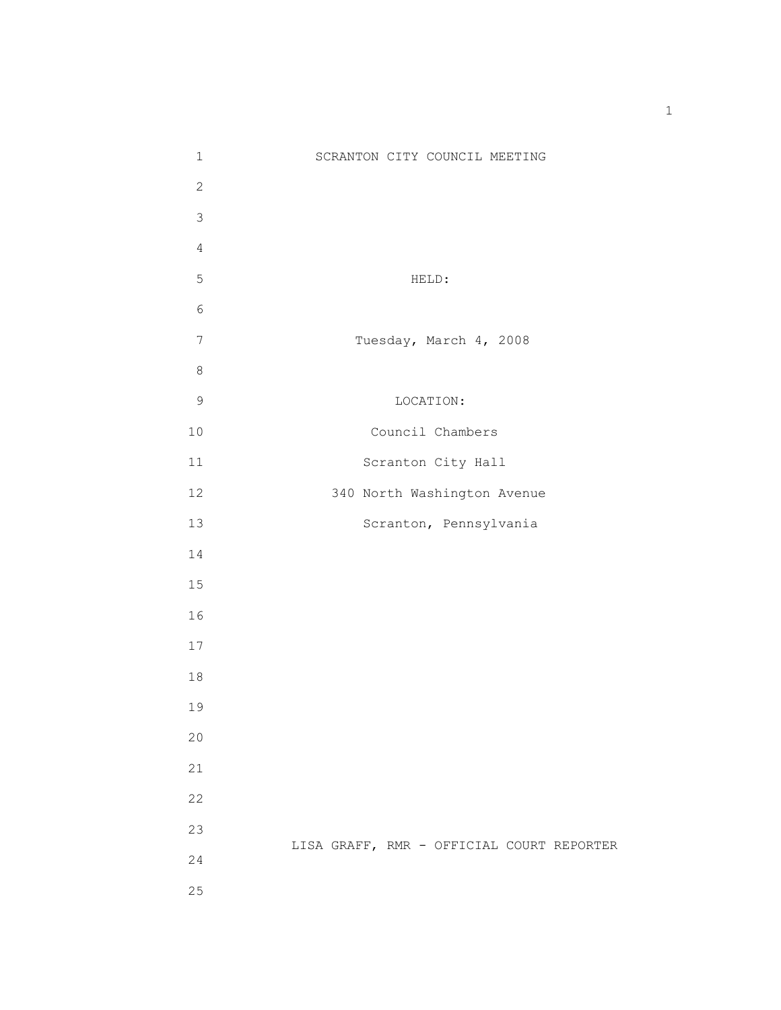| $\mathbf 1$    | SCRANTON CITY COUNCIL MEETING             |
|----------------|-------------------------------------------|
| $\overline{2}$ |                                           |
| 3              |                                           |
| $\overline{4}$ |                                           |
| 5              | HELD:                                     |
| $\epsilon$     |                                           |
| $7\phantom{.}$ | Tuesday, March 4, 2008                    |
| $\,8\,$        |                                           |
| $\mathsf 9$    | LOCATION:                                 |
| $10$           | Council Chambers                          |
| 11             | Scranton City Hall                        |
| 12             | 340 North Washington Avenue               |
| 13             | Scranton, Pennsylvania                    |
| 14             |                                           |
| 15             |                                           |
| 16             |                                           |
| 17             |                                           |
| $18\,$         |                                           |
| 19             |                                           |
| $20$           |                                           |
| 21             |                                           |
| 22             |                                           |
| 23             |                                           |
| 24             | LISA GRAFF, RMR - OFFICIAL COURT REPORTER |
| 25             |                                           |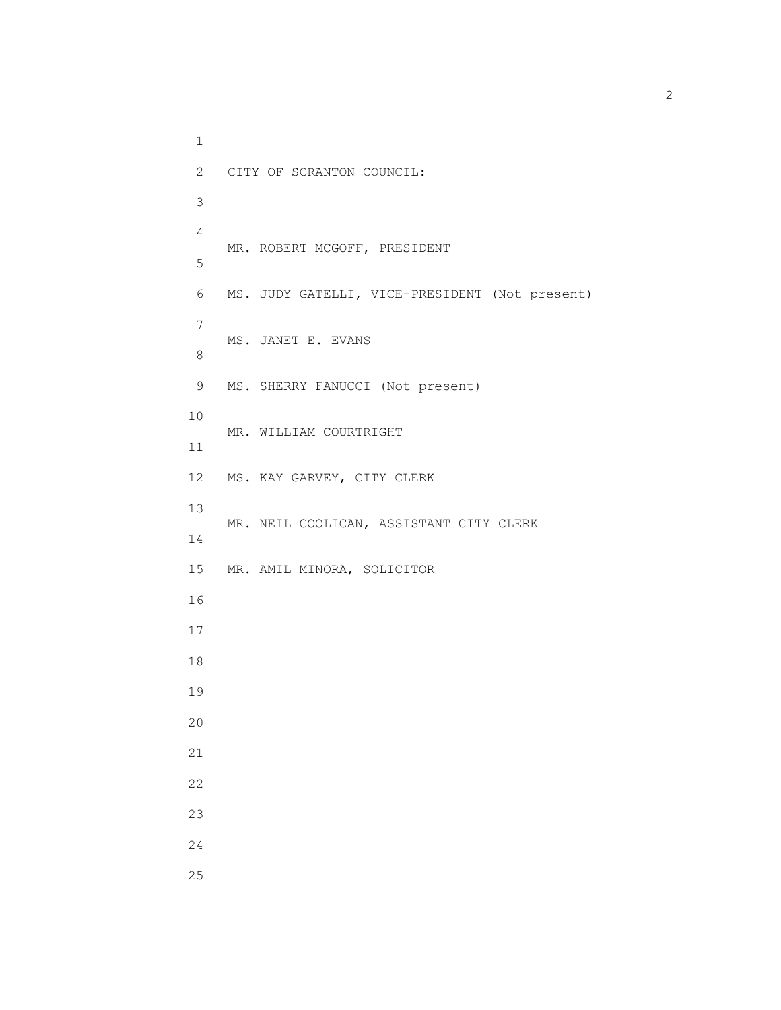1 2 CITY OF SCRANTON COUNCIL: 3 4 MR. ROBERT MCGOFF, PRESIDENT 5 6 MS. JUDY GATELLI, VICE-PRESIDENT (Not present) 7 MS. JANET E. EVANS 8 9 MS. SHERRY FANUCCI (Not present) 10 MR. WILLIAM COURTRIGHT 11 12 MS. KAY GARVEY, CITY CLERK 13 MR. NEIL COOLICAN, ASSISTANT CITY CLERK 14 15 MR. AMIL MINORA, SOLICITOR 16 17 18 19 20 21 22 23 24 25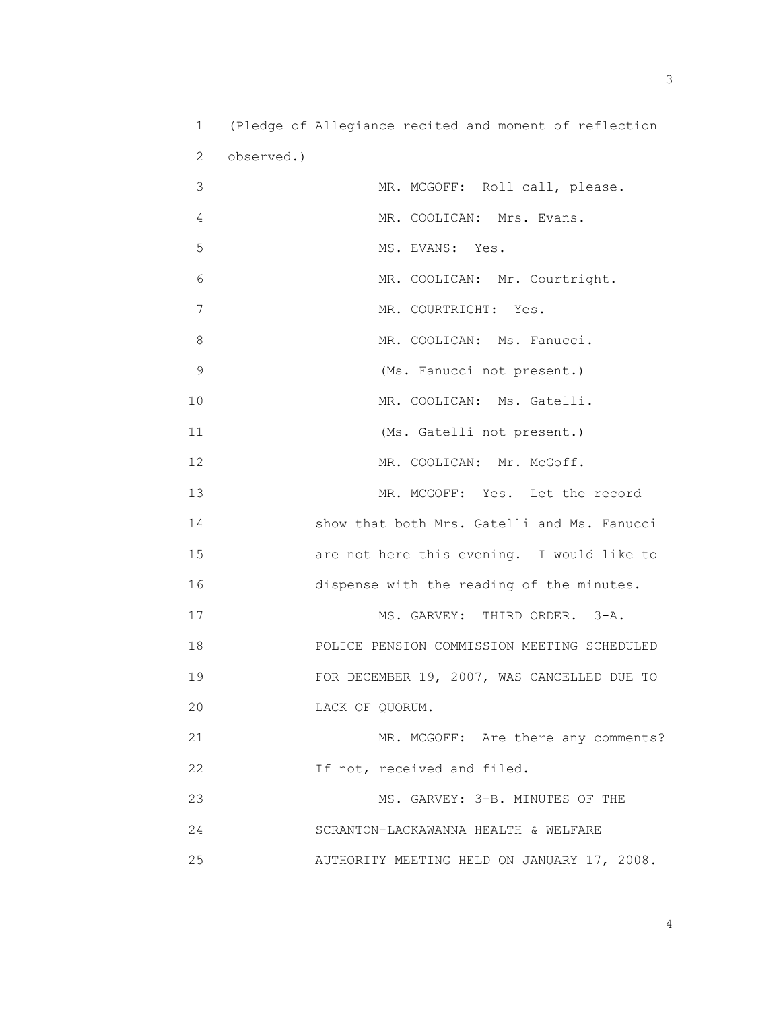1 (Pledge of Allegiance recited and moment of reflection 2 observed.) 3 MR. MCGOFF: Roll call, please. 4 MR. COOLICAN: Mrs. Evans. 5 MS. EVANS: Yes. 6 MR. COOLICAN: Mr. Courtright. 7 MR. COURTRIGHT: Yes. 8 MR. COOLICAN: Ms. Fanucci. 9 (Ms. Fanucci not present.) 10 MR. COOLICAN: Ms. Gatelli. 11 (Ms. Gatelli not present.) 12 MR. COOLICAN: Mr. McGoff. 13 MR. MCGOFF: Yes. Let the record 14 show that both Mrs. Gatelli and Ms. Fanucci 15 are not here this evening. I would like to 16 dispense with the reading of the minutes. 17 MS. GARVEY: THIRD ORDER. 3-A. 18 POLICE PENSION COMMISSION MEETING SCHEDULED 19 FOR DECEMBER 19, 2007, WAS CANCELLED DUE TO 20 LACK OF QUORUM. 21 MR. MCGOFF: Are there any comments? 22 **If not, received and filed.** 23 MS. GARVEY: 3-B. MINUTES OF THE 24 SCRANTON-LACKAWANNA HEALTH & WELFARE 25 AUTHORITY MEETING HELD ON JANUARY 17, 2008.

 $\sim$  3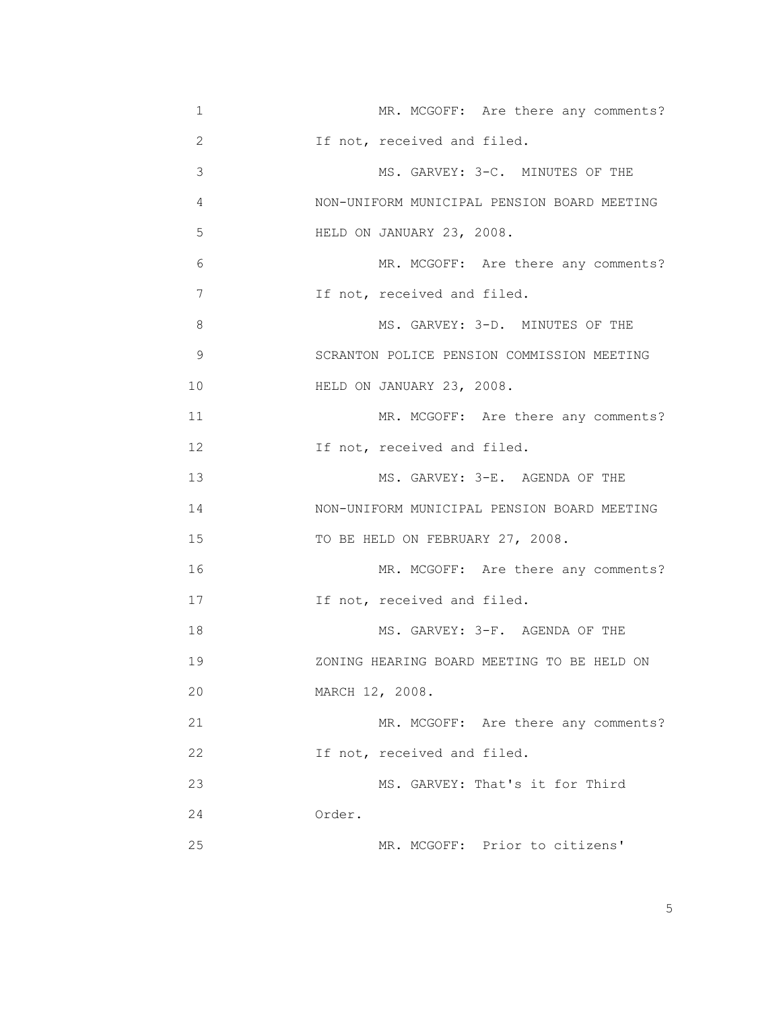| 1              | MR. MCGOFF: Are there any comments?         |
|----------------|---------------------------------------------|
| $\overline{2}$ | If not, received and filed.                 |
| 3              | MS. GARVEY: 3-C. MINUTES OF THE             |
| 4              | NON-UNIFORM MUNICIPAL PENSION BOARD MEETING |
| 5              | HELD ON JANUARY 23, 2008.                   |
| 6              | MR. MCGOFF: Are there any comments?         |
| 7              | If not, received and filed.                 |
| 8              | MS. GARVEY: 3-D. MINUTES OF THE             |
| 9              | SCRANTON POLICE PENSION COMMISSION MEETING  |
| 10             | HELD ON JANUARY 23, 2008.                   |
| 11             | MR. MCGOFF: Are there any comments?         |
| 12             | If not, received and filed.                 |
| 13             | MS. GARVEY: 3-E. AGENDA OF THE              |
| 14             | NON-UNIFORM MUNICIPAL PENSION BOARD MEETING |
| 15             | TO BE HELD ON FEBRUARY 27, 2008.            |
| 16             | MR. MCGOFF: Are there any comments?         |
| 17             | If not, received and filed.                 |
| 18             | MS. GARVEY: 3-F. AGENDA OF THE              |
| 19             | ZONING HEARING BOARD MEETING TO BE HELD ON  |
| 20             | MARCH 12, 2008.                             |
| 21             | MR. MCGOFF: Are there any comments?         |
| 22             | If not, received and filed.                 |
| 23             | MS. GARVEY: That's it for Third             |
| 24             | Order.                                      |
| 25             | MR. MCGOFF: Prior to citizens'              |

the contract of the contract of the contract of the contract of the contract of the contract of the contract of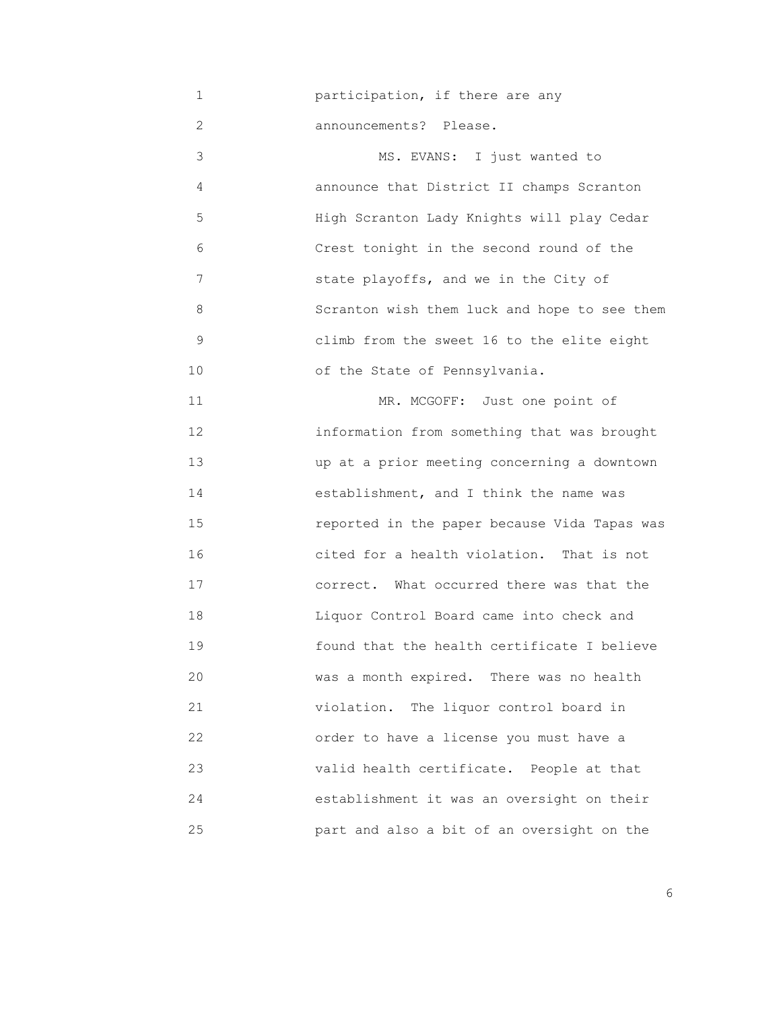1 participation, if there are any

2 announcements? Please.

3 MS. EVANS: I just wanted to 4 announce that District II champs Scranton 5 High Scranton Lady Knights will play Cedar 6 Crest tonight in the second round of the 7 state playoffs, and we in the City of 8 Scranton wish them luck and hope to see them 9 climb from the sweet 16 to the elite eight 10 of the State of Pennsylvania.

11 MR. MCGOFF: Just one point of 12 information from something that was brought 13 up at a prior meeting concerning a downtown 14 establishment, and I think the name was 15 reported in the paper because Vida Tapas was 16 cited for a health violation. That is not 17 correct. What occurred there was that the 18 Liquor Control Board came into check and 19 found that the health certificate I believe 20 was a month expired. There was no health 21 violation. The liquor control board in 22 order to have a license you must have a 23 valid health certificate. People at that 24 establishment it was an oversight on their 25 part and also a bit of an oversight on the

<u>6. In the set of the set of the set of the set of the set of the set of the set of the set of the set of the set of the set of the set of the set of the set of the set of the set of the set of the set of the set of the se</u>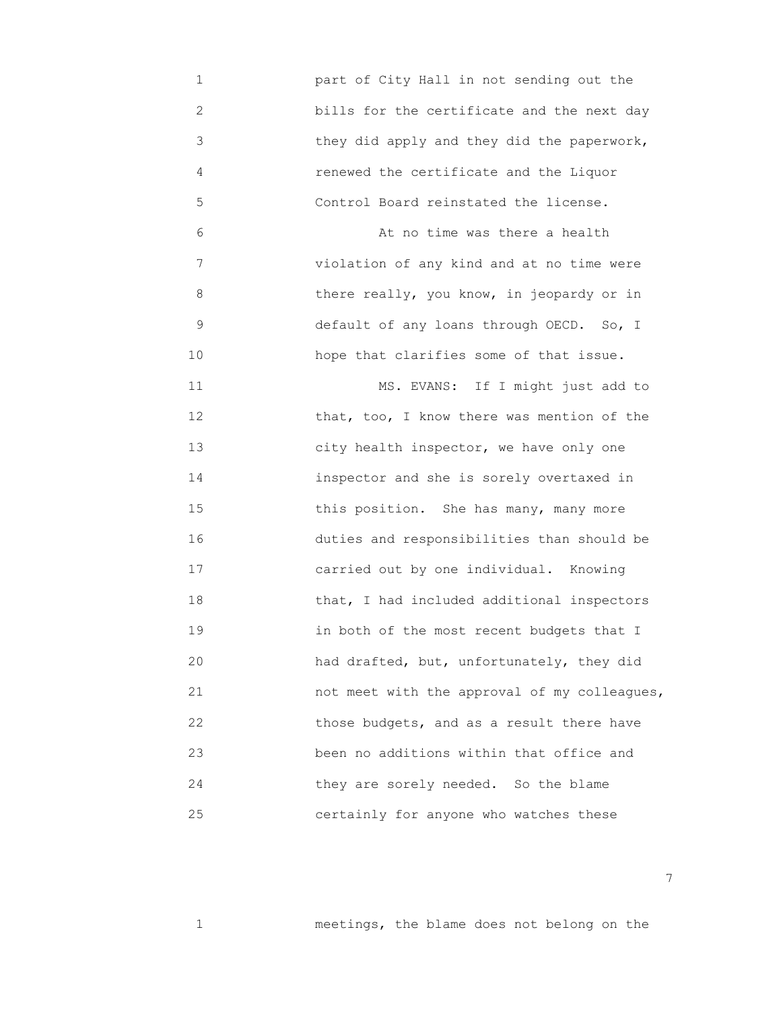1 part of City Hall in not sending out the 2 bills for the certificate and the next day 3 they did apply and they did the paperwork, 4 renewed the certificate and the Liquor 5 Control Board reinstated the license. 6 At no time was there a health 7 violation of any kind and at no time were 8 there really, you know, in jeopardy or in 9 default of any loans through OECD. So, I 10 hope that clarifies some of that issue. 11 MS. EVANS: If I might just add to 12 **12 12 that, too, I know there was mention of the**  13 city health inspector, we have only one 14 inspector and she is sorely overtaxed in 15 **15 15** this position. She has many, many more 16 duties and responsibilities than should be 17 carried out by one individual. Knowing 18 that, I had included additional inspectors 19 in both of the most recent budgets that I 20 had drafted, but, unfortunately, they did 21 not meet with the approval of my colleagues, 22 those budgets, and as a result there have 23 been no additions within that office and 24 they are sorely needed. So the blame 25 certainly for anyone who watches these

1 meetings, the blame does not belong on the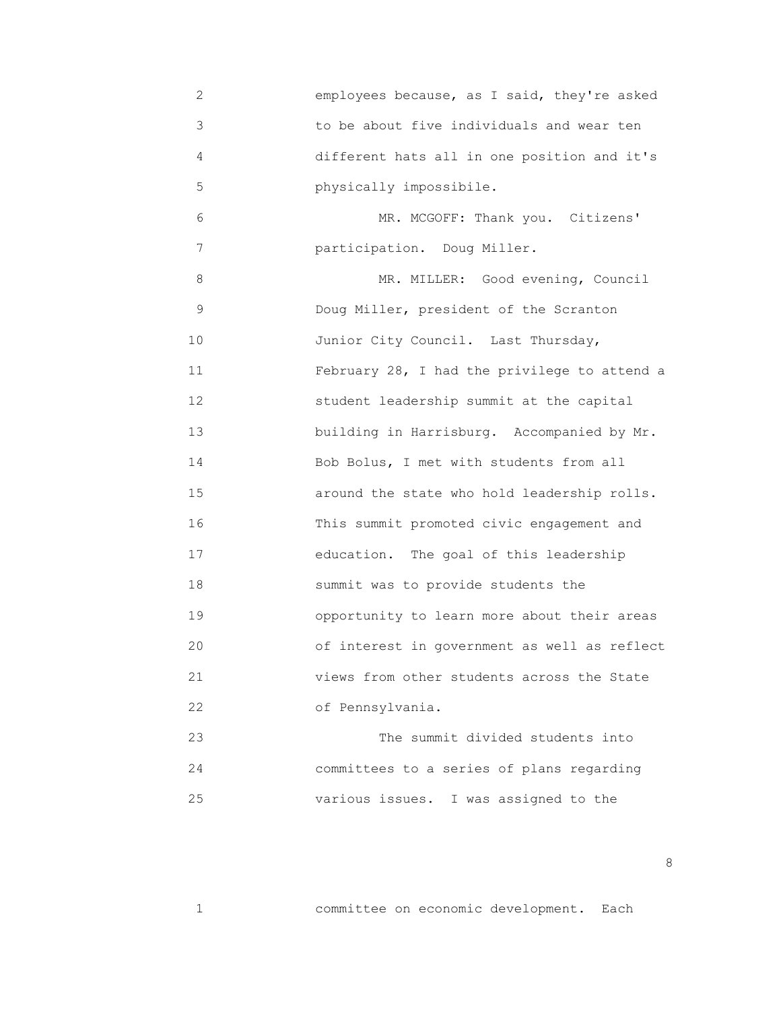2 employees because, as I said, they're asked 3 to be about five individuals and wear ten 4 different hats all in one position and it's 5 physically impossibile. 6 MR. MCGOFF: Thank you. Citizens' 7 participation. Doug Miller. 8 MR. MILLER: Good evening, Council 9 Doug Miller, president of the Scranton 10 Junior City Council. Last Thursday, 11 February 28, I had the privilege to attend a 12 student leadership summit at the capital 13 building in Harrisburg. Accompanied by Mr. 14 Bob Bolus, I met with students from all 15 around the state who hold leadership rolls. 16 This summit promoted civic engagement and 17 education. The goal of this leadership 18 summit was to provide students the 19 opportunity to learn more about their areas 20 of interest in government as well as reflect 21 views from other students across the State 22 of Pennsylvania. 23 The summit divided students into 24 committees to a series of plans regarding

25 various issues. I was assigned to the

1 committee on economic development. Each

<u>88 and 2001 and 2002 and 2003 and 2003 and 2003 and 2003 and 2003 and 2003 and 2003</u>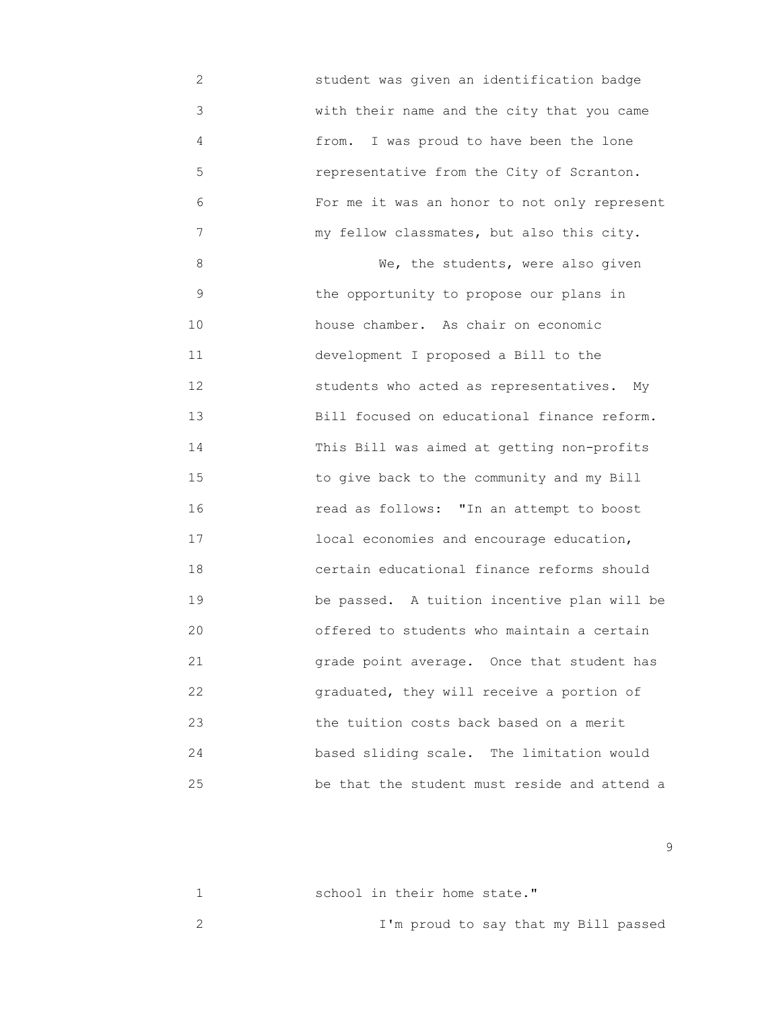2 student was given an identification badge 3 with their name and the city that you came 4 from. I was proud to have been the lone 5 representative from the City of Scranton. 6 For me it was an honor to not only represent 7 my fellow classmates, but also this city. 8 We, the students, were also given 9 the opportunity to propose our plans in 10 house chamber. As chair on economic 11 development I proposed a Bill to the 12 students who acted as representatives. My 13 Bill focused on educational finance reform. 14 This Bill was aimed at getting non-profits 15 to give back to the community and my Bill 16 read as follows: "In an attempt to boost 17 local economies and encourage education, 18 certain educational finance reforms should 19 be passed. A tuition incentive plan will be 20 offered to students who maintain a certain 21 grade point average. Once that student has 22 graduated, they will receive a portion of 23 the tuition costs back based on a merit 24 based sliding scale. The limitation would 25 be that the student must reside and attend a

en de la construction de la construction de la construction de la construction de la construction de la constr<br>1990 : la construction de la construction de la construction de la construction de la construction de la const

| school in their home state."         |
|--------------------------------------|
| I'm proud to say that my Bill passed |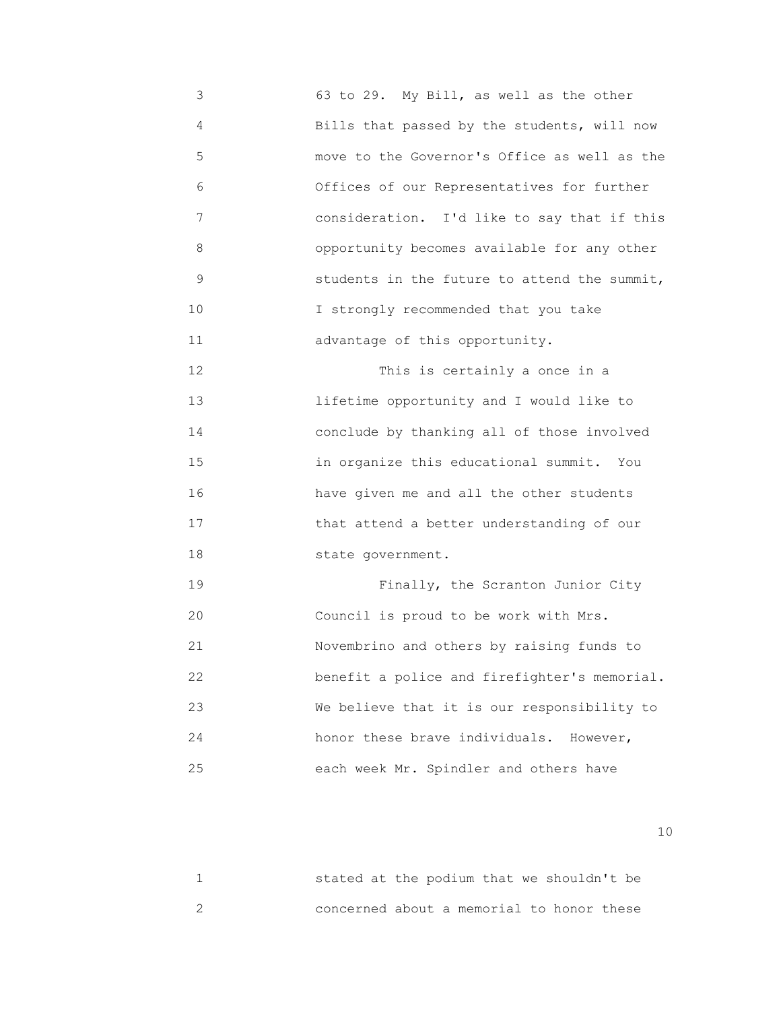3 63 to 29. My Bill, as well as the other 4 Bills that passed by the students, will now 5 move to the Governor's Office as well as the 6 Offices of our Representatives for further 7 consideration. I'd like to say that if this 8 opportunity becomes available for any other 9 students in the future to attend the summit, 10 **I** strongly recommended that you take 11 advantage of this opportunity.

12 This is certainly a once in a 13 lifetime opportunity and I would like to 14 conclude by thanking all of those involved 15 in organize this educational summit. You 16 have given me and all the other students 17 that attend a better understanding of our 18 state government.

 19 Finally, the Scranton Junior City 20 Council is proud to be work with Mrs. 21 Novembrino and others by raising funds to 22 benefit a police and firefighter's memorial. 23 We believe that it is our responsibility to 24 honor these brave individuals. However, 25 each week Mr. Spindler and others have

|  | stated at the podium that we shouldn't be |  |  |
|--|-------------------------------------------|--|--|
|  | concerned about a memorial to honor these |  |  |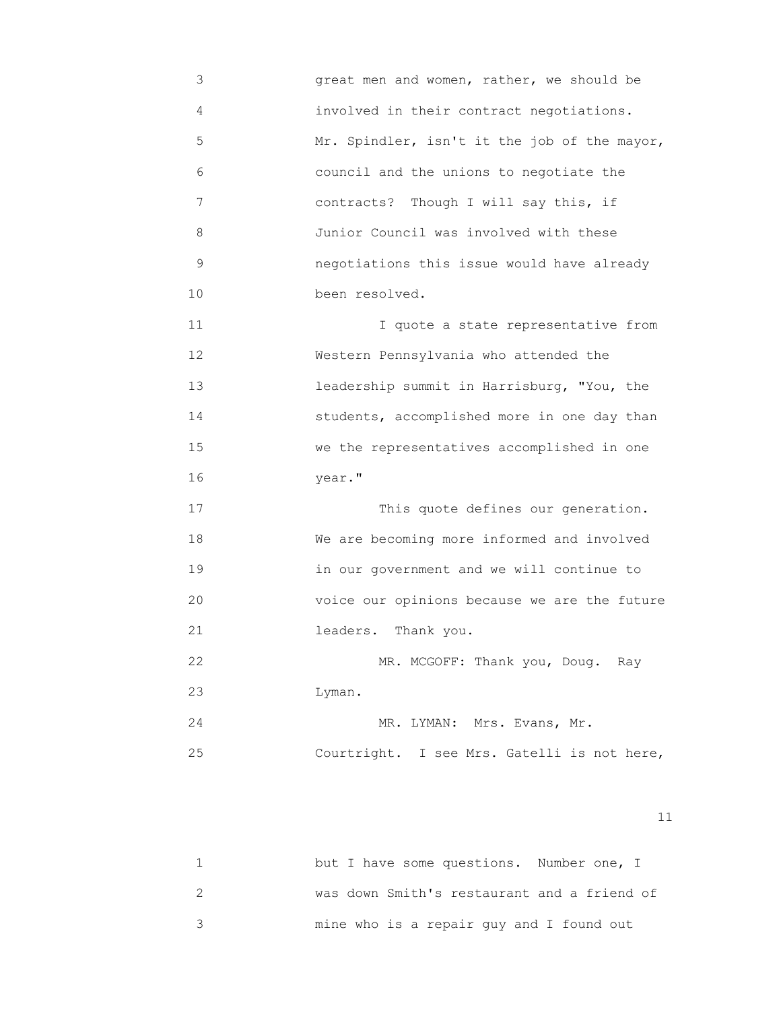3 great men and women, rather, we should be 4 involved in their contract negotiations. 5 Mr. Spindler, isn't it the job of the mayor, 6 council and the unions to negotiate the 7 contracts? Though I will say this, if 8 Junior Council was involved with these 9 negotiations this issue would have already 10 been resolved. 11 I quote a state representative from 12 Western Pennsylvania who attended the 13 leadership summit in Harrisburg, "You, the 14 students, accomplished more in one day than 15 we the representatives accomplished in one 16 year." 17 This quote defines our generation. 18 We are becoming more informed and involved 19 in our government and we will continue to 20 voice our opinions because we are the future 21 leaders. Thank you. 22 MR. MCGOFF: Thank you, Doug. Ray 23 Lyman. 24 MR. LYMAN: Mrs. Evans, Mr.

|  |                                             |  | MR. LIMAN. MIS. LVAIIS, MI. |  |  |
|--|---------------------------------------------|--|-----------------------------|--|--|
|  | Courtright. I see Mrs. Gatelli is not here, |  |                             |  |  |

| but I have some questions. Number one, I    |
|---------------------------------------------|
| was down Smith's restaurant and a friend of |
| mine who is a repair guy and I found out    |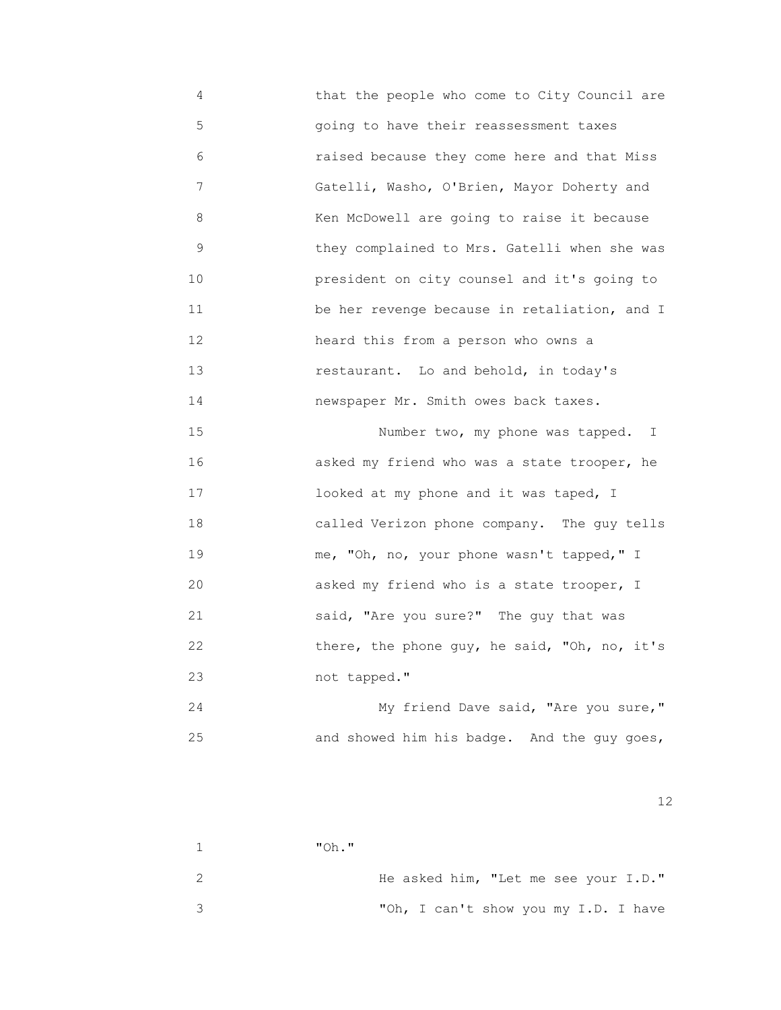4 that the people who come to City Council are 5 going to have their reassessment taxes 6 raised because they come here and that Miss 7 Gatelli, Washo, O'Brien, Mayor Doherty and 8 Ken McDowell are going to raise it because 9 they complained to Mrs. Gatelli when she was 10 president on city counsel and it's going to 11 **be her revenge because in retaliation, and I**  12 heard this from a person who owns a 13 restaurant. Lo and behold, in today's 14 newspaper Mr. Smith owes back taxes. 15 Number two, my phone was tapped. I

 16 asked my friend who was a state trooper, he 17 looked at my phone and it was taped, I 18 called Verizon phone company. The guy tells 19 me, "Oh, no, your phone wasn't tapped," I 20 asked my friend who is a state trooper, I 21 said, "Are you sure?" The guy that was 22 there, the phone guy, he said, "Oh, no, it's 23 not tapped."

24 My friend Dave said, "Are you sure," 25 and showed him his badge. And the guy goes,

 $12$ 

 1 "Oh." 2 He asked him, "Let me see your I.D." 3 "Oh, I can't show you my I.D. I have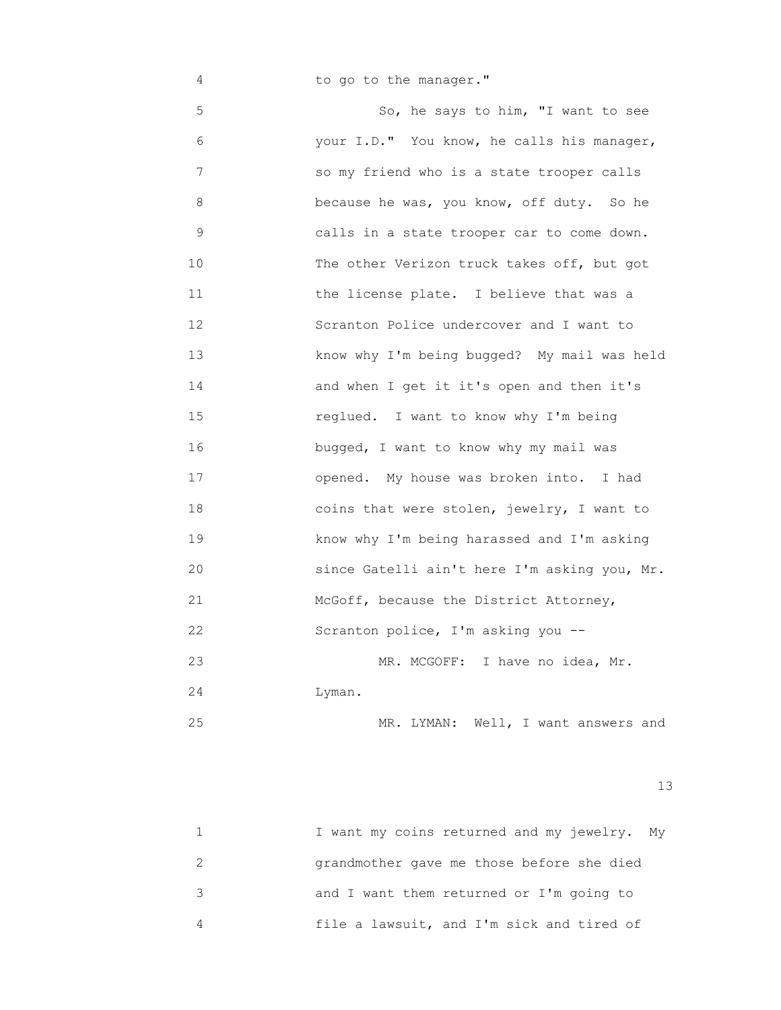4 **to go to the manager."** 

 5 So, he says to him, "I want to see 6 your I.D." You know, he calls his manager, 7 so my friend who is a state trooper calls 8 because he was, you know, off duty. So he 9 calls in a state trooper car to come down. 10 The other Verizon truck takes off, but got 11 the license plate. I believe that was a 12 Scranton Police undercover and I want to 13 know why I'm being bugged? My mail was held 14 and when I get it it's open and then it's 15 reglued. I want to know why I'm being 16 bugged, I want to know why my mail was 17 opened. My house was broken into. I had 18 coins that were stolen, jewelry, I want to 19 know why I'm being harassed and I'm asking 20 since Gatelli ain't here I'm asking you, Mr. 21 McGoff, because the District Attorney, 22 Scranton police, I'm asking you --23 MR. MCGOFF: I have no idea, Mr. 24 Lyman.

25 MR. LYMAN: Well, I want answers and

13<sup>3</sup>

| I want my coins returned and my jewelry. My |
|---------------------------------------------|
| grandmother gave me those before she died   |
| and I want them returned or I'm going to    |
| file a lawsuit, and I'm sick and tired of   |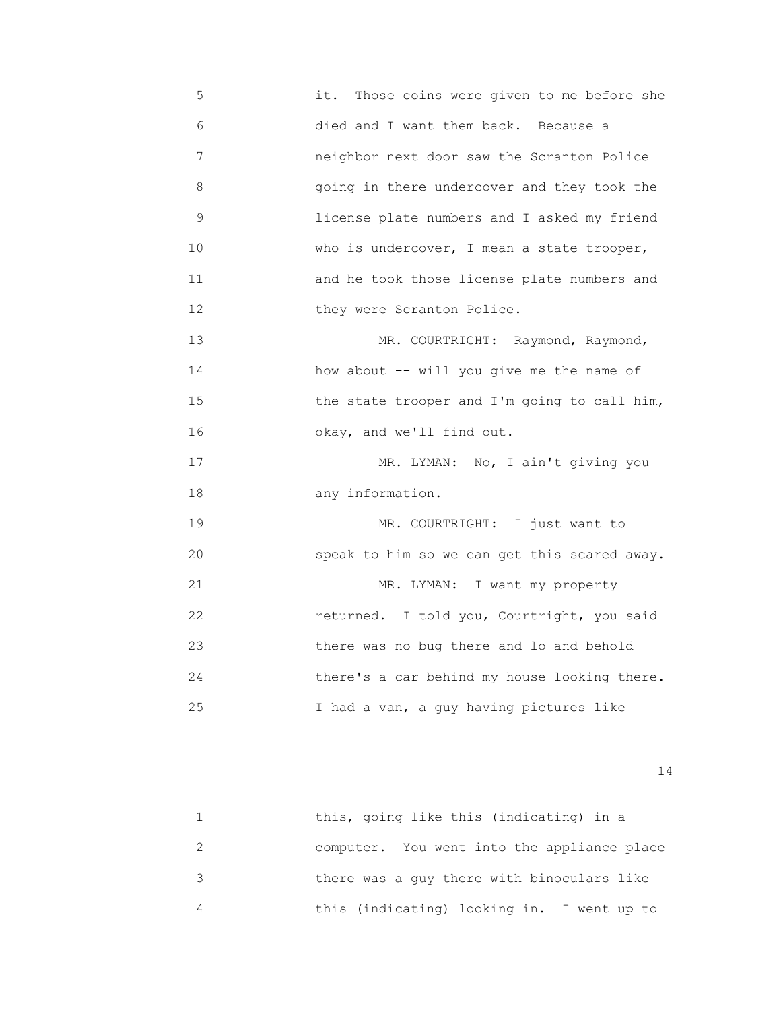5 it. Those coins were given to me before she 6 died and I want them back. Because a 7 neighbor next door saw the Scranton Police 8 going in there undercover and they took the 9 license plate numbers and I asked my friend 10 *who is undercover, I mean a state trooper,*  11 and he took those license plate numbers and 12 **they were Scranton Police.** 13 MR. COURTRIGHT: Raymond, Raymond,

 14 how about -- will you give me the name of 15 **the state trooper and I'm going to call him,** 16 okay, and we'll find out.

17 MR. LYMAN: No, I ain't giving you 18 any information.

19 MR. COURTRIGHT: I just want to 20 speak to him so we can get this scared away. 21 MR. LYMAN: I want my property 22 returned. I told you, Courtright, you said 23 there was no bug there and lo and behold 24 there's a car behind my house looking there. 25 I had a van, a guy having pictures like

| this, going like this (indicating) in a     |
|---------------------------------------------|
| computer. You went into the appliance place |
| there was a guy there with binoculars like  |
| this (indicating) looking in. I went up to  |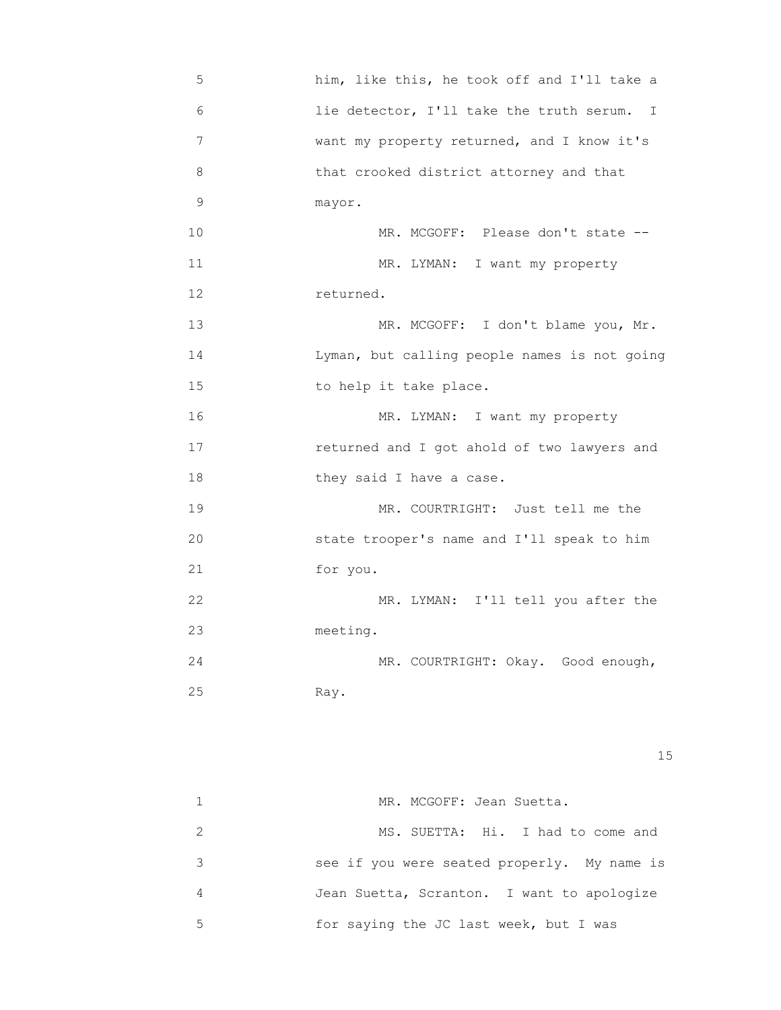| 5  | him, like this, he took off and I'll take a  |
|----|----------------------------------------------|
| 6  | lie detector, I'll take the truth serum. I   |
| 7  | want my property returned, and I know it's   |
| 8  | that crooked district attorney and that      |
| 9  | mayor.                                       |
| 10 | MR. MCGOFF: Please don't state --            |
| 11 | MR. LYMAN: I want my property                |
| 12 | returned.                                    |
| 13 | MR. MCGOFF: I don't blame you, Mr.           |
| 14 | Lyman, but calling people names is not going |
| 15 | to help it take place.                       |
| 16 | MR. LYMAN: I want my property                |
| 17 | returned and I got ahold of two lawyers and  |
| 18 | they said I have a case.                     |
| 19 | MR. COURTRIGHT: Just tell me the             |
| 20 | state trooper's name and I'll speak to him   |
| 21 | for you.                                     |
| 22 | MR. LYMAN: I'll tell you after the           |
| 23 | meeting.                                     |
| 24 | MR. COURTRIGHT: Okay. Good enough,           |
| 25 | Ray.                                         |
|    |                                              |
|    |                                              |

15 and 15 and 15 and 15 and 15 and 15 and 15 and 15 and 15 and 15 and 15 and 15 and 15 and 15 and 15

|   | MR. MCGOFF: Jean Suetta.                    |
|---|---------------------------------------------|
|   | MS. SUETTA: Hi. I had to come and           |
|   | see if you were seated properly. My name is |
|   | Jean Suetta, Scranton. I want to apologize  |
| 5 | for saying the JC last week, but I was      |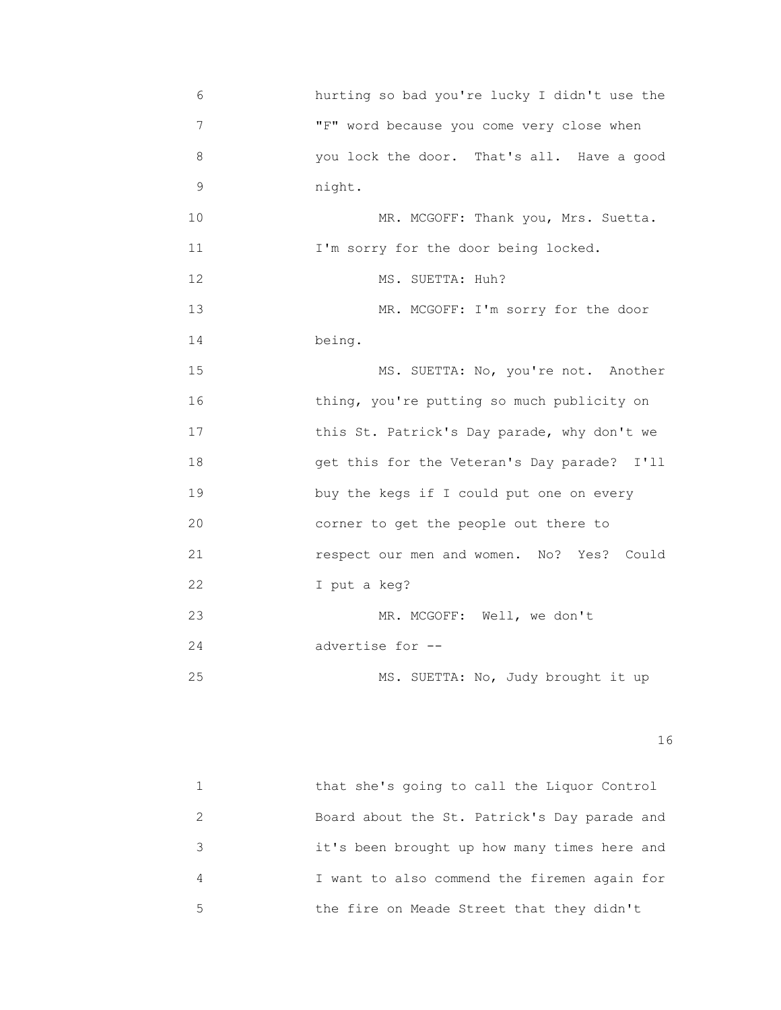6 hurting so bad you're lucky I didn't use the 7 "F" word because you come very close when 8 you lock the door. That's all. Have a good 9 night. 10 MR. MCGOFF: Thank you, Mrs. Suetta. 11 I'm sorry for the door being locked. 12 MS. SUETTA: Huh? 13 MR. MCGOFF: I'm sorry for the door 14 being. 15 MS. SUETTA: No, you're not. Another 16 thing, you're putting so much publicity on 17 **this St. Patrick's Day parade, why don't we**  18 get this for the Veteran's Day parade? I'll 19 buy the kegs if I could put one on every 20 corner to get the people out there to 21 respect our men and women. No? Yes? Could 22 I put a keg? 23 MR. MCGOFF: Well, we don't 24 advertise for --25 MS. SUETTA: No, Judy brought it up

|   | that she's going to call the Liquor Control  |
|---|----------------------------------------------|
|   | Board about the St. Patrick's Day parade and |
|   | it's been brought up how many times here and |
|   | I want to also commend the firemen again for |
| 5 | the fire on Meade Street that they didn't    |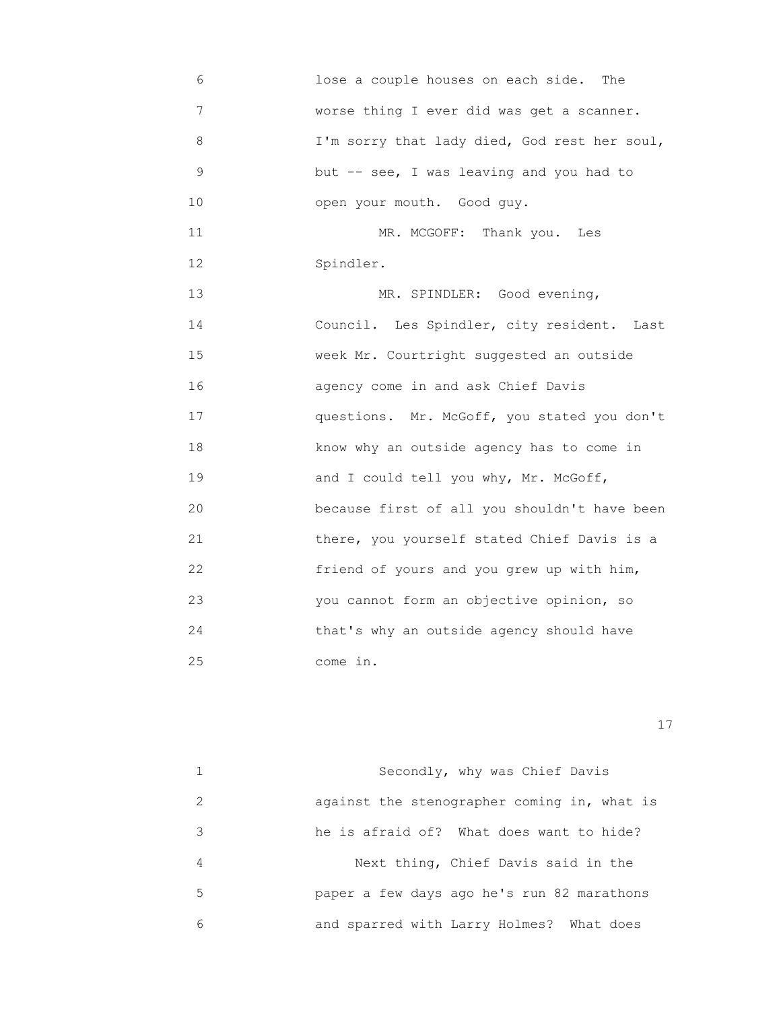6 lose a couple houses on each side. The 7 worse thing I ever did was get a scanner. 8 I'm sorry that lady died, God rest her soul, 9 but -- see, I was leaving and you had to 10 open your mouth. Good guy. 11 MR. MCGOFF: Thank you. Les 12 Spindler. 13 MR. SPINDLER: Good evening, 14 Council. Les Spindler, city resident. Last 15 week Mr. Courtright suggested an outside 16 agency come in and ask Chief Davis 17 questions. Mr. McGoff, you stated you don't 18 know why an outside agency has to come in 19 and I could tell you why, Mr. McGoff, 20 because first of all you shouldn't have been 21 there, you yourself stated Chief Davis is a 22 friend of yours and you grew up with him, 23 you cannot form an objective opinion, so 24 that's why an outside agency should have 25 come in.

17

 1 Secondly, why was Chief Davis 2 against the stenographer coming in, what is 3 he is afraid of? What does want to hide? 4 Next thing, Chief Davis said in the 5 paper a few days ago he's run 82 marathons 6 and sparred with Larry Holmes? What does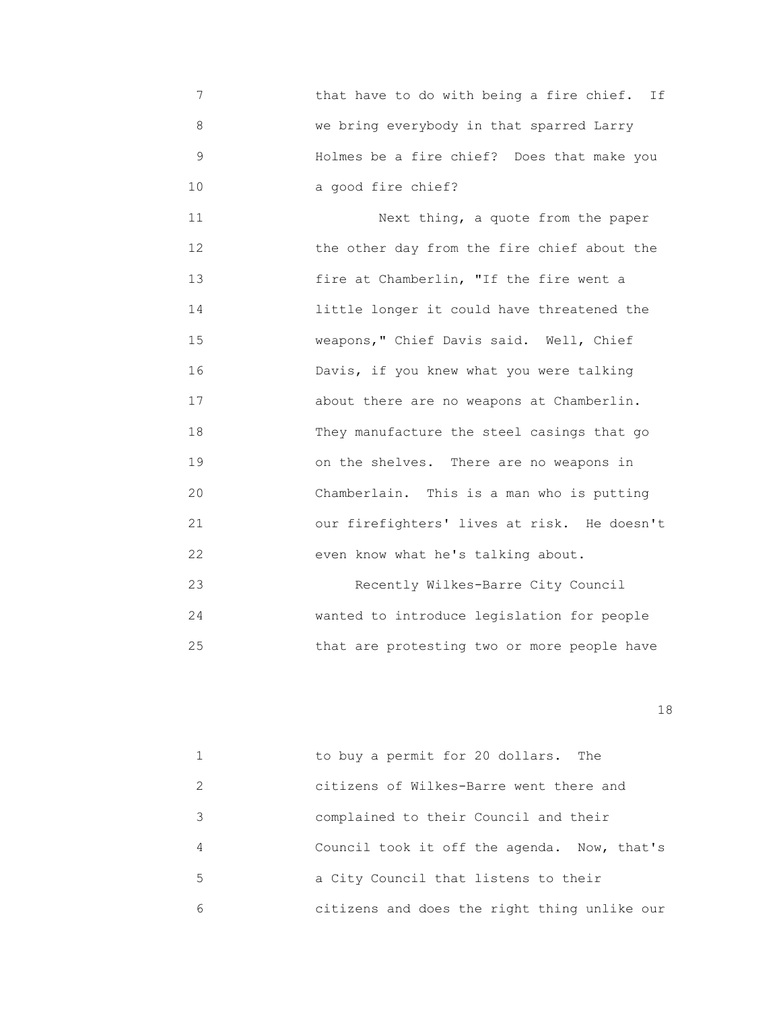7 that have to do with being a fire chief. If 8 we bring everybody in that sparred Larry 9 Holmes be a fire chief? Does that make you 10 a good fire chief?

 11 Next thing, a quote from the paper 12 **the other day from the fire chief about the**  13 fire at Chamberlin, "If the fire went a 14 little longer it could have threatened the 15 weapons," Chief Davis said. Well, Chief 16 Davis, if you knew what you were talking 17 about there are no weapons at Chamberlin. 18 They manufacture the steel casings that go 19 on the shelves. There are no weapons in 20 Chamberlain. This is a man who is putting 21 our firefighters' lives at risk. He doesn't 22 even know what he's talking about. 23 Recently Wilkes-Barre City Council 24 wanted to introduce legislation for people

25 that are protesting two or more people have

|               | to buy a permit for 20 dollars. The          |
|---------------|----------------------------------------------|
| $\mathcal{L}$ | citizens of Wilkes-Barre went there and      |
| 3             | complained to their Council and their        |
| 4             | Council took it off the agenda. Now, that's  |
| 5             | a City Council that listens to their         |
| 6             | citizens and does the right thing unlike our |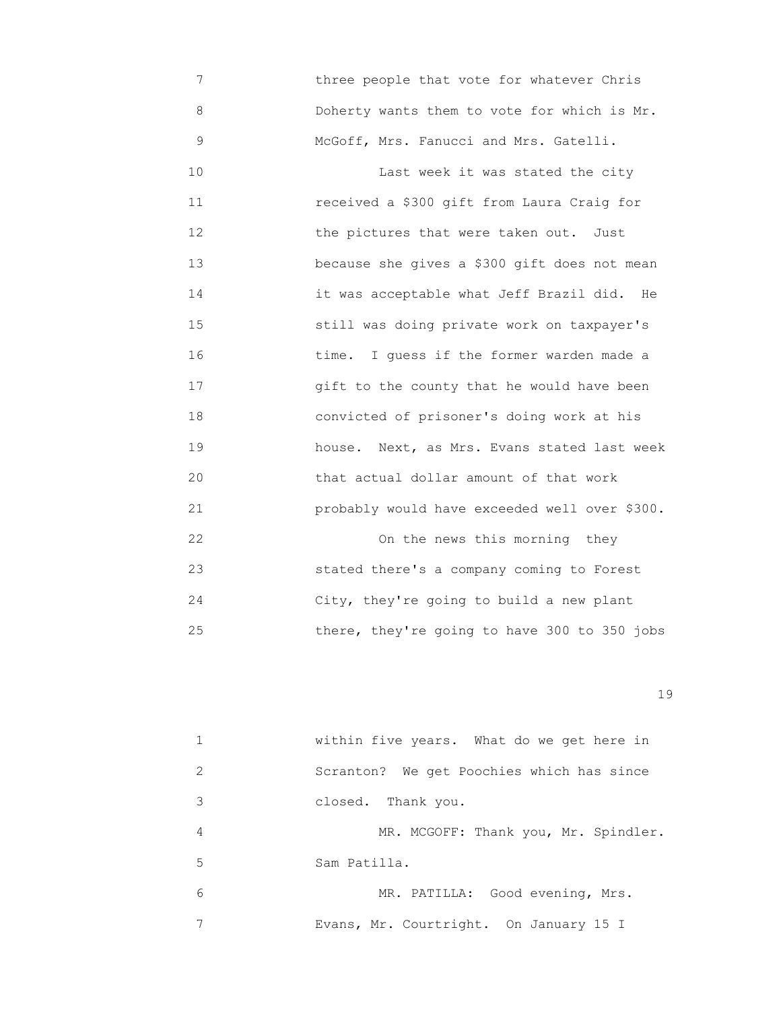7 three people that vote for whatever Chris 8 Doherty wants them to vote for which is Mr. 9 McGoff, Mrs. Fanucci and Mrs. Gatelli. 10 **Last week it was stated the city**  11 received a \$300 gift from Laura Craig for 12 the pictures that were taken out. Just 13 because she gives a \$300 gift does not mean 14 it was acceptable what Jeff Brazil did. He 15 still was doing private work on taxpayer's 16 time. I guess if the former warden made a 17 gift to the county that he would have been 18 convicted of prisoner's doing work at his 19 house. Next, as Mrs. Evans stated last week 20 that actual dollar amount of that work 21 probably would have exceeded well over \$300. 22 On the news this morning they 23 stated there's a company coming to Forest 24 City, they're going to build a new plant

25 there, they're going to have 300 to 350 jobs

|               | within five years. What do we get here in |
|---------------|-------------------------------------------|
| $\mathcal{L}$ | Scranton? We get Poochies which has since |
| 3             | closed. Thank you.                        |
| 4             | MR. MCGOFF: Thank you, Mr. Spindler.      |
| 5             | Sam Patilla.                              |
| 6             | MR. PATILLA: Good evening, Mrs.           |
|               | Evans, Mr. Courtright. On January 15 I    |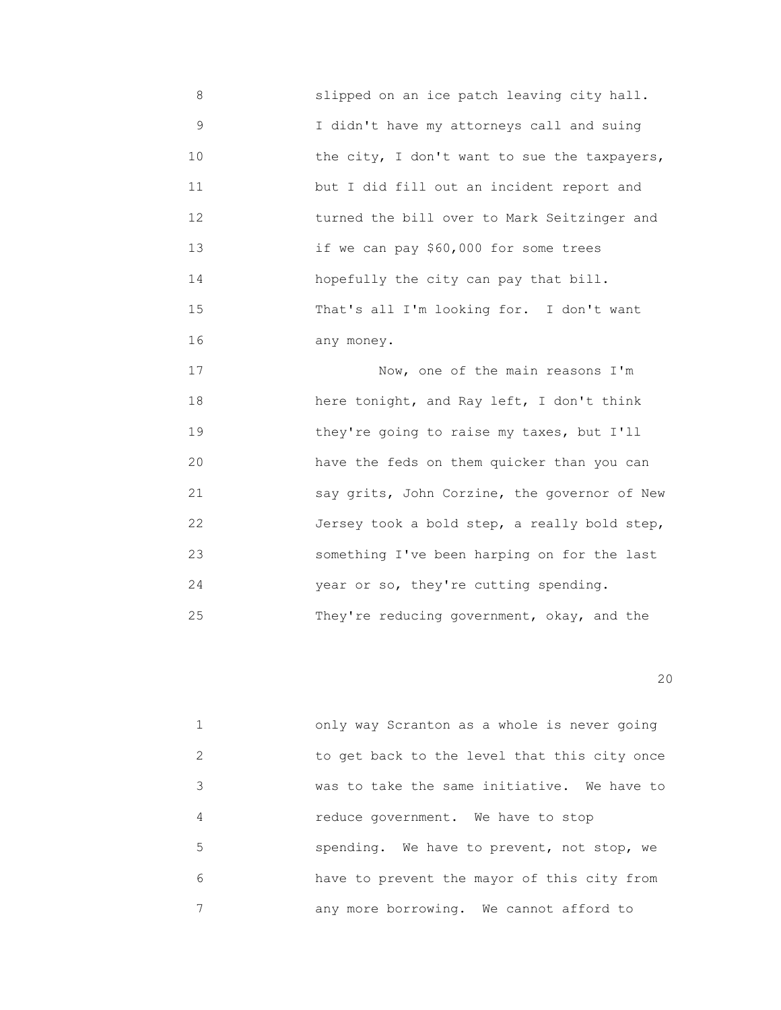8 slipped on an ice patch leaving city hall. 9 I didn't have my attorneys call and suing 10 **the city, I don't want to sue the taxpayers,**  11 but I did fill out an incident report and 12 turned the bill over to Mark Seitzinger and 13 if we can pay \$60,000 for some trees 14 hopefully the city can pay that bill. 15 That's all I'm looking for. I don't want 16 any money.

 17 Now, one of the main reasons I'm 18 here tonight, and Ray left, I don't think 19 they're going to raise my taxes, but I'll 20 have the feds on them quicker than you can 21 say grits, John Corzine, the governor of New 22 Jersey took a bold step, a really bold step, 23 something I've been harping on for the last 24 year or so, they're cutting spending. 25 They're reducing government, okay, and the

20

 1 only way Scranton as a whole is never going 2 to get back to the level that this city once 3 was to take the same initiative. We have to 4 reduce government. We have to stop 5 spending. We have to prevent, not stop, we 6 have to prevent the mayor of this city from 7 any more borrowing. We cannot afford to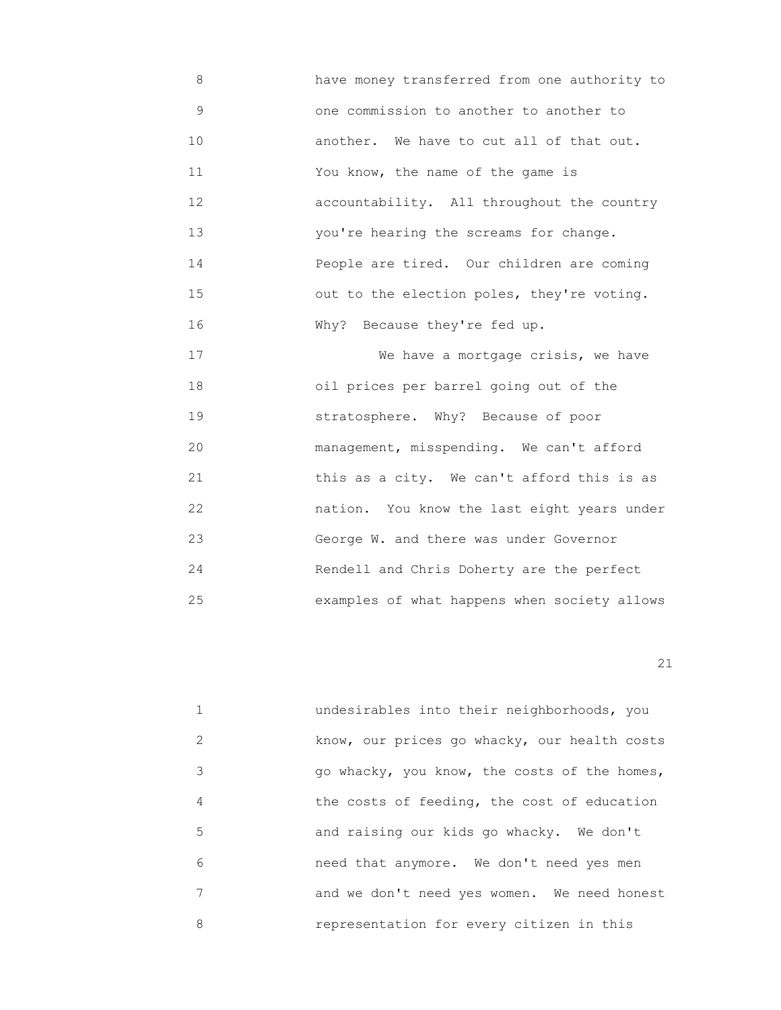8 have money transferred from one authority to 9 one commission to another to another to 10 another. We have to cut all of that out. 11 You know, the name of the game is 12 accountability. All throughout the country 13 you're hearing the screams for change. 14 People are tired. Our children are coming 15 out to the election poles, they're voting. 16 Why? Because they're fed up.

 17 We have a mortgage crisis, we have 18 oil prices per barrel going out of the 19 stratosphere. Why? Because of poor 20 management, misspending. We can't afford 21 this as a city. We can't afford this is as 22 nation. You know the last eight years under 23 George W. and there was under Governor 24 Rendell and Chris Doherty are the perfect 25 examples of what happens when society allows

21

 1 undesirables into their neighborhoods, you 2 know, our prices go whacky, our health costs 3 go whacky, you know, the costs of the homes, 4 the costs of feeding, the cost of education 5 and raising our kids go whacky. We don't 6 need that anymore. We don't need yes men 7 and we don't need yes women. We need honest 8 representation for every citizen in this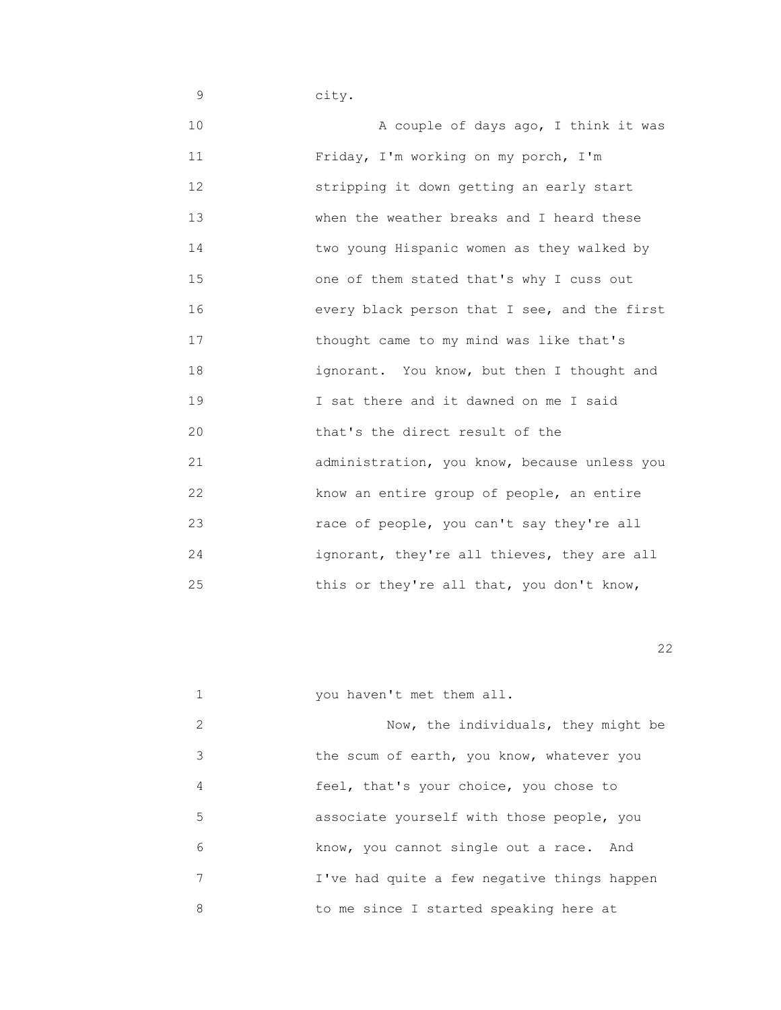9 city.

 10 A couple of days ago, I think it was 11 Friday, I'm working on my porch, I'm 12 stripping it down getting an early start 13 when the weather breaks and I heard these 14 two young Hispanic women as they walked by 15 one of them stated that's why I cuss out 16 every black person that I see, and the first 17 thought came to my mind was like that's 18 ignorant. You know, but then I thought and 19 I sat there and it dawned on me I said 20 that's the direct result of the 21 administration, you know, because unless you 22 know an entire group of people, an entire 23 race of people, you can't say they're all 24 ignorant, they're all thieves, they are all 25 this or they're all that, you don't know,

22 and 22 and 23 and 23 and 23 and 23 and 23 and 23 and 23 and 23 and 23 and 23 and 23 and 23 and 23 and 23 an

|               | you haven't met them all.                   |
|---------------|---------------------------------------------|
| $\mathcal{L}$ | Now, the individuals, they might be         |
| 3             | the scum of earth, you know, whatever you   |
| 4             | feel, that's your choice, you chose to      |
| 5             | associate yourself with those people, you   |
| 6             | know, you cannot single out a race. And     |
|               | I've had quite a few negative things happen |
| 8             | to me since I started speaking here at      |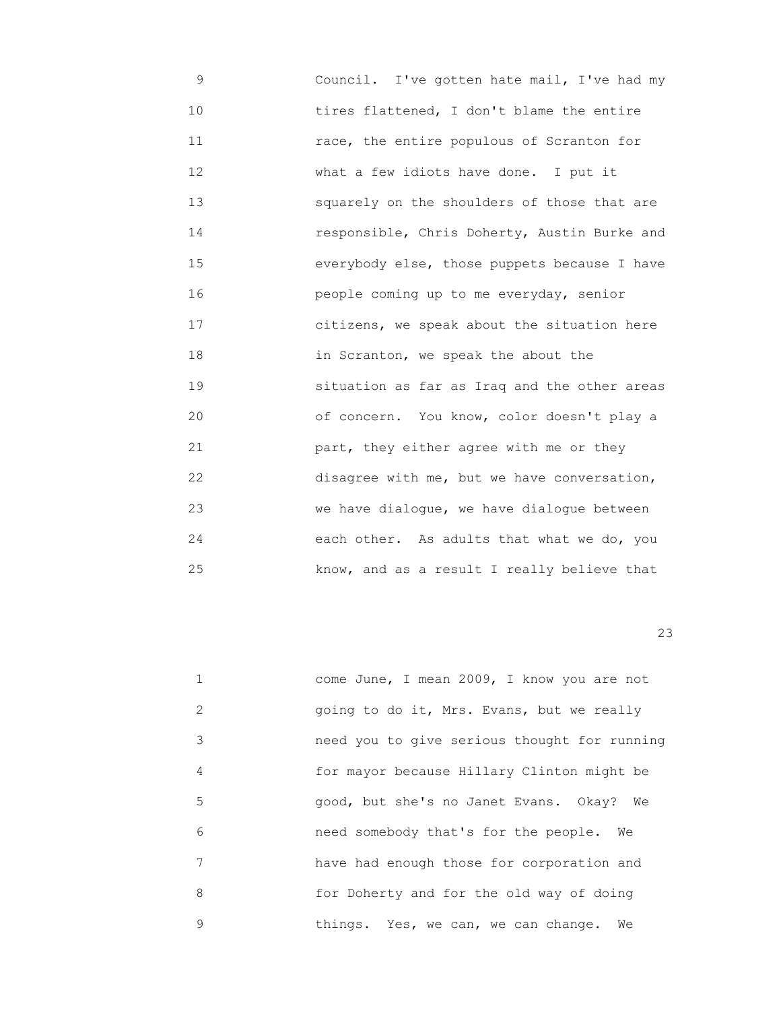9 Council. I've gotten hate mail, I've had my 10 tires flattened, I don't blame the entire 11 race, the entire populous of Scranton for 12 What a few idiots have done. I put it 13 squarely on the shoulders of those that are 14 responsible, Chris Doherty, Austin Burke and 15 everybody else, those puppets because I have 16 people coming up to me everyday, senior 17 **b** citizens, we speak about the situation here 18 in Scranton, we speak the about the 19 situation as far as Iraq and the other areas 20 of concern. You know, color doesn't play a 21 part, they either agree with me or they 22 disagree with me, but we have conversation, 23 we have dialogue, we have dialogue between 24 each other. As adults that what we do, you 25 know, and as a result I really believe that

|               | come June, I mean 2009, I know you are not   |
|---------------|----------------------------------------------|
| $\mathcal{L}$ | going to do it, Mrs. Evans, but we really    |
| 3             | need you to give serious thought for running |
| 4             | for mayor because Hillary Clinton might be   |
| 5             | good, but she's no Janet Evans. Okay?<br>We  |
| 6             | need somebody that's for the people.<br>We   |
| 7             | have had enough those for corporation and    |
| 8             | for Doherty and for the old way of doing     |
| 9             | things. Yes, we can, we can change.<br>We    |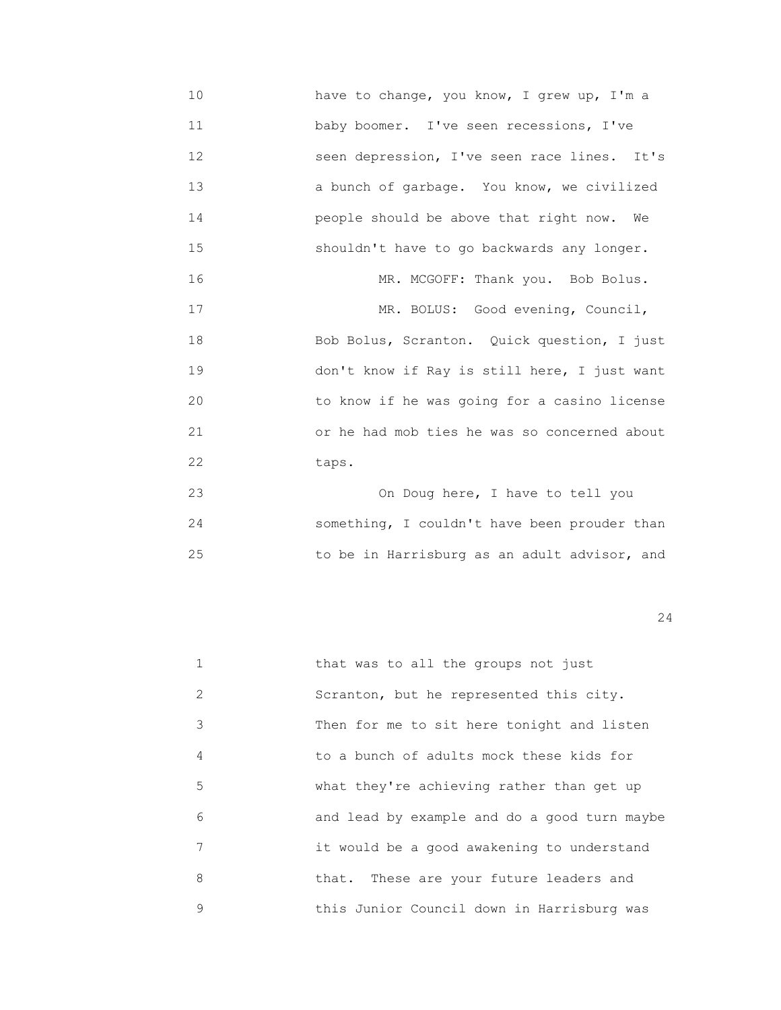10 have to change, you know, I grew up, I'm a 11 baby boomer. I've seen recessions, I've 12 seen depression, I've seen race lines. It's 13 a bunch of garbage. You know, we civilized 14 people should be above that right now. We 15 shouldn't have to go backwards any longer. 16 MR. MCGOFF: Thank you. Bob Bolus. 17 MR. BOLUS: Good evening, Council, 18 Bob Bolus, Scranton. Quick question, I just 19 don't know if Ray is still here, I just want 20 to know if he was going for a casino license 21 or he had mob ties he was so concerned about 22 taps.

 23 On Doug here, I have to tell you 24 something, I couldn't have been prouder than 25 to be in Harrisburg as an adult advisor, and

|   | that was to all the groups not just          |
|---|----------------------------------------------|
| 2 | Scranton, but he represented this city.      |
| 3 | Then for me to sit here tonight and listen   |
| 4 | to a bunch of adults mock these kids for     |
| 5 | what they're achieving rather than get up    |
| 6 | and lead by example and do a good turn maybe |
| 7 | it would be a good awakening to understand   |
| 8 | that. These are your future leaders and      |
| 9 | this Junior Council down in Harrisburg was   |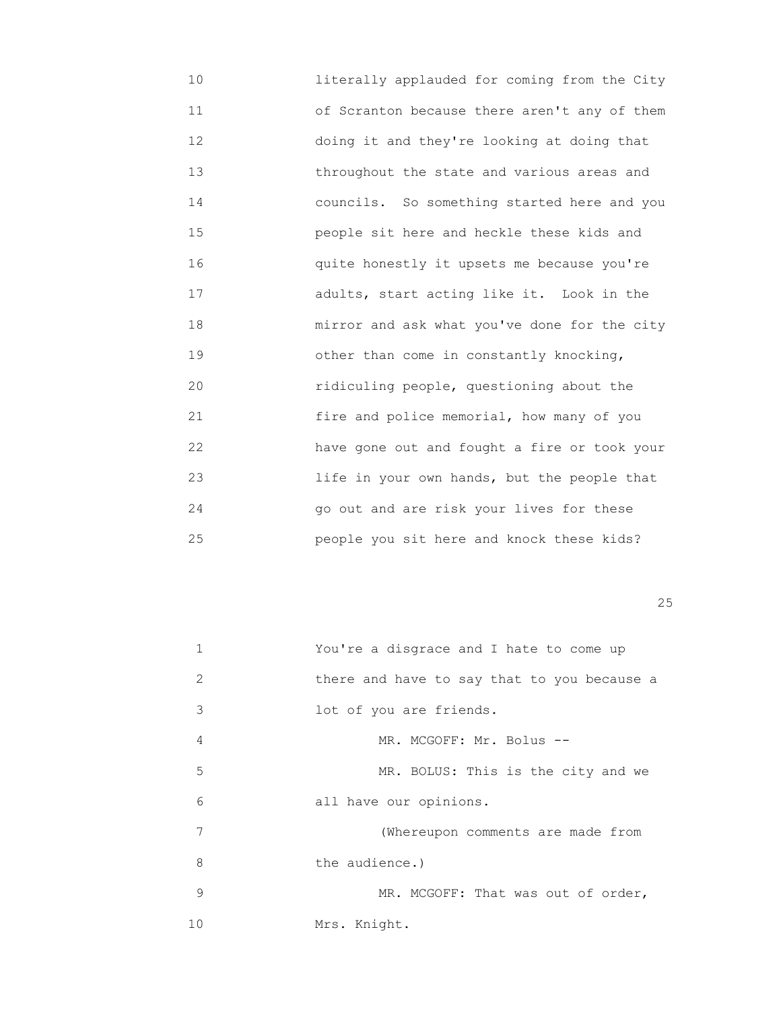10 literally applauded for coming from the City 11 of Scranton because there aren't any of them 12 doing it and they're looking at doing that 13 throughout the state and various areas and 14 councils. So something started here and you 15 people sit here and heckle these kids and 16 quite honestly it upsets me because you're 17 adults, start acting like it. Look in the 18 mirror and ask what you've done for the city 19 other than come in constantly knocking, 20 ridiculing people, questioning about the 21 fire and police memorial, how many of you 22 have gone out and fought a fire or took your 23 life in your own hands, but the people that 24 go out and are risk your lives for these 25 people you sit here and knock these kids?

<u>25</u>

|               | You're a disgrace and I hate to come up     |
|---------------|---------------------------------------------|
| $\mathcal{L}$ | there and have to say that to you because a |
| 3             | lot of you are friends.                     |
| 4             | MR. MCGOFF: Mr. Bolus --                    |
| 5             | MR. BOLUS: This is the city and we          |
| 6             | all have our opinions.                      |
| 7             | (Whereupon comments are made from           |
| 8             | the audience.)                              |
| 9             | MR. MCGOFF: That was out of order,          |
| 10            | Mrs. Knight.                                |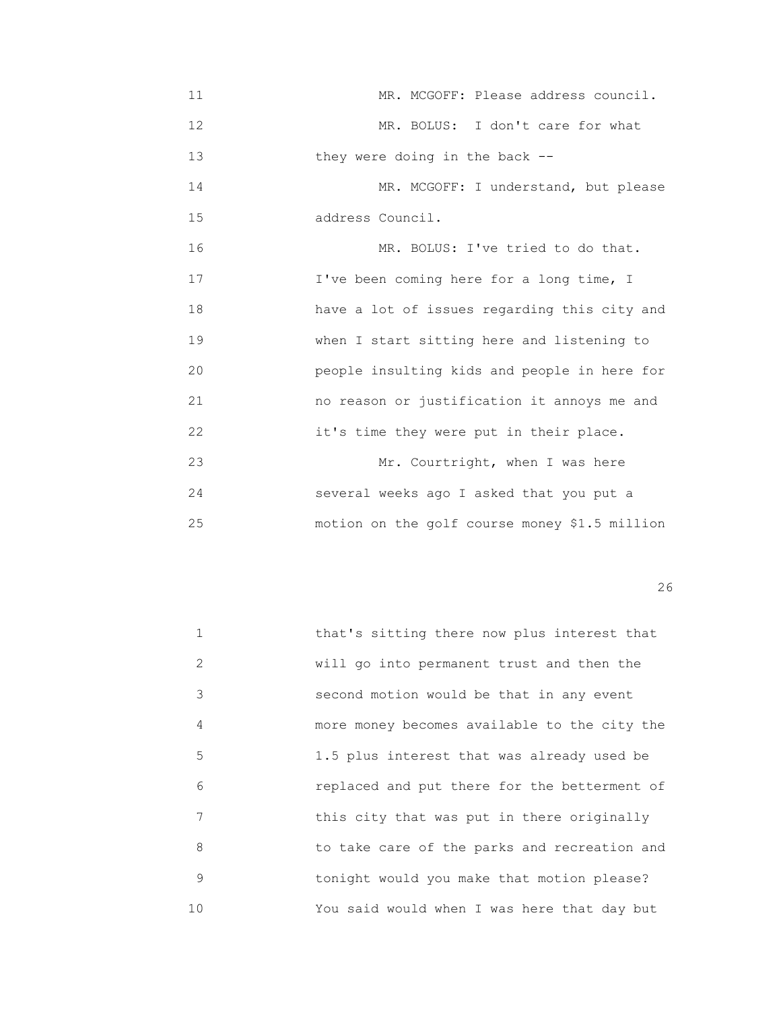- 11 **11** MR. MCGOFF: Please address council. 12 MR. BOLUS: I don't care for what 13 they were doing in the back -- 14 MR. MCGOFF: I understand, but please 15 address Council. 16 MR. BOLUS: I've tried to do that. 17 **I've been coming here for a long time, I**  18 have a lot of issues regarding this city and 19 when I start sitting here and listening to 20 people insulting kids and people in here for 21 no reason or justification it annoys me and 22 it's time they were put in their place. 23 Mr. Courtright, when I was here 24 several weeks ago I asked that you put a
- 25 motion on the golf course money \$1.5 million

| $\mathbf{1}$ | that's sitting there now plus interest that  |
|--------------|----------------------------------------------|
| 2            | will go into permanent trust and then the    |
| 3            | second motion would be that in any event     |
| 4            | more money becomes available to the city the |
| 5            | 1.5 plus interest that was already used be   |
| 6            | replaced and put there for the betterment of |
| 7            | this city that was put in there originally   |
| 8            | to take care of the parks and recreation and |
| 9            | tonight would you make that motion please?   |
| 10           | You said would when I was here that day but  |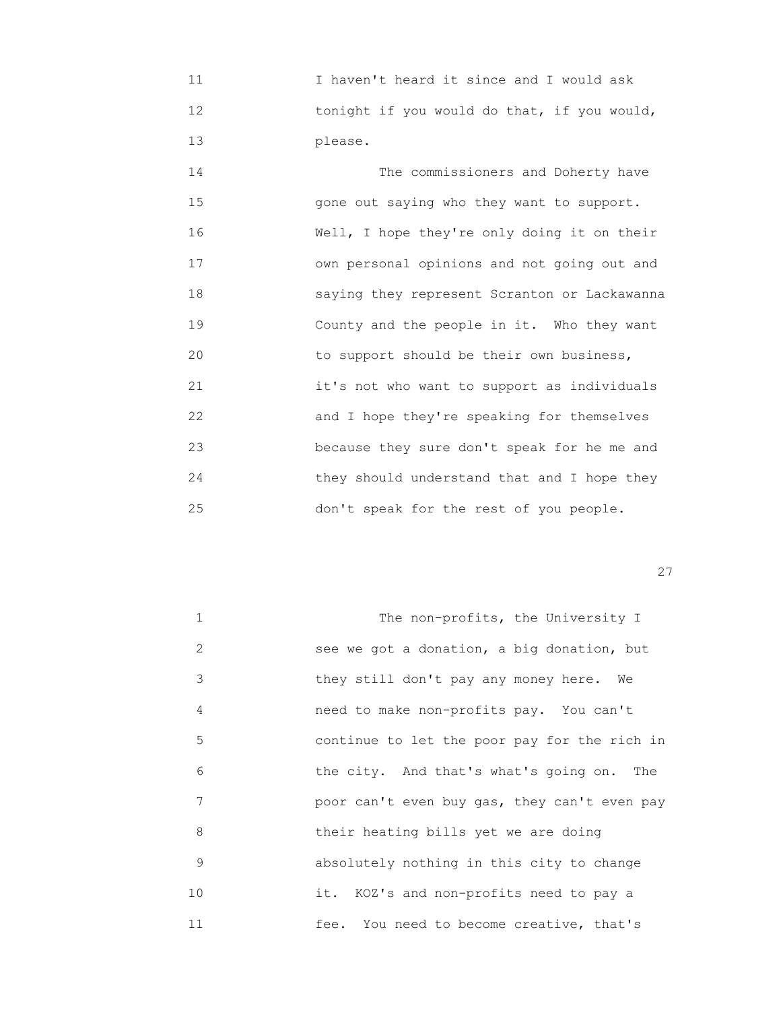11 I haven't heard it since and I would ask 12 tonight if you would do that, if you would, 13 please.

 14 The commissioners and Doherty have 15 gone out saying who they want to support. 16 Well, I hope they're only doing it on their 17 own personal opinions and not going out and 18 saying they represent Scranton or Lackawanna 19 County and the people in it. Who they want 20 to support should be their own business, 21 it's not who want to support as individuals 22 and I hope they're speaking for themselves 23 because they sure don't speak for he me and 24 they should understand that and I hope they 25 don't speak for the rest of you people.

<u>27</u>

| $\mathbf{1}$ | The non-profits, the University I            |
|--------------|----------------------------------------------|
| 2            | see we got a donation, a big donation, but   |
| 3            | they still don't pay any money here.<br>We   |
| 4            | need to make non-profits pay. You can't      |
| 5            | continue to let the poor pay for the rich in |
| 6            | the city. And that's what's going on. The    |
| 7            | poor can't even buy gas, they can't even pay |
| 8            | their heating bills yet we are doing         |
| 9            | absolutely nothing in this city to change    |
| 10           | it. KOZ's and non-profits need to pay a      |
| 11           | fee. You need to become creative, that's     |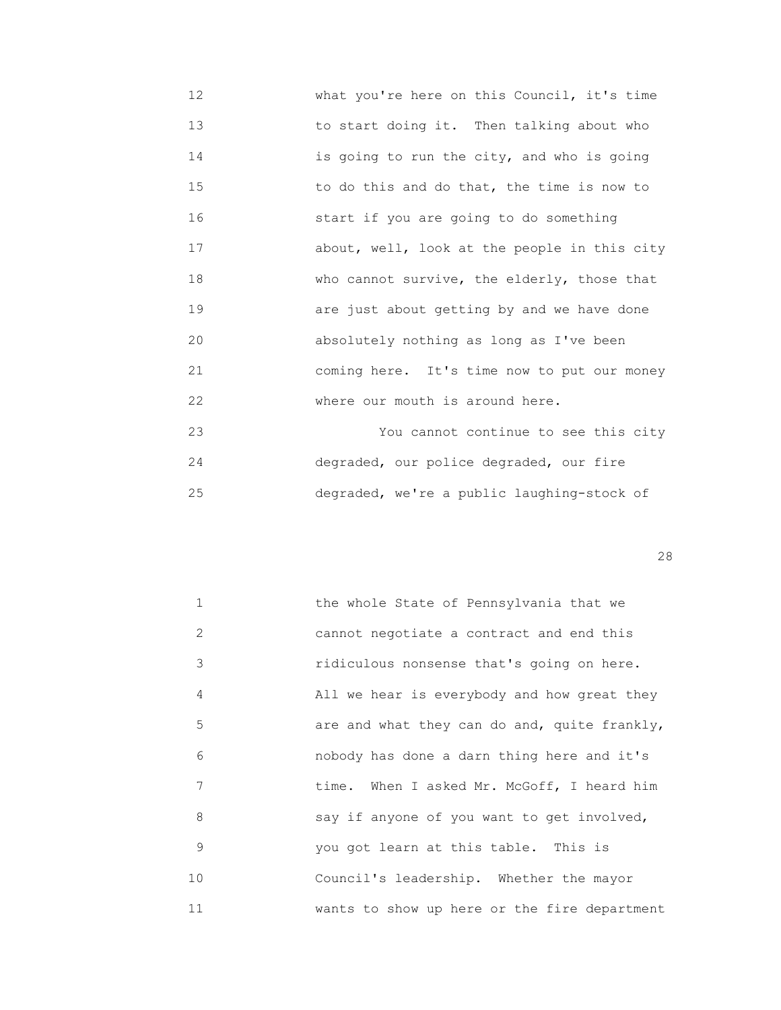- 12 **What you're here on this Council, it's time**  13 to start doing it. Then talking about who 14 is going to run the city, and who is going 15 to do this and do that, the time is now to 16 start if you are going to do something 17 about, well, look at the people in this city 18 who cannot survive, the elderly, those that 19 are just about getting by and we have done 20 absolutely nothing as long as I've been 21 coming here. It's time now to put our money 22 Where our mouth is around here. 23 You cannot continue to see this city
- 24 degraded, our police degraded, our fire 25 degraded, we're a public laughing-stock of

<u>28</u>

 1 the whole State of Pennsylvania that we 2 cannot negotiate a contract and end this 3 ridiculous nonsense that's going on here. 4 All we hear is everybody and how great they 5 are and what they can do and, quite frankly, 6 nobody has done a darn thing here and it's 7 time. When I asked Mr. McGoff, I heard him 8 say if anyone of you want to get involved, 9 you got learn at this table. This is 10 Council's leadership. Whether the mayor 11 wants to show up here or the fire department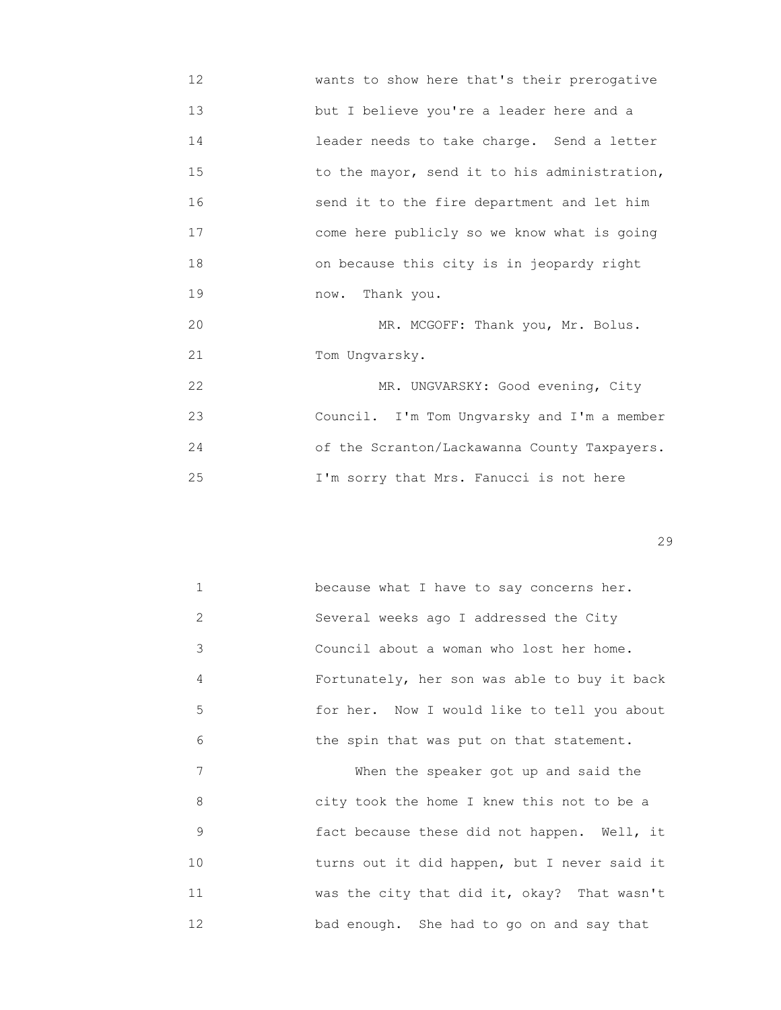12 **WARENE WARENE WAREN** IS their prerogative 13 but I believe you're a leader here and a 14 leader needs to take charge. Send a letter 15 **15** to the mayor, send it to his administration, 16 send it to the fire department and let him 17 come here publicly so we know what is going 18 on because this city is in jeopardy right 19 now. Thank you. 20 MR. MCGOFF: Thank you, Mr. Bolus.

21 Tom Ungvarsky.

22 MR. UNGVARSKY: Good evening, City 23 Council. I'm Tom Ungvarsky and I'm a member 24 of the Scranton/Lackawanna County Taxpayers. 25 I'm sorry that Mrs. Fanucci is not here

| $\mathbf{1}$ | because what I have to say concerns her.     |
|--------------|----------------------------------------------|
| 2            | Several weeks ago I addressed the City       |
| 3            | Council about a woman who lost her home.     |
| 4            | Fortunately, her son was able to buy it back |
| 5            | for her. Now I would like to tell you about  |
| 6            | the spin that was put on that statement.     |
| 7            | When the speaker got up and said the         |
| 8            | city took the home I knew this not to be a   |
| 9            | fact because these did not happen. Well, it  |
| 10           | turns out it did happen, but I never said it |
| 11           | was the city that did it, okay? That wasn't  |
| 12           | bad enough. She had to go on and say that    |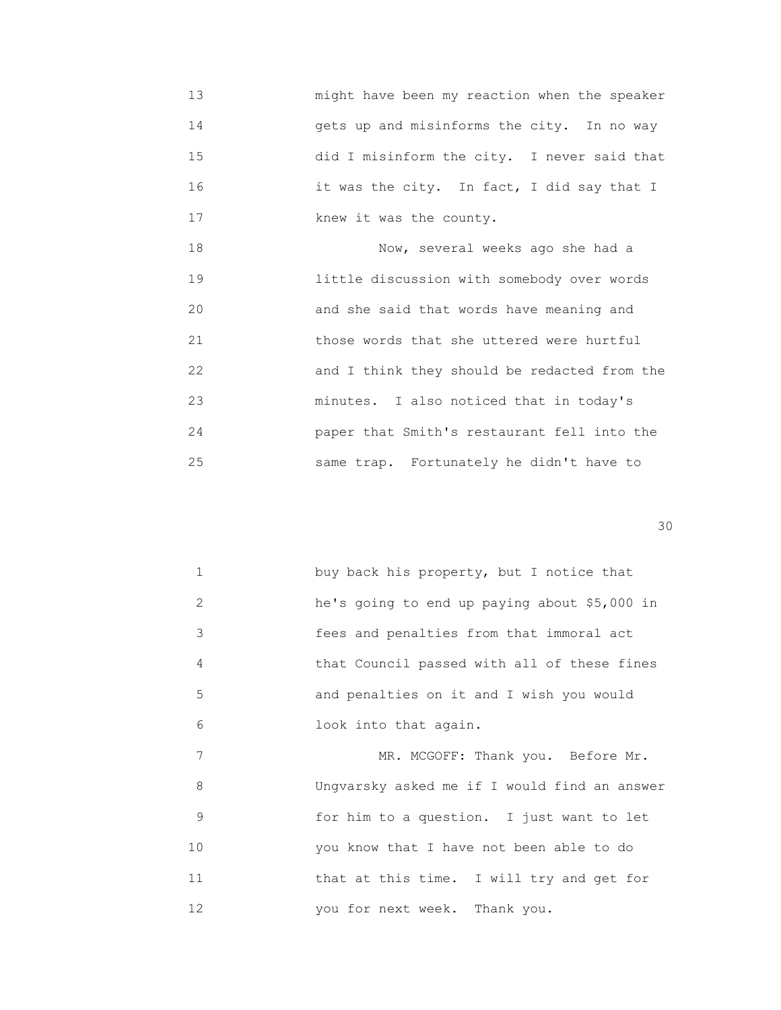13 might have been my reaction when the speaker 14 gets up and misinforms the city. In no way 15 did I misinform the city. I never said that 16 it was the city. In fact, I did say that I 17 **Example 21 R** knew it was the county.

 18 Now, several weeks ago she had a 19 little discussion with somebody over words 20 and she said that words have meaning and 21 those words that she uttered were hurtful 22 and I think they should be redacted from the 23 minutes. I also noticed that in today's 24 paper that Smith's restaurant fell into the 25 same trap. Fortunately he didn't have to

30

|                             | buy back his property, but I notice that     |
|-----------------------------|----------------------------------------------|
| $\mathcal{D}_{\mathcal{A}}$ | he's going to end up paying about \$5,000 in |
| 3                           | fees and penalties from that immoral act     |
| 4                           | that Council passed with all of these fines  |
| 5                           | and penalties on it and I wish you would     |
| 6                           | look into that again.                        |

7 MR. MCGOFF: Thank you. Before Mr. 8 Ungvarsky asked me if I would find an answer 9 for him to a question. I just want to let 10 you know that I have not been able to do 11 **that at this time.** I will try and get for 12 you for next week. Thank you.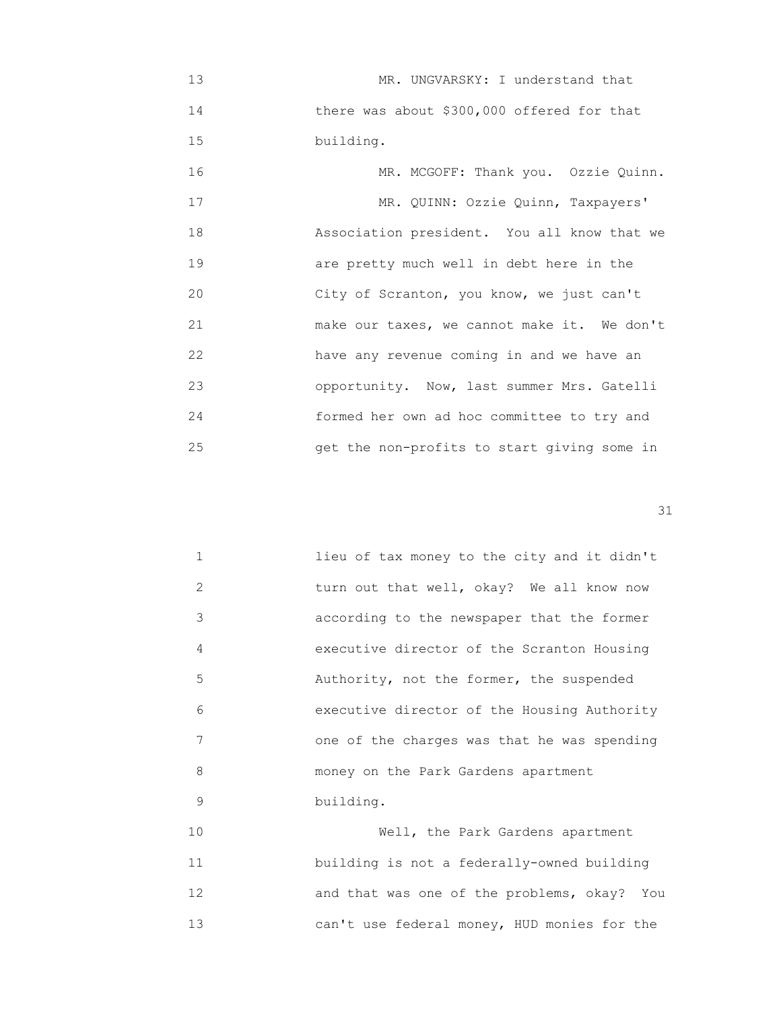13 MR. UNGVARSKY: I understand that 14 **there was about \$300,000 offered for that** 15 **building.** 

| 16 | MR. MCGOFF: Thank you. Ozzie Quinn.         |
|----|---------------------------------------------|
| 17 | MR. QUINN: Ozzie Quinn, Taxpayers'          |
| 18 | Association president. You all know that we |
| 19 | are pretty much well in debt here in the    |
| 20 | City of Scranton, you know, we just can't   |
| 21 | make our taxes, we cannot make it. We don't |
| 22 | have any revenue coming in and we have an   |
| 23 | opportunity. Now, last summer Mrs. Gatelli  |
| 24 | formed her own ad hoc committee to try and  |
| 25 | get the non-profits to start giving some in |

31

|               | lieu of tax money to the city and it didn't |
|---------------|---------------------------------------------|
| $\mathcal{L}$ | turn out that well, okay? We all know now   |
| 3             | according to the newspaper that the former  |
| 4             | executive director of the Scranton Housing  |
| 5             | Authority, not the former, the suspended    |
| 6             | executive director of the Housing Authority |
| 7             | one of the charges was that he was spending |
| 8             | money on the Park Gardens apartment         |
| 9             | building.                                   |

 10 Well, the Park Gardens apartment 11 building is not a federally-owned building 12 and that was one of the problems, okay? You 13 can't use federal money, HUD monies for the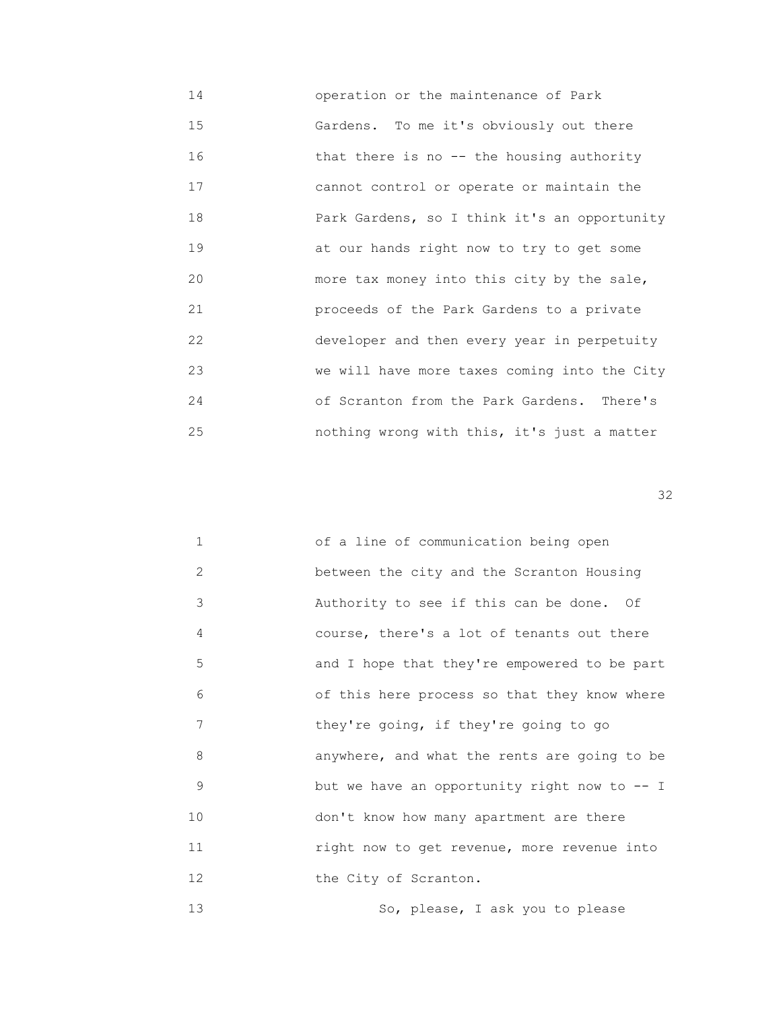14 operation or the maintenance of Park 15 Gardens. To me it's obviously out there 16 that there is no -- the housing authority 17 cannot control or operate or maintain the 18 **18 Park Gardens, so I think it's an opportunity**  19 at our hands right now to try to get some 20 more tax money into this city by the sale, 21 proceeds of the Park Gardens to a private 22 developer and then every year in perpetuity 23 we will have more taxes coming into the City 24 of Scranton from the Park Gardens. There's 25 nothing wrong with this, it's just a matter

 $32$ 

| $\mathbf{1}$ | of a line of communication being open         |
|--------------|-----------------------------------------------|
| 2            | between the city and the Scranton Housing     |
| 3            | Authority to see if this can be done. Of      |
| 4            | course, there's a lot of tenants out there    |
| 5            | and I hope that they're empowered to be part  |
| 6            | of this here process so that they know where  |
| 7            | they're going, if they're going to go         |
| 8            | anywhere, and what the rents are going to be  |
| 9            | but we have an opportunity right now to $-$ I |
| 10           | don't know how many apartment are there       |
| 11           | right now to get revenue, more revenue into   |
| 12           | the City of Scranton.                         |
|              |                                               |

13 So, please, I ask you to please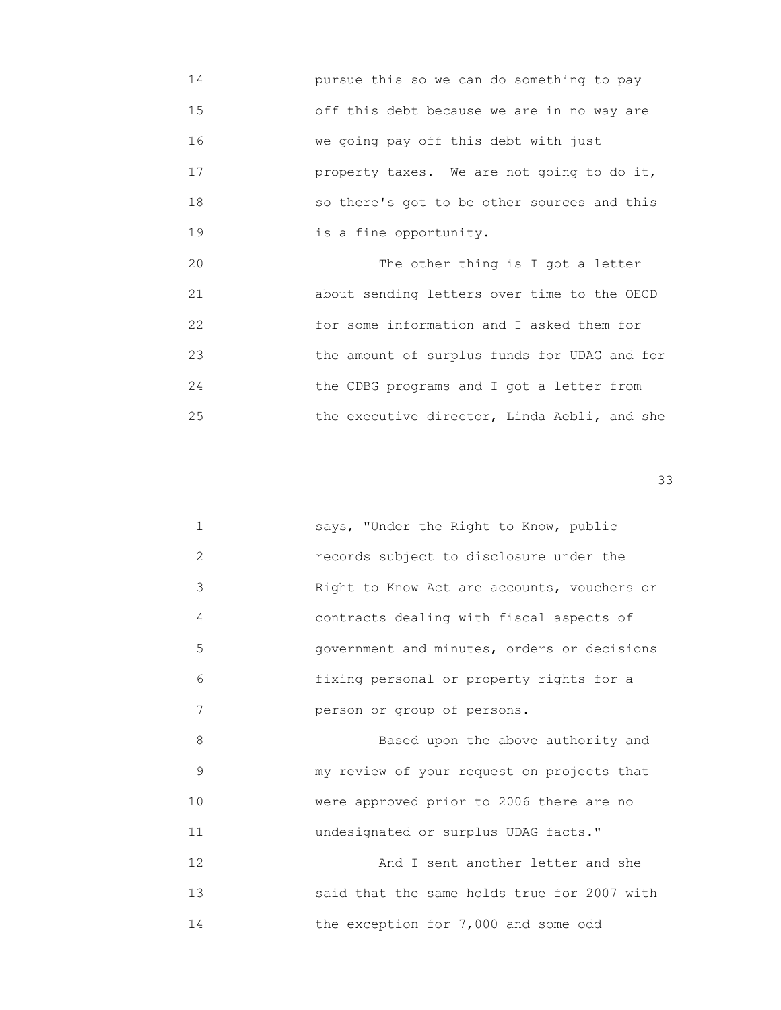14 pursue this so we can do something to pay 15 off this debt because we are in no way are 16 we going pay off this debt with just 17 property taxes. We are not going to do it, 18 so there's got to be other sources and this 19 is a fine opportunity.

20 The other thing is I got a letter 21 about sending letters over time to the OECD 22 for some information and I asked them for 23 the amount of surplus funds for UDAG and for 24 the CDBG programs and I got a letter from 25 the executive director, Linda Aebli, and she

 $33$ 

|   | says, "Under the Right to Know, public      |
|---|---------------------------------------------|
| 2 | records subject to disclosure under the     |
| 3 | Right to Know Act are accounts, vouchers or |
| 4 | contracts dealing with fiscal aspects of    |
| 5 | government and minutes, orders or decisions |
| 6 | fixing personal or property rights for a    |
| 7 | person or group of persons.                 |
| 8 | Based upon the above authority and          |
| 9 | my review of your request on projects that  |

10 **were approved prior to 2006 there are no** 11 undesignated or surplus UDAG facts."

12 **and I** sent another letter and she 13 said that the same holds true for 2007 with 14 the exception for 7,000 and some odd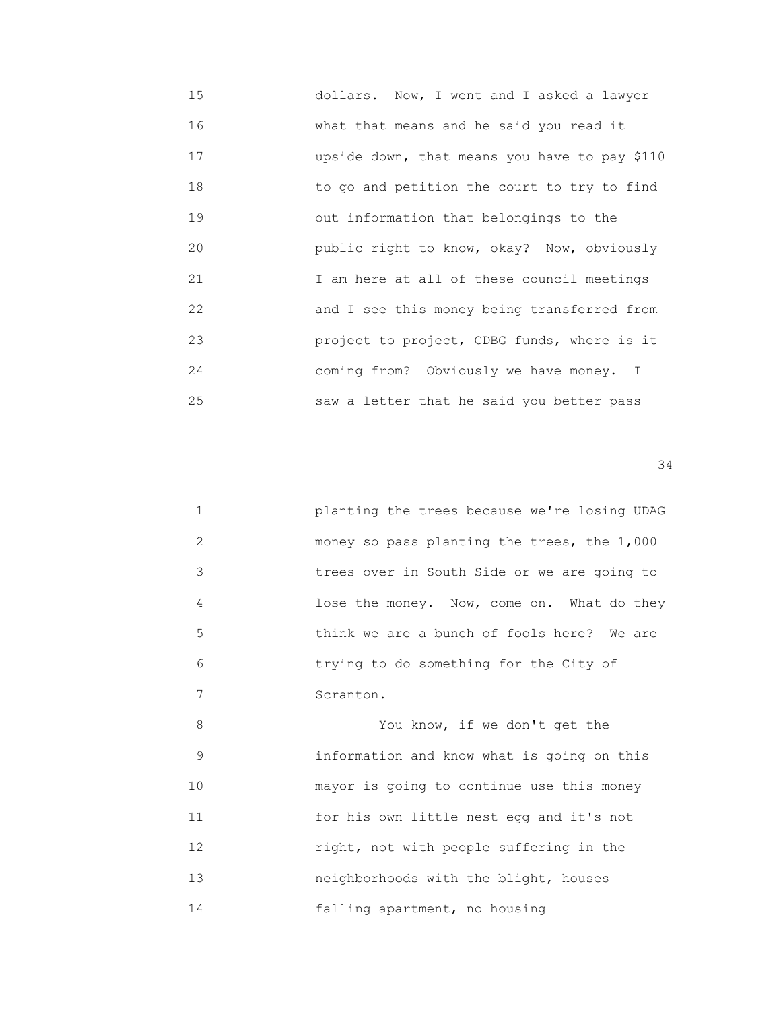15 dollars. Now, I went and I asked a lawyer 16 what that means and he said you read it 17 upside down, that means you have to pay \$110 18 to go and petition the court to try to find 19 out information that belongings to the 20 public right to know, okay? Now, obviously 21 I am here at all of these council meetings 22 and I see this money being transferred from 23 project to project, CDBG funds, where is it 24 coming from? Obviously we have money. I 25 saw a letter that he said you better pass

| $\mathbf{1}$ | planting the trees because we're losing UDAG |
|--------------|----------------------------------------------|
| 2            | money so pass planting the trees, the 1,000  |
| 3            | trees over in South Side or we are going to  |
| 4            | lose the money. Now, come on. What do they   |
| 5            | think we are a bunch of fools here? We are   |
| 6            | trying to do something for the City of       |
| 7            | Scranton.                                    |
| 8            | You know, if we don't get the                |
| 9            | information and know what is going on this   |
| 10           | mayor is going to continue use this money    |
| 11           | for his own little nest egg and it's not     |
| 12           | right, not with people suffering in the      |
| 13           | neighborhoods with the blight, houses        |
| 14           | falling apartment, no housing                |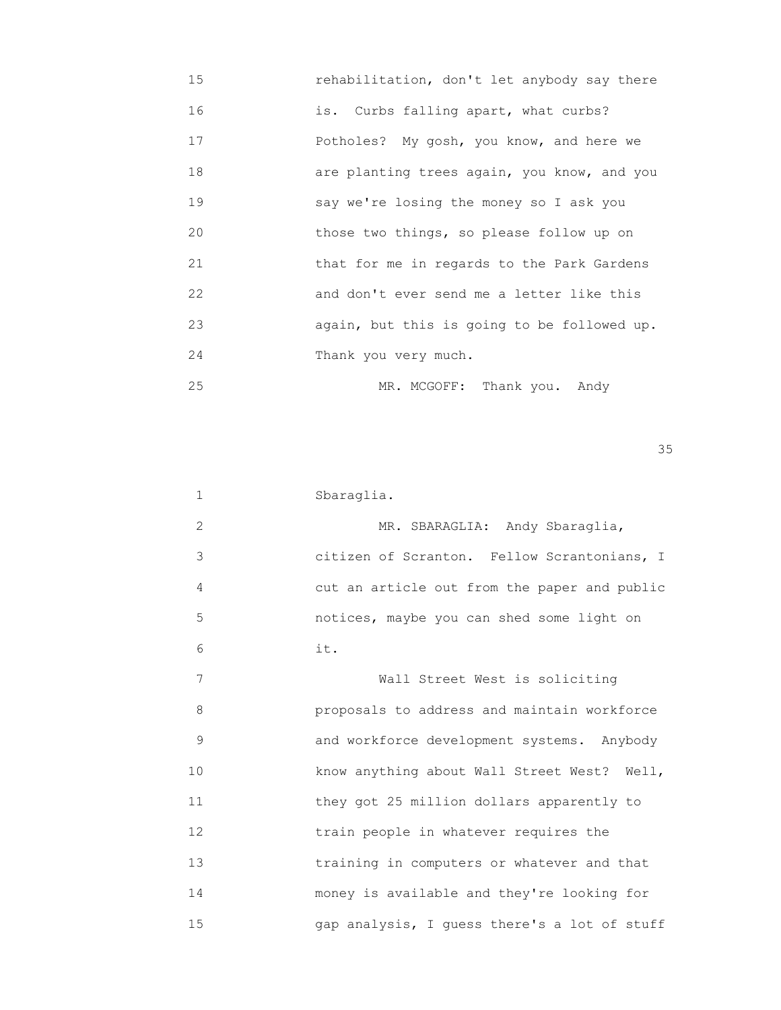| 15 | rehabilitation, don't let anybody say there |
|----|---------------------------------------------|
| 16 | is. Curbs falling apart, what curbs?        |
| 17 | Potholes? My gosh, you know, and here we    |
| 18 | are planting trees again, you know, and you |
| 19 | say we're losing the money so I ask you     |
| 20 | those two things, so please follow up on    |
| 21 | that for me in regards to the Park Gardens  |
| 22 | and don't ever send me a letter like this   |
| 23 | again, but this is going to be followed up. |
| 24 | Thank you very much.                        |
| 25 | MR. MCGOFF: Thank you. Andy                 |

| 1              | Sbaraglia.                                   |
|----------------|----------------------------------------------|
| $\overline{2}$ | MR. SBARAGLIA: Andy Sbaraglia,               |
| 3              | citizen of Scranton. Fellow Scrantonians, I  |
| 4              | cut an article out from the paper and public |
| 5              | notices, maybe you can shed some light on    |
| 6              | it.                                          |
| 7              | Wall Street West is soliciting               |
| 8              | proposals to address and maintain workforce  |
| 9              | and workforce development systems. Anybody   |
| 10             | know anything about Wall Street West? Well,  |
| 11             | they got 25 million dollars apparently to    |
| 12             | train people in whatever requires the        |
| 13             | training in computers or whatever and that   |
| 14             | money is available and they're looking for   |
| 15             | gap analysis, I quess there's a lot of stuff |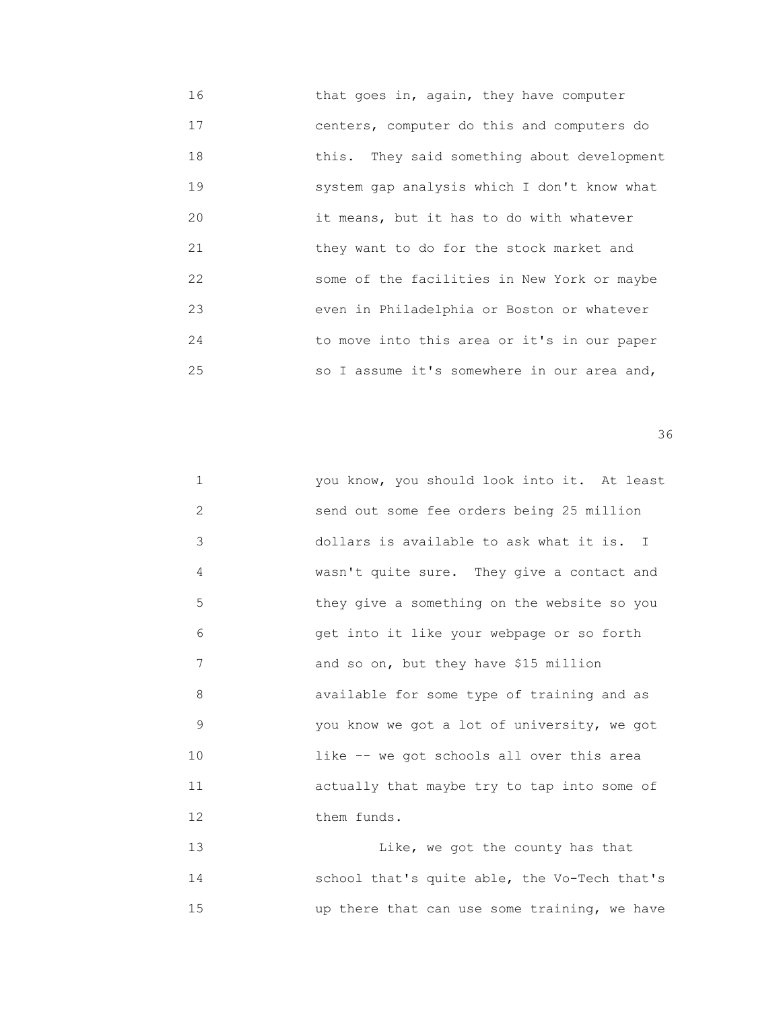16 that goes in, again, they have computer 17 centers, computer do this and computers do 18 this. They said something about development 19 system gap analysis which I don't know what 20 it means, but it has to do with whatever 21 they want to do for the stock market and 22 some of the facilities in New York or maybe 23 even in Philadelphia or Boston or whatever 24 to move into this area or it's in our paper 25 so I assume it's somewhere in our area and,

 $36$ 

| $\mathbf{1}$ | you know, you should look into it. At least |
|--------------|---------------------------------------------|
| 2            | send out some fee orders being 25 million   |
| 3            | dollars is available to ask what it is. I   |
| 4            | wasn't quite sure. They give a contact and  |
| 5            | they give a something on the website so you |
| 6            | get into it like your webpage or so forth   |
| 7            | and so on, but they have \$15 million       |
| 8            | available for some type of training and as  |
| 9            | you know we got a lot of university, we got |
| 10           | like -- we got schools all over this area   |
| 11           | actually that maybe try to tap into some of |
| 12           | them funds.                                 |
|              |                                             |

 13 Like, we got the county has that 14 school that's quite able, the Vo-Tech that's 15 up there that can use some training, we have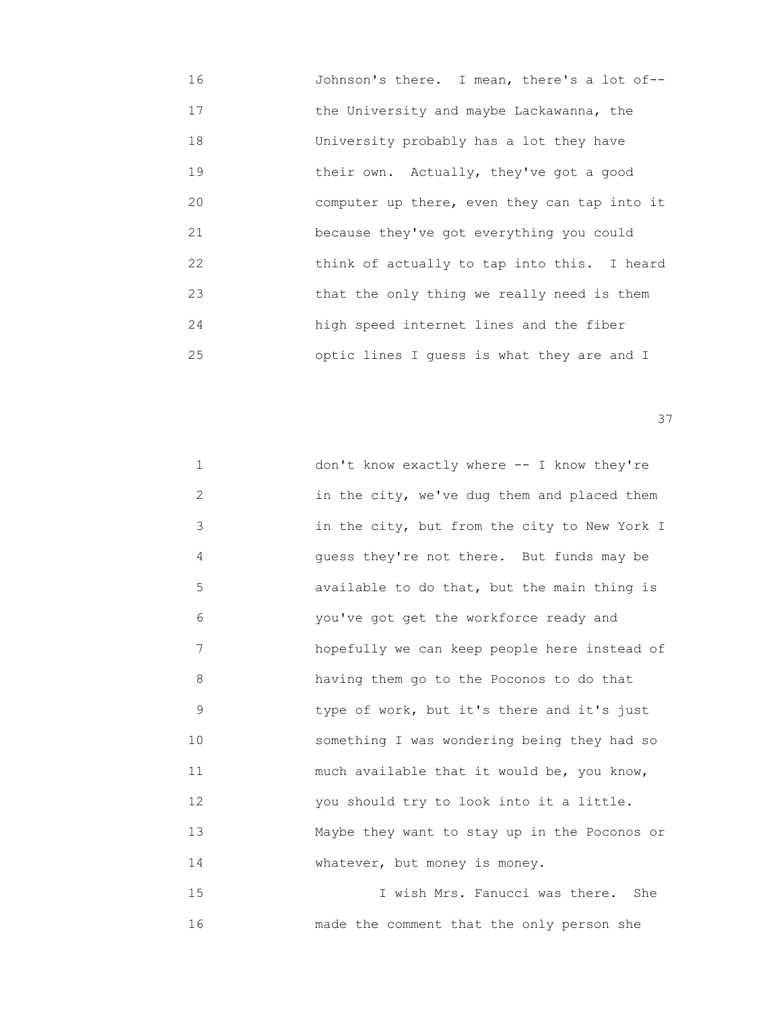16 Johnson's there. I mean, there's a lot of-- 17 the University and maybe Lackawanna, the 18 University probably has a lot they have 19 their own. Actually, they've got a good 20 computer up there, even they can tap into it 21 because they've got everything you could 22 think of actually to tap into this. I heard 23 that the only thing we really need is them 24 high speed internet lines and the fiber 25 optic lines I guess is what they are and I

<u>37</u>

| $\mathbf 1$       | don't know exactly where -- I know they're   |
|-------------------|----------------------------------------------|
| 2                 | in the city, we've dug them and placed them  |
| 3                 | in the city, but from the city to New York I |
| 4                 | quess they're not there. But funds may be    |
| 5                 | available to do that, but the main thing is  |
| 6                 | you've got get the workforce ready and       |
| 7                 | hopefully we can keep people here instead of |
| 8                 | having them go to the Poconos to do that     |
| 9                 | type of work, but it's there and it's just   |
| 10                | something I was wondering being they had so  |
| 11                | much available that it would be, you know,   |
| $12 \overline{ }$ | you should try to look into it a little.     |
| 13                | Maybe they want to stay up in the Poconos or |
| 14                | whatever, but money is money.                |
|                   |                                              |

 15 I wish Mrs. Fanucci was there. She 16 made the comment that the only person she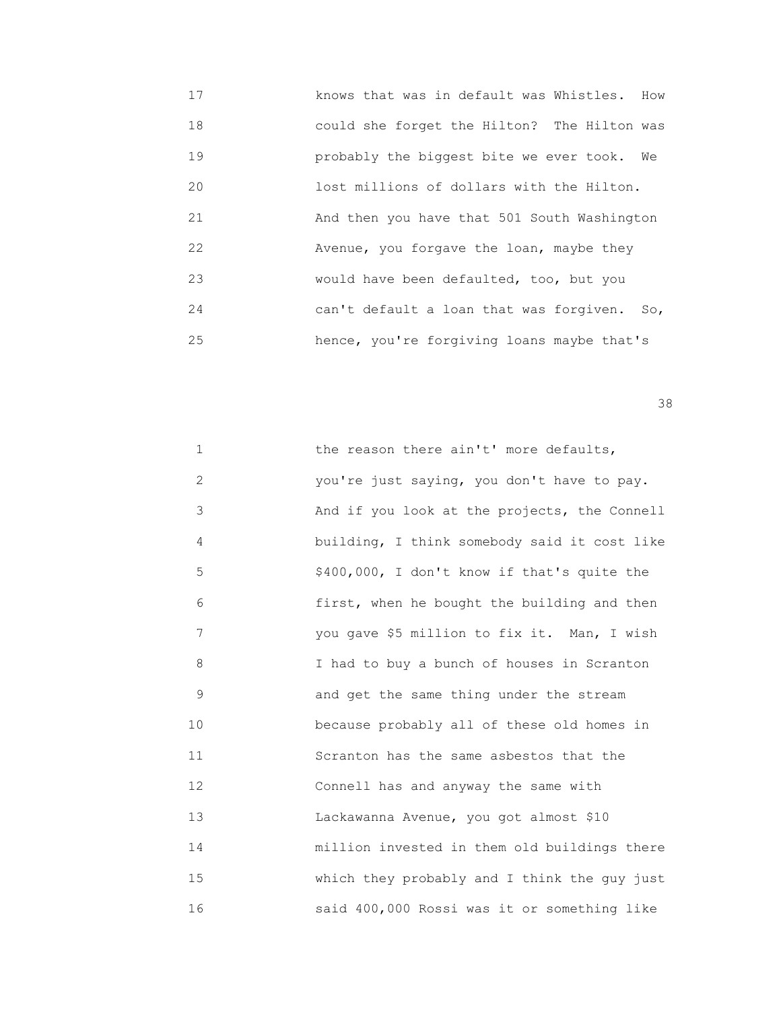17 knows that was in default was Whistles. How 18 could she forget the Hilton? The Hilton was 19 probably the biggest bite we ever took. We 20 lost millions of dollars with the Hilton. 21 And then you have that 501 South Washington 22 Avenue, you forgave the loan, maybe they 23 would have been defaulted, too, but you 24 can't default a loan that was forgiven. So, 25 hence, you're forgiving loans maybe that's

<u>38 and 2001 and 2002 and 2003 and 2003 and 2003 and 2003 and 2003 and 2003 and 2003 and 2003 and 2003 and 200</u>

| $\mathbf 1$       | the reason there ain't' more defaults,       |
|-------------------|----------------------------------------------|
| $\mathbf{2}$      | you're just saying, you don't have to pay.   |
| 3                 | And if you look at the projects, the Connell |
| 4                 | building, I think somebody said it cost like |
| 5                 | \$400,000, I don't know if that's quite the  |
| 6                 | first, when he bought the building and then  |
| 7                 | you gave \$5 million to fix it. Man, I wish  |
| 8                 | I had to buy a bunch of houses in Scranton   |
| 9                 | and get the same thing under the stream      |
| 10                | because probably all of these old homes in   |
| 11                | Scranton has the same asbestos that the      |
| $12 \overline{ }$ | Connell has and anyway the same with         |
| 13                | Lackawanna Avenue, you got almost \$10       |
| 14                | million invested in them old buildings there |
| 15                | which they probably and I think the guy just |
| 16                | said 400,000 Rossi was it or something like  |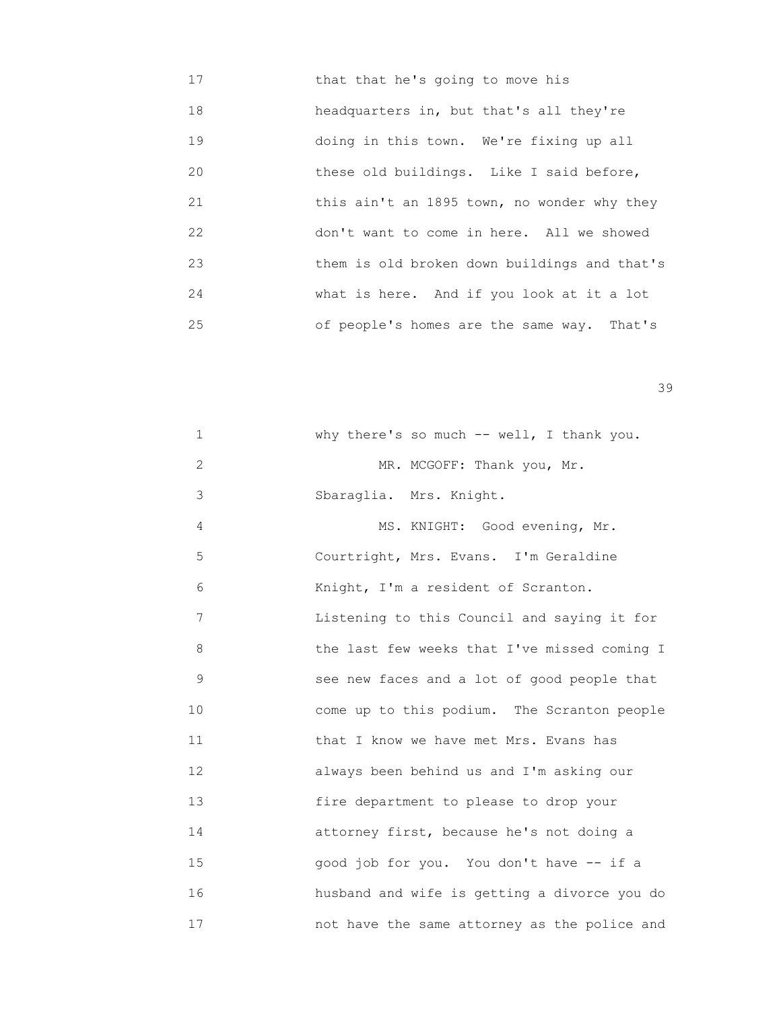17 that that he's going to move his 18 headquarters in, but that's all they're 19 doing in this town. We're fixing up all 20 these old buildings. Like I said before, 21 **this ain't an 1895 town, no wonder why they**  22 don't want to come in here. All we showed 23 them is old broken down buildings and that's 24 what is here. And if you look at it a lot 25 of people's homes are the same way. That's

| $\mathbf 1$ | why there's so much -- well, I thank you.    |
|-------------|----------------------------------------------|
| 2           | MR. MCGOFF: Thank you, Mr.                   |
| 3           | Sbaraglia. Mrs. Knight.                      |
| 4           | MS. KNIGHT: Good evening, Mr.                |
| 5           | Courtright, Mrs. Evans. I'm Geraldine        |
| 6           | Knight, I'm a resident of Scranton.          |
| 7           | Listening to this Council and saying it for  |
| 8           | the last few weeks that I've missed coming I |
| 9           | see new faces and a lot of good people that  |
| 10          | come up to this podium. The Scranton people  |
| 11          | that I know we have met Mrs. Evans has       |
| 12          | always been behind us and I'm asking our     |
| 13          | fire department to please to drop your       |
| 14          | attorney first, because he's not doing a     |
| 15          | good job for you. You don't have -- if a     |
| 16          | husband and wife is getting a divorce you do |
| 17          | not have the same attorney as the police and |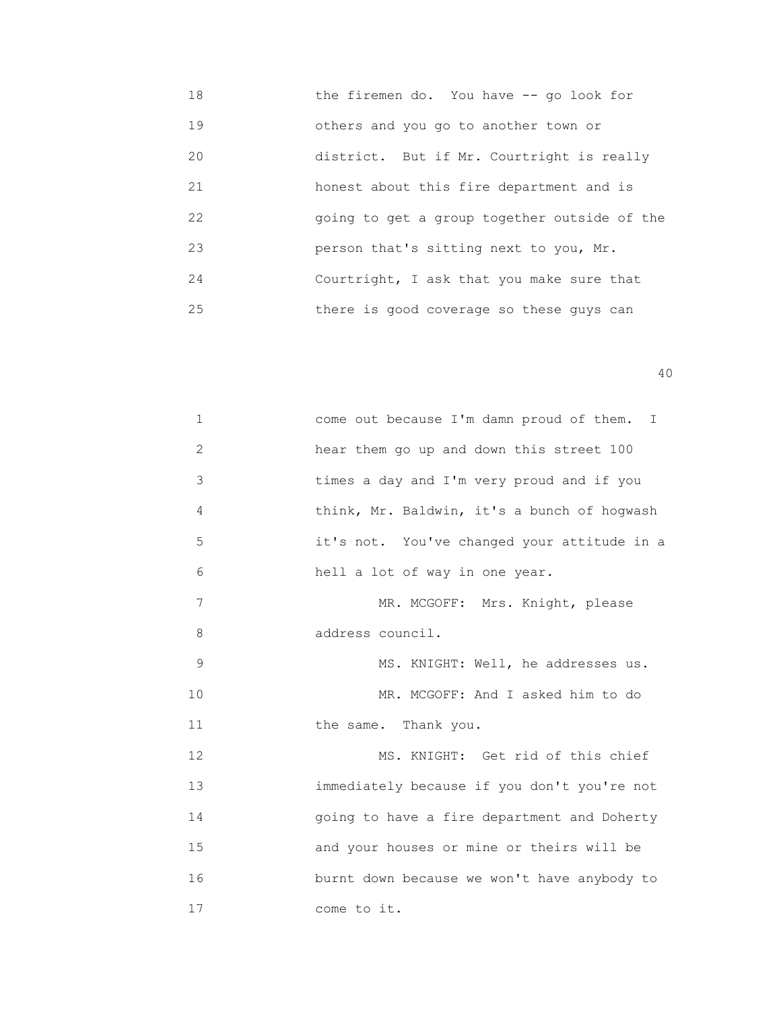18 the firemen do. You have -- go look for 19 others and you go to another town or 20 district. But if Mr. Courtright is really 21 honest about this fire department and is 22 going to get a group together outside of the 23 person that's sitting next to you, Mr. 24 Courtright, I ask that you make sure that 25 there is good coverage so these guys can

| $\mathbf 1$   | come out because I'm damn proud of them. I  |
|---------------|---------------------------------------------|
| $\mathbf{2}$  | hear them go up and down this street 100    |
| 3             | times a day and I'm very proud and if you   |
| 4             | think, Mr. Baldwin, it's a bunch of hogwash |
| 5             | it's not. You've changed your attitude in a |
| 6             | hell a lot of way in one year.              |
| 7             | MR. MCGOFF: Mrs. Knight, please             |
| 8             | address council.                            |
| $\mathcal{G}$ | MS. KNIGHT: Well, he addresses us.          |
| 10            | MR. MCGOFF: And I asked him to do           |
| 11            | the same. Thank you.                        |
| 12            | MS. KNIGHT: Get rid of this chief           |
| 13            | immediately because if you don't you're not |
| 14            | going to have a fire department and Doherty |
| 15            | and your houses or mine or theirs will be   |
| 16            | burnt down because we won't have anybody to |
| 17            | come to it.                                 |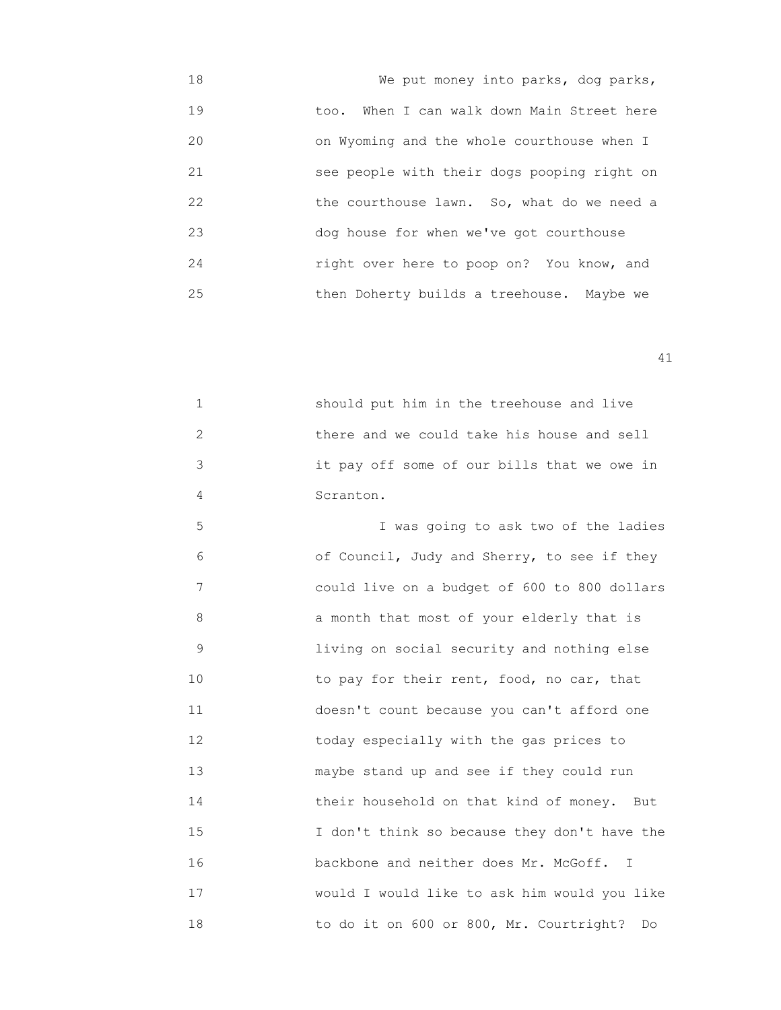18 We put money into parks, dog parks, 19 too. When I can walk down Main Street here 20 on Wyoming and the whole courthouse when I 21 see people with their dogs pooping right on 22 the courthouse lawn. So, what do we need a 23 dog house for when we've got courthouse 24 right over here to poop on? You know, and 25 then Doherty builds a treehouse. Maybe we

41

 1 should put him in the treehouse and live 2 there and we could take his house and sell 3 it pay off some of our bills that we owe in 4 Scranton.

 5 I was going to ask two of the ladies 6 of Council, Judy and Sherry, to see if they 7 could live on a budget of 600 to 800 dollars 8 a month that most of your elderly that is 9 living on social security and nothing else 10 **10** to pay for their rent, food, no car, that 11 doesn't count because you can't afford one 12 **12** today especially with the gas prices to 13 maybe stand up and see if they could run 14 their household on that kind of money. But 15 I don't think so because they don't have the 16 backbone and neither does Mr. McGoff. I 17 would I would like to ask him would you like 18 to do it on 600 or 800, Mr. Courtright? Do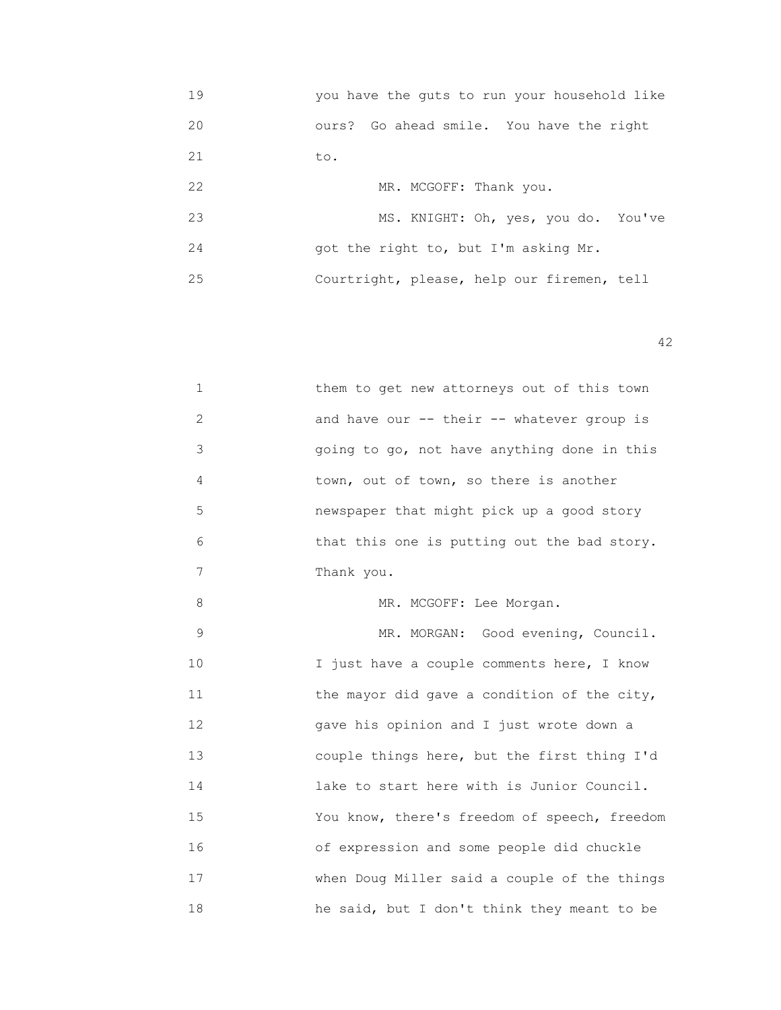19 you have the guts to run your household like 20 ours? Go ahead smile. You have the right 21 to. 22 MR. MCGOFF: Thank you. 23 MS. KNIGHT: Oh, yes, you do. You've 24 got the right to, but I'm asking Mr. 25 Courtright, please, help our firemen, tell

| $\mathbf 1$ | them to get new attorneys out of this town   |
|-------------|----------------------------------------------|
| 2           | and have our -- their -- whatever group is   |
| 3           | going to go, not have anything done in this  |
| 4           | town, out of town, so there is another       |
| 5           | newspaper that might pick up a good story    |
| 6           | that this one is putting out the bad story.  |
| 7           | Thank you.                                   |
| 8           | MR. MCGOFF: Lee Morgan.                      |
| $\mathsf 9$ | MR. MORGAN: Good evening, Council.           |
| 10          | I just have a couple comments here, I know   |
| 11          | the mayor did gave a condition of the city,  |
| 12          | gave his opinion and I just wrote down a     |
| 13          | couple things here, but the first thing I'd  |
| 14          | lake to start here with is Junior Council.   |
| 15          | You know, there's freedom of speech, freedom |
| 16          | of expression and some people did chuckle    |
| 17          | when Doug Miller said a couple of the things |
| 18          | he said, but I don't think they meant to be  |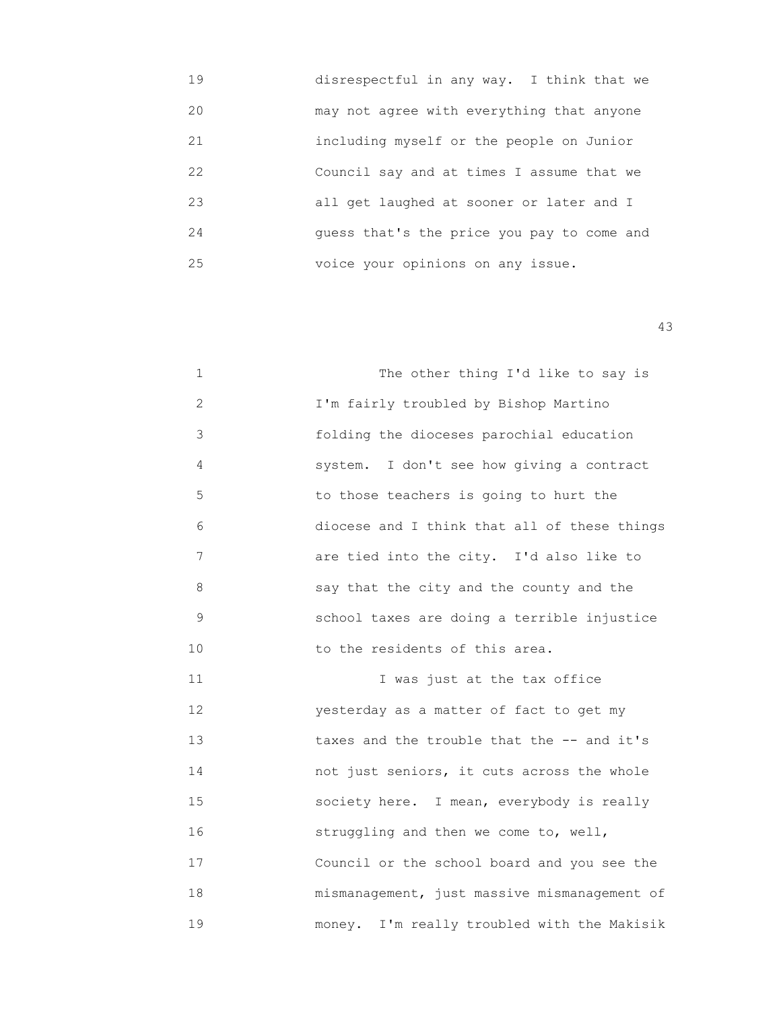| 19 | disrespectful in any way. I think that we  |
|----|--------------------------------------------|
| 20 | may not agree with everything that anyone  |
| 21 | including myself or the people on Junior   |
| 22 | Council say and at times I assume that we  |
| 23 | all get laughed at sooner or later and I   |
| 24 | quess that's the price you pay to come and |
| 25 | voice your opinions on any issue.          |
|    |                                            |

| $\mathbf{1}$ | The other thing I'd like to say is           |
|--------------|----------------------------------------------|
| 2            | I'm fairly troubled by Bishop Martino        |
| 3            | folding the dioceses parochial education     |
| 4            | system. I don't see how giving a contract    |
| 5            | to those teachers is going to hurt the       |
| 6            | diocese and I think that all of these things |
| 7            | are tied into the city. I'd also like to     |
| 8            | say that the city and the county and the     |
| 9            | school taxes are doing a terrible injustice  |
| 10           | to the residents of this area.               |

 11 I was just at the tax office 12 yesterday as a matter of fact to get my 13 taxes and the trouble that the -- and it's 14 not just seniors, it cuts across the whole 15 society here. I mean, everybody is really 16 struggling and then we come to, well, 17 Council or the school board and you see the 18 mismanagement, just massive mismanagement of 19 money. I'm really troubled with the Makisik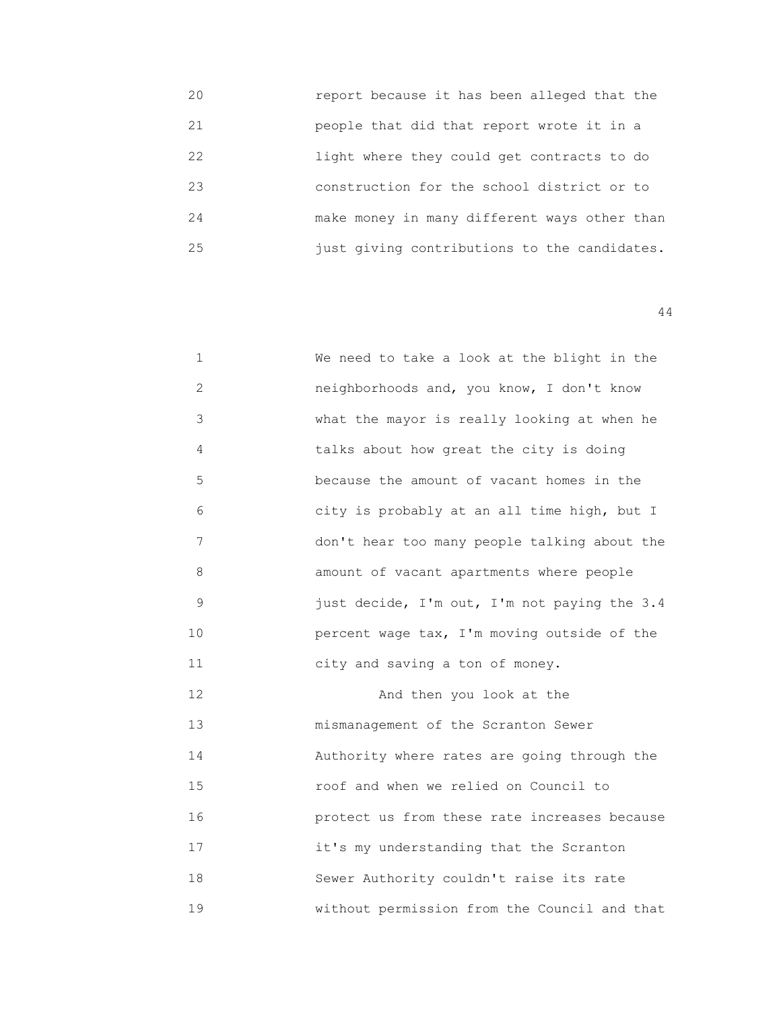20 report because it has been alleged that the 21 people that did that report wrote it in a 22 light where they could get contracts to do 23 construction for the school district or to 24 make money in many different ways other than 25 just giving contributions to the candidates.

44

| $\mathbf 1$ | We need to take a look at the blight in the  |
|-------------|----------------------------------------------|
| 2           | neighborhoods and, you know, I don't know    |
| 3           | what the mayor is really looking at when he  |
| 4           | talks about how great the city is doing      |
| 5           | because the amount of vacant homes in the    |
| 6           | city is probably at an all time high, but I  |
| 7           | don't hear too many people talking about the |
| 8           | amount of vacant apartments where people     |
| $\mathsf 9$ | just decide, I'm out, I'm not paying the 3.4 |
| 10          | percent wage tax, I'm moving outside of the  |
| 11          | city and saving a ton of money.              |
| 12          | And then you look at the                     |
| 13          | mismanagement of the Scranton Sewer          |
| 14          | Authority where rates are going through the  |
| 15          | roof and when we relied on Council to        |
| 16          | protect us from these rate increases because |
| 17          | it's my understanding that the Scranton      |
| 18          | Sewer Authority couldn't raise its rate      |

19 without permission from the Council and that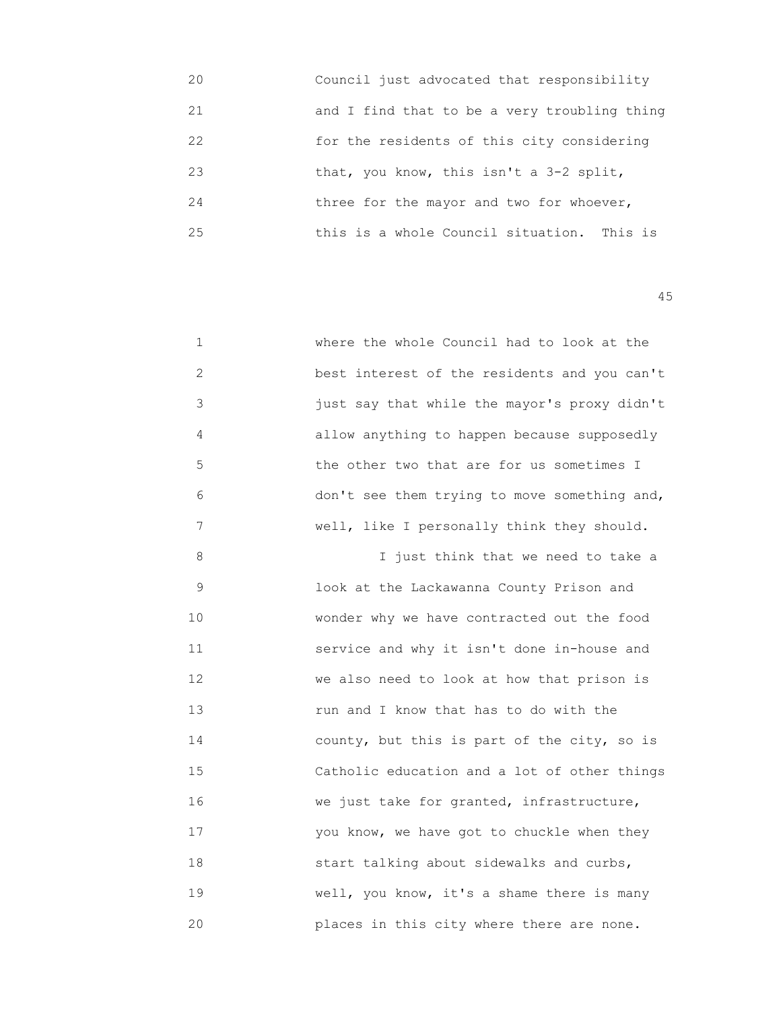| 20 | Council just advocated that responsibility   |
|----|----------------------------------------------|
| 21 | and I find that to be a very troubling thing |
| 22 | for the residents of this city considering   |
| 23 | that, you know, this isn't a 3-2 split,      |
| 24 | three for the mayor and two for whoever,     |
| 25 | this is a whole Council situation. This is   |

| 1              | where the whole Council had to look at the   |
|----------------|----------------------------------------------|
| $\overline{c}$ | best interest of the residents and you can't |
| 3              | just say that while the mayor's proxy didn't |
| 4              | allow anything to happen because supposedly  |
| 5              | the other two that are for us sometimes I    |
| 6              | don't see them trying to move something and, |
| 7              | well, like I personally think they should.   |
| 8              | I just think that we need to take a          |
| 9              | look at the Lackawanna County Prison and     |
| 10             | wonder why we have contracted out the food   |
| 11             | service and why it isn't done in-house and   |
| 12             | we also need to look at how that prison is   |
| 13             | run and I know that has to do with the       |
| 14             | county, but this is part of the city, so is  |
| 15             | Catholic education and a lot of other things |
| 16             | we just take for granted, infrastructure,    |
| 17             | you know, we have got to chuckle when they   |
| 18             | start talking about sidewalks and curbs,     |
| 19             | well, you know, it's a shame there is many   |
| 20             | places in this city where there are none.    |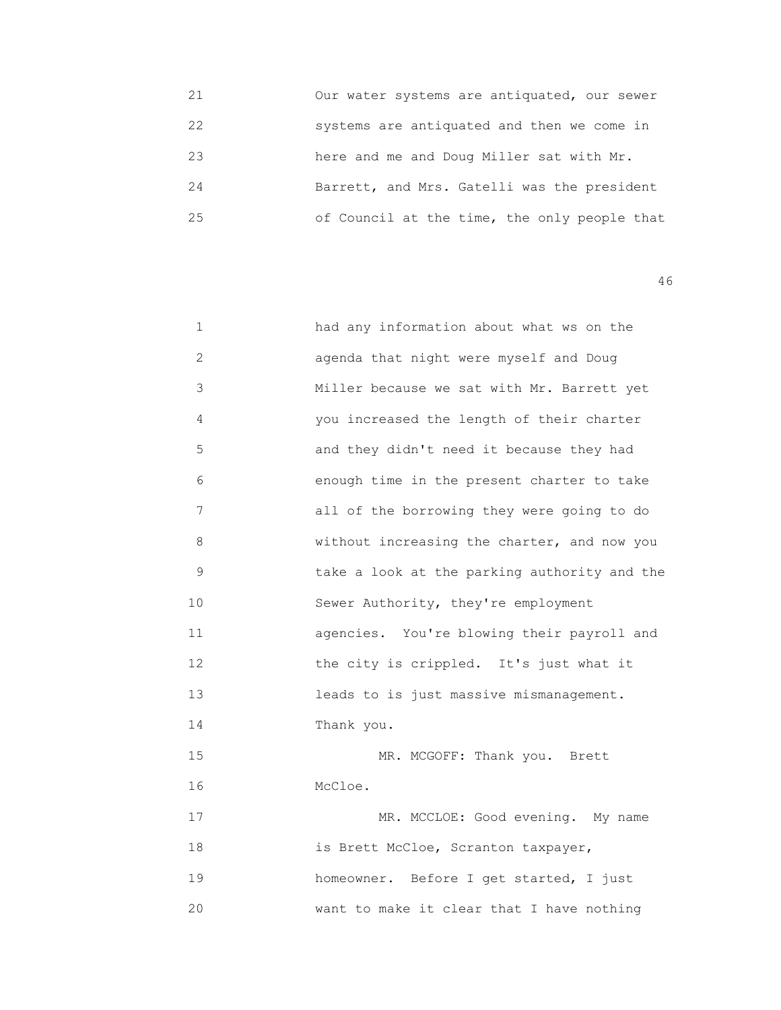| 21 | Our water systems are antiquated, our sewer  |
|----|----------------------------------------------|
| 22 | systems are antiquated and then we come in   |
| 23 | here and me and Doug Miller sat with Mr.     |
| 24 | Barrett, and Mrs. Gatelli was the president  |
| 25 | of Council at the time, the only people that |

| 1            | had any information about what ws on the     |
|--------------|----------------------------------------------|
| $\mathbf{2}$ | agenda that night were myself and Doug       |
| 3            | Miller because we sat with Mr. Barrett yet   |
| 4            | you increased the length of their charter    |
| 5            | and they didn't need it because they had     |
| 6            | enough time in the present charter to take   |
| 7            | all of the borrowing they were going to do   |
| 8            | without increasing the charter, and now you  |
| 9            | take a look at the parking authority and the |
| 10           | Sewer Authority, they're employment          |
| 11           | agencies. You're blowing their payroll and   |
| 12           | the city is crippled. It's just what it      |
| 13           | leads to is just massive mismanagement.      |
| 14           | Thank you.                                   |
| 15           | MR. MCGOFF: Thank you. Brett                 |
| 16           | McCloe.                                      |
| 17           | MR. MCCLOE: Good evening. My name            |
| 18           | is Brett McCloe, Scranton taxpayer,          |
| 19           | homeowner. Before I get started, I just      |
| 20           | want to make it clear that I have nothing    |
|              |                                              |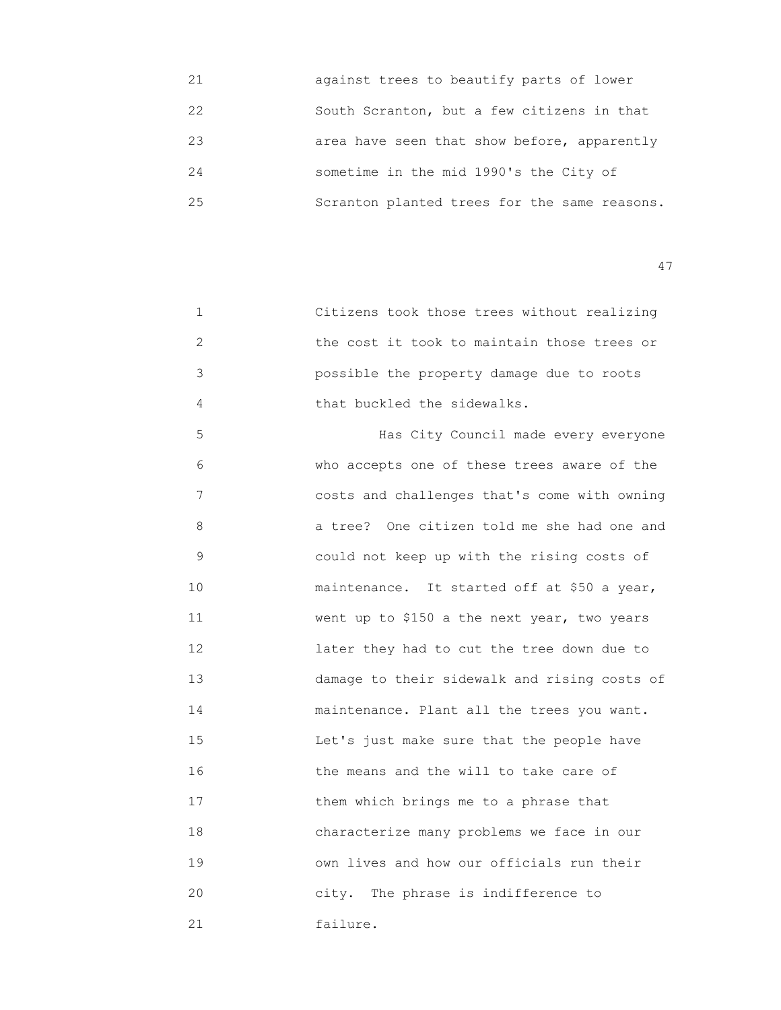| 21 | against trees to beautify parts of lower     |
|----|----------------------------------------------|
| 22 | South Scranton, but a few citizens in that   |
| 23 | area have seen that show before, apparently  |
| 24 | sometime in the mid 1990's the City of       |
| 25 | Scranton planted trees for the same reasons. |

 1 Citizens took those trees without realizing 2 the cost it took to maintain those trees or 3 possible the property damage due to roots 4 that buckled the sidewalks.

 5 Has City Council made every everyone 6 who accepts one of these trees aware of the 7 costs and challenges that's come with owning 8 a tree? One citizen told me she had one and 9 could not keep up with the rising costs of 10 maintenance. It started off at \$50 a year, 11 Went up to \$150 a the next year, two years 12 later they had to cut the tree down due to 13 damage to their sidewalk and rising costs of 14 maintenance. Plant all the trees you want. 15 Let's just make sure that the people have 16 the means and the will to take care of 17 them which brings me to a phrase that 18 characterize many problems we face in our 19 own lives and how our officials run their 20 city. The phrase is indifference to 21 failure.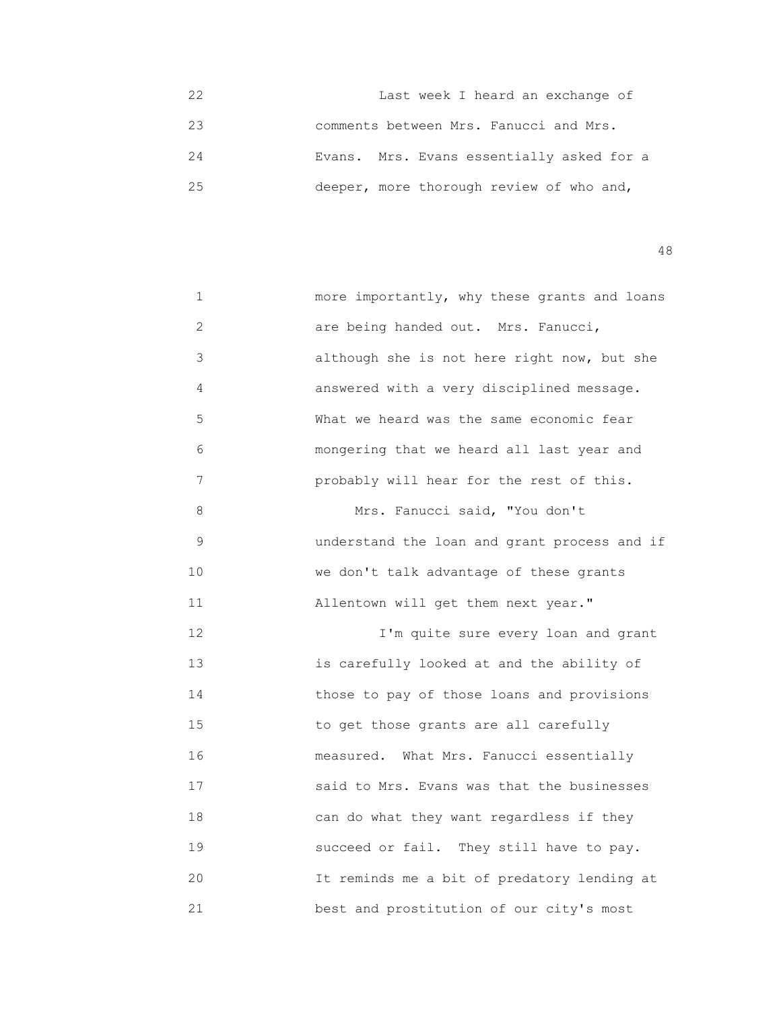22 Last week I heard an exchange of 23 comments between Mrs. Fanucci and Mrs. 24 Evans. Mrs. Evans essentially asked for a 25 deeper, more thorough review of who and,

| 1             | more importantly, why these grants and loans |
|---------------|----------------------------------------------|
| $\mathbf{2}$  | are being handed out. Mrs. Fanucci,          |
| 3             | although she is not here right now, but she  |
| 4             | answered with a very disciplined message.    |
| 5             | What we heard was the same economic fear     |
| 6             | mongering that we heard all last year and    |
| 7             | probably will hear for the rest of this.     |
| 8             | Mrs. Fanucci said, "You don't                |
| $\mathcal{G}$ | understand the loan and grant process and if |
| 10            | we don't talk advantage of these grants      |
| 11            | Allentown will get them next year."          |
| 12            | I'm quite sure every loan and grant          |
| 13            | is carefully looked at and the ability of    |
| 14            | those to pay of those loans and provisions   |
| 15            | to get those grants are all carefully        |
| 16            | measured. What Mrs. Fanucci essentially      |
| 17            | said to Mrs. Evans was that the businesses   |
| 18            | can do what they want regardless if they     |
| 19            | succeed or fail. They still have to pay.     |
| 20            | It reminds me a bit of predatory lending at  |
| 21            | best and prostitution of our city's most     |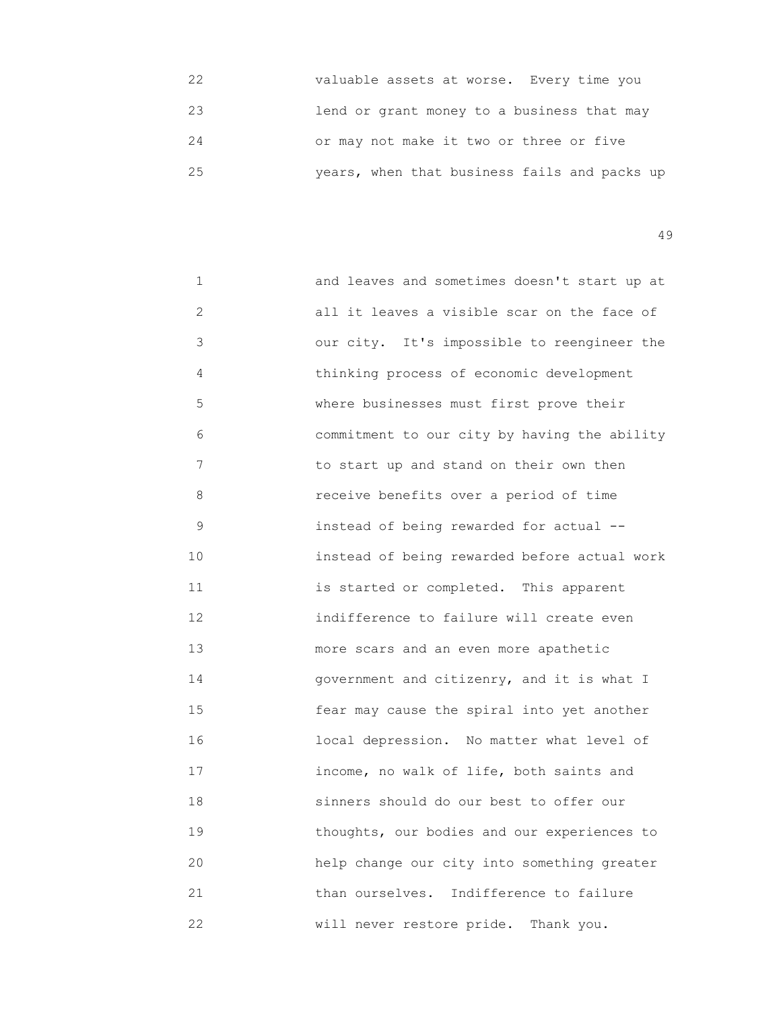| 22 | valuable assets at worse. Every time you     |
|----|----------------------------------------------|
| 23 | lend or grant money to a business that may   |
| 24 | or may not make it two or three or five      |
| 25 | years, when that business fails and packs up |

| 1               | and leaves and sometimes doesn't start up at |
|-----------------|----------------------------------------------|
| $\mathbf{2}$    | all it leaves a visible scar on the face of  |
| 3               | our city. It's impossible to reengineer the  |
| 4               | thinking process of economic development     |
| 5               | where businesses must first prove their      |
| 6               | commitment to our city by having the ability |
| 7               | to start up and stand on their own then      |
| 8               | receive benefits over a period of time       |
| 9               | instead of being rewarded for actual --      |
| 10 <sup>°</sup> | instead of being rewarded before actual work |
| 11              | is started or completed. This apparent       |
| 12              | indifference to failure will create even     |
| 13              | more scars and an even more apathetic        |
| 14              | government and citizenry, and it is what I   |
| 15              | fear may cause the spiral into yet another   |
| 16              | local depression. No matter what level of    |
| 17              | income, no walk of life, both saints and     |
| 18              | sinners should do our best to offer our      |
| 19              | thoughts, our bodies and our experiences to  |
| 20              | help change our city into something greater  |
| 21              | than ourselves. Indifference to failure      |
| 22              | will never restore pride. Thank you.         |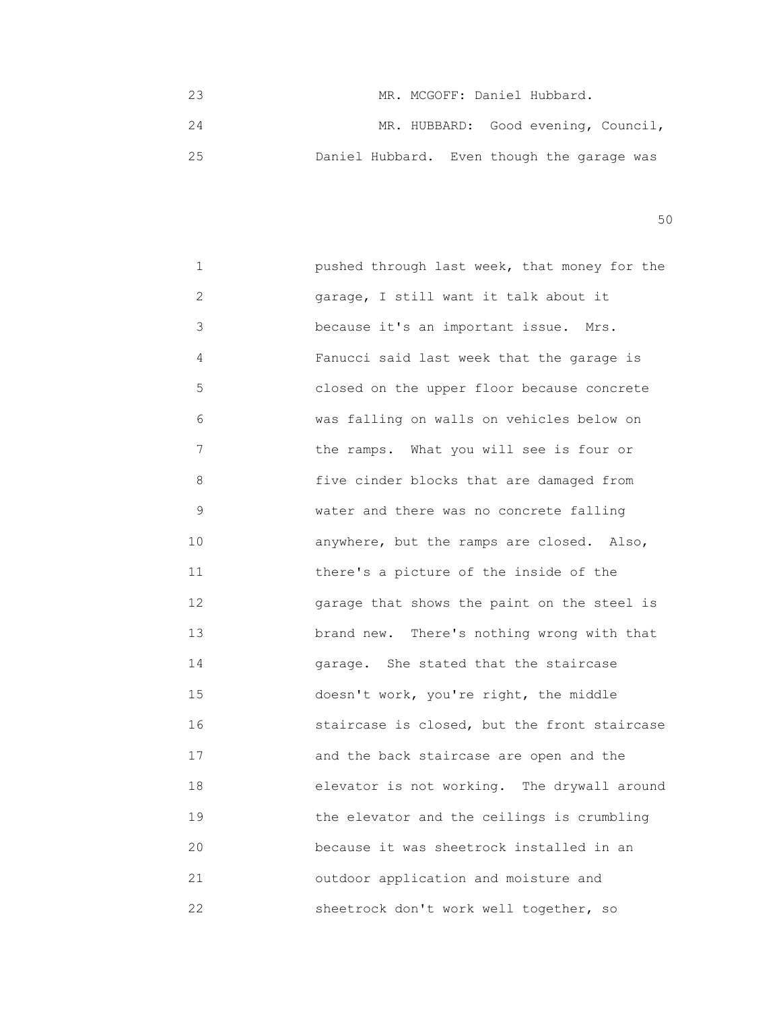23 MR. MCGOFF: Daniel Hubbard. 24 MR. HUBBARD: Good evening, Council, 25 Daniel Hubbard. Even though the garage was

 $50<sub>50</sub>$ 

| 1               | pushed through last week, that money for the |
|-----------------|----------------------------------------------|
| $\overline{2}$  | garage, I still want it talk about it        |
| 3               | because it's an important issue. Mrs.        |
| 4               | Fanucci said last week that the garage is    |
| 5               | closed on the upper floor because concrete   |
| 6               | was falling on walls on vehicles below on    |
| 7               | the ramps. What you will see is four or      |
| 8               | five cinder blocks that are damaged from     |
| 9               | water and there was no concrete falling      |
| 10 <sup>°</sup> | anywhere, but the ramps are closed. Also,    |
| 11              | there's a picture of the inside of the       |
| 12 <sup>°</sup> | garage that shows the paint on the steel is  |
| 13              | brand new. There's nothing wrong with that   |
| 14              | garage. She stated that the staircase        |
| 15              | doesn't work, you're right, the middle       |
| 16              | staircase is closed, but the front staircase |
| 17              | and the back staircase are open and the      |
| 18              | elevator is not working. The drywall around  |
| 19              | the elevator and the ceilings is crumbling   |
| 20              | because it was sheetrock installed in an     |
| 21              | outdoor application and moisture and         |
| 22              | sheetrock don't work well together, so       |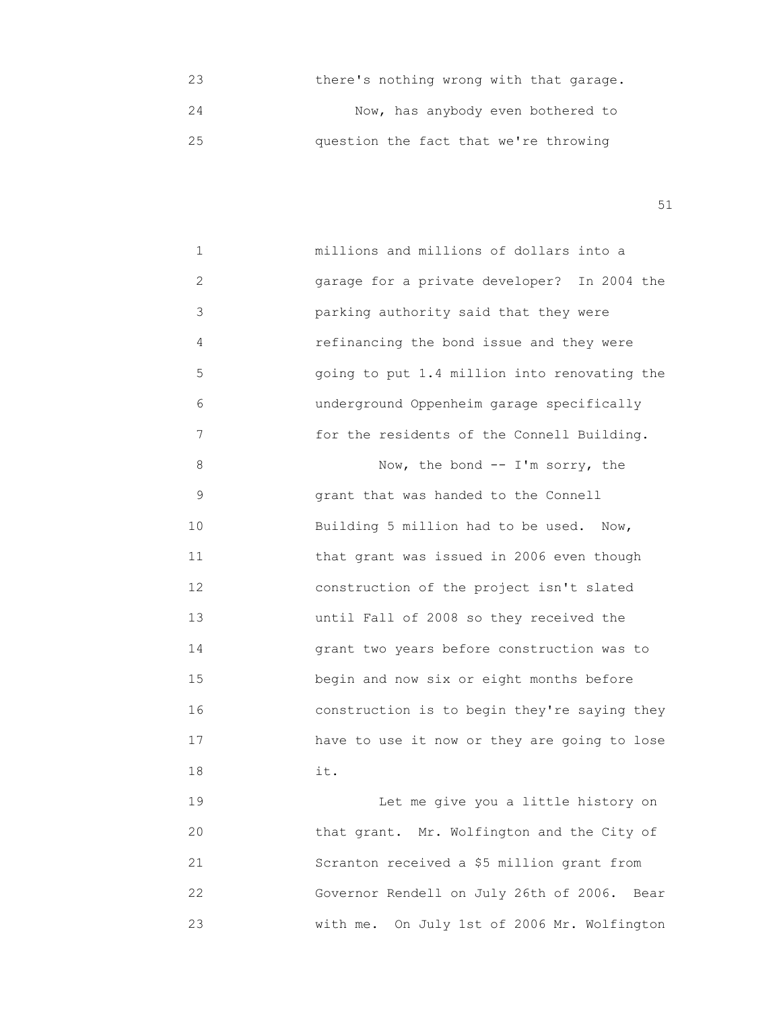23 there's nothing wrong with that garage. 24 Now, has anybody even bothered to 25 question the fact that we're throwing

51

 1 millions and millions of dollars into a 2 garage for a private developer? In 2004 the 3 parking authority said that they were 4 refinancing the bond issue and they were 5 going to put 1.4 million into renovating the 6 underground Oppenheim garage specifically 7 for the residents of the Connell Building. 8 Now, the bond -- I'm sorry, the 9 grant that was handed to the Connell 10 Building 5 million had to be used. Now, 11 **that grant was issued in 2006 even though**  12 construction of the project isn't slated 13 until Fall of 2008 so they received the 14 grant two years before construction was to 15 begin and now six or eight months before 16 construction is to begin they're saying they 17 have to use it now or they are going to lose 18 it. 19 **19 Intermediate Let** me give you a little history on 20 that grant. Mr. Wolfington and the City of 21 Scranton received a \$5 million grant from 22 Governor Rendell on July 26th of 2006. Bear

23 with me. On July 1st of 2006 Mr. Wolfington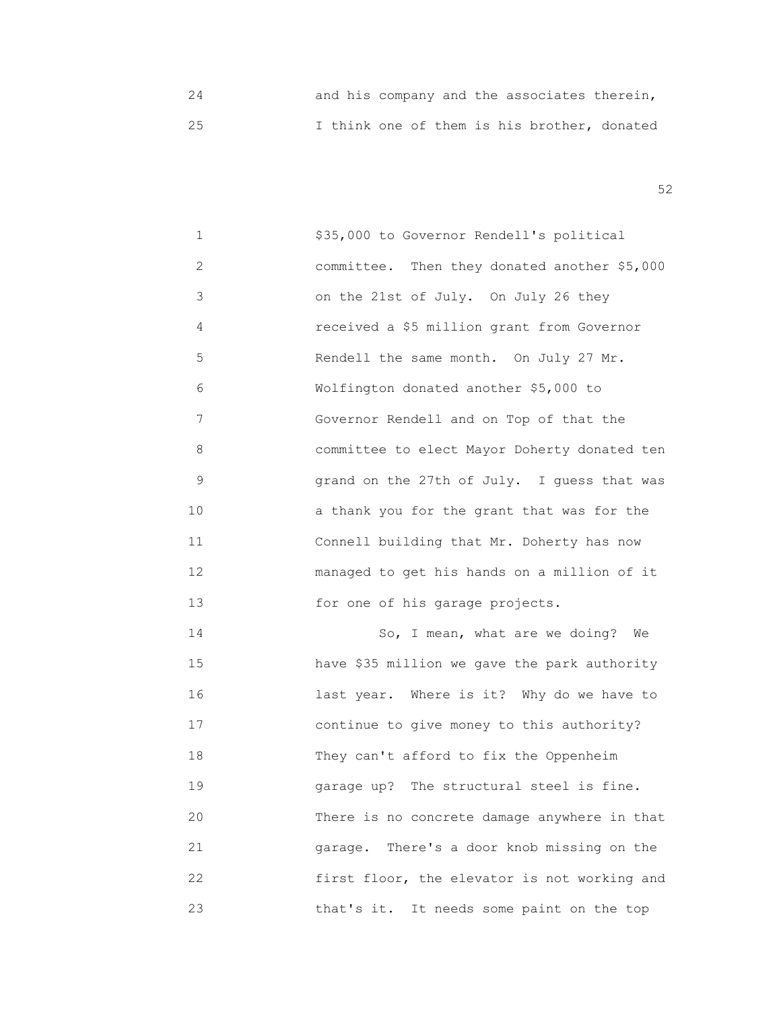24 and his company and the associates therein, 25 I think one of them is his brother, donated

 $52$ 

 1 \$35,000 to Governor Rendell's political 2 committee. Then they donated another \$5,000 3 on the 21st of July. On July 26 they 4 received a \$5 million grant from Governor 5 Rendell the same month. On July 27 Mr. 6 Wolfington donated another \$5,000 to 7 Governor Rendell and on Top of that the 8 committee to elect Mayor Doherty donated ten 9 grand on the 27th of July. I guess that was 10 **10 10 a** thank you for the grant that was for the 11 Connell building that Mr. Doherty has now 12 managed to get his hands on a million of it 13 for one of his garage projects. 14 So, I mean, what are we doing? We 15 have \$35 million we gave the park authority 16 last year. Where is it? Why do we have to 17 continue to give money to this authority? 18 They can't afford to fix the Oppenheim 19 garage up? The structural steel is fine. 20 There is no concrete damage anywhere in that

 21 garage. There's a door knob missing on the 22 first floor, the elevator is not working and 23 that's it. It needs some paint on the top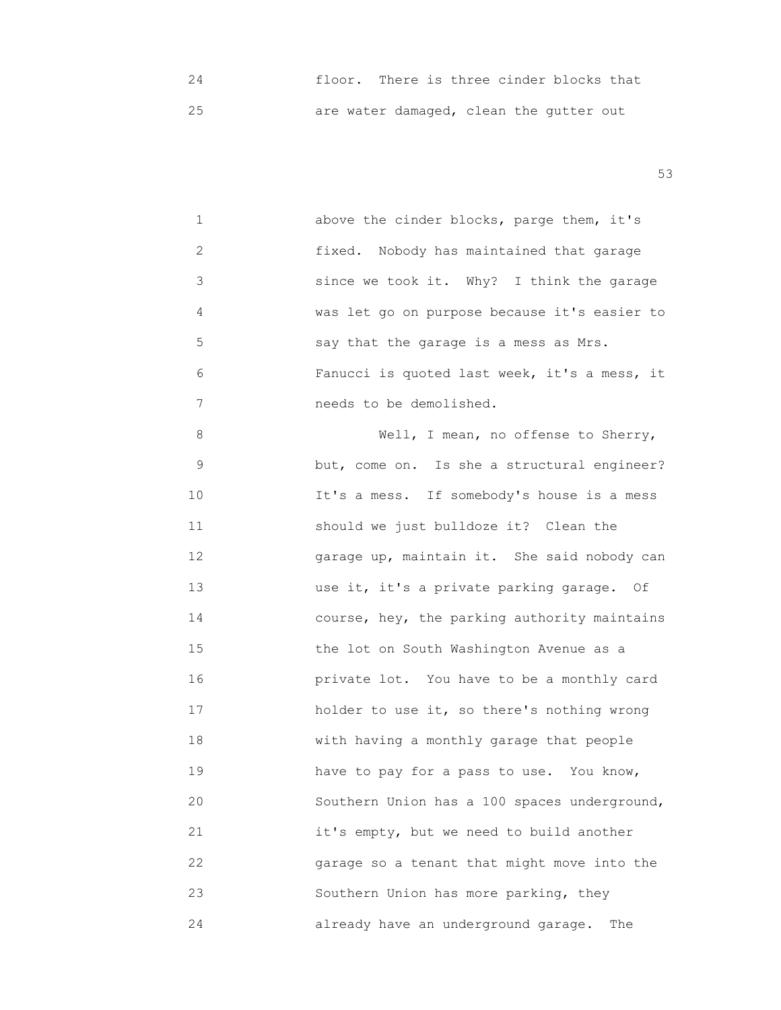24 floor. There is three cinder blocks that 25 are water damaged, clean the gutter out

 $53$ 

 1 above the cinder blocks, parge them, it's 2 fixed. Nobody has maintained that garage 3 since we took it. Why? I think the garage 4 was let go on purpose because it's easier to 5 say that the garage is a mess as Mrs. 6 Fanucci is quoted last week, it's a mess, it 7 needs to be demolished.

 8 Well, I mean, no offense to Sherry, 9 but, come on. Is she a structural engineer? 10 It's a mess. If somebody's house is a mess 11 should we just bulldoze it? Clean the 12 garage up, maintain it. She said nobody can 13 use it, it's a private parking garage. Of 14 course, hey, the parking authority maintains 15 the lot on South Washington Avenue as a 16 **16 16 16 16 private lot.** You have to be a monthly card 17 holder to use it, so there's nothing wrong 18 with having a monthly garage that people 19 have to pay for a pass to use. You know, 20 Southern Union has a 100 spaces underground, 21 it's empty, but we need to build another 22 garage so a tenant that might move into the 23 Southern Union has more parking, they 24 already have an underground garage. The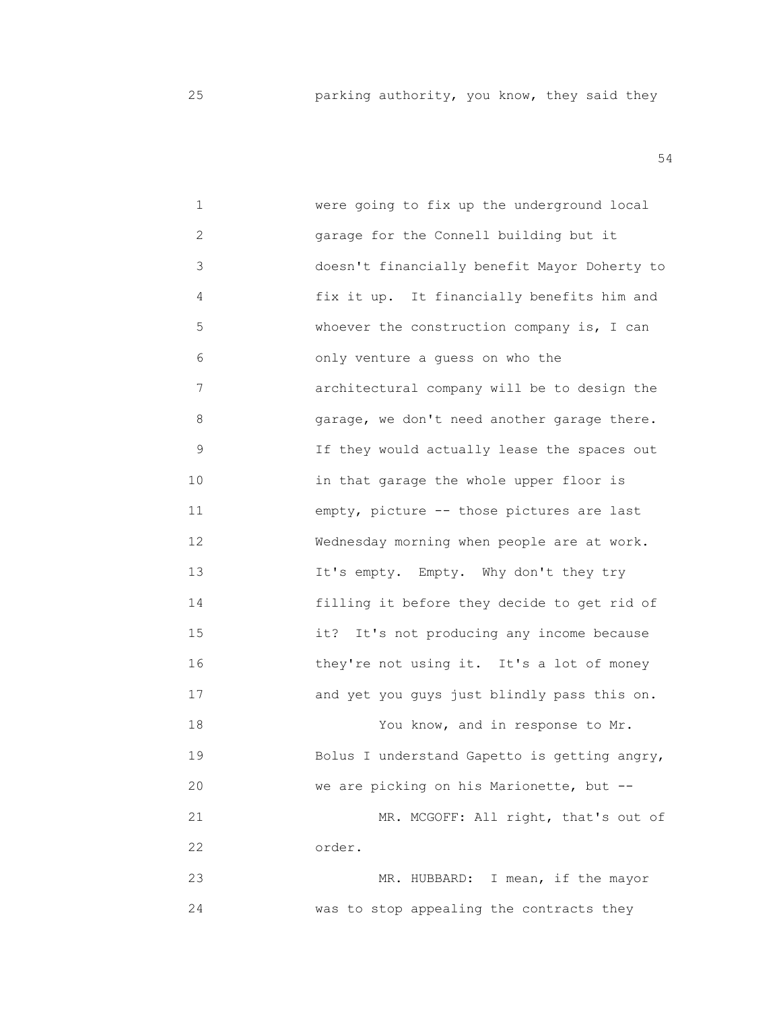| $\mathbf 1$ | were going to fix up the underground local   |
|-------------|----------------------------------------------|
| 2           | garage for the Connell building but it       |
| 3           | doesn't financially benefit Mayor Doherty to |
| 4           | fix it up. It financially benefits him and   |
| 5           | whoever the construction company is, I can   |
| 6           | only venture a guess on who the              |
| 7           | architectural company will be to design the  |
| 8           | garage, we don't need another garage there.  |
| 9           | If they would actually lease the spaces out  |
| 10          | in that garage the whole upper floor is      |
| 11          | empty, picture -- those pictures are last    |
| 12          | Wednesday morning when people are at work.   |
| 13          | It's empty. Empty. Why don't they try        |
| 14          | filling it before they decide to get rid of  |
| 15          | It's not producing any income because<br>it? |
| 16          | they're not using it. It's a lot of money    |
| 17          | and yet you guys just blindly pass this on.  |
| 18          | You know, and in response to Mr.             |
| 19          | Bolus I understand Gapetto is getting angry, |
| 20          | we are picking on his Marionette, but --     |
| 21          | MR. MCGOFF: All right, that's out of         |
| 22          | order.                                       |
| 23          | MR. HUBBARD: I mean, if the mayor            |
| 24          | was to stop appealing the contracts they     |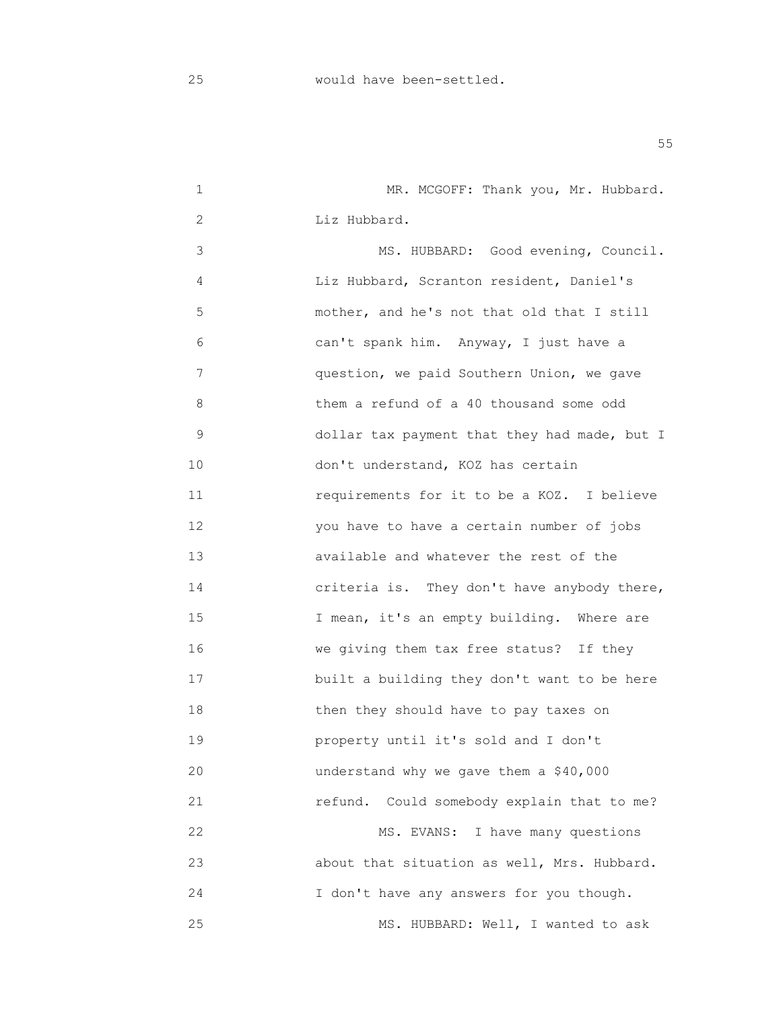1 MR. MCGOFF: Thank you, Mr. Hubbard. 2 Liz Hubbard. 3 MS. HUBBARD: Good evening, Council. 4 Liz Hubbard, Scranton resident, Daniel's 5 mother, and he's not that old that I still 6 can't spank him. Anyway, I just have a 7 question, we paid Southern Union, we gave 8 them a refund of a 40 thousand some odd 9 dollar tax payment that they had made, but I 10 don't understand, KOZ has certain 11 requirements for it to be a KOZ. I believe 12 you have to have a certain number of jobs 13 available and whatever the rest of the 14 criteria is. They don't have anybody there, 15 **I** mean, it's an empty building. Where are 16 We giving them tax free status? If they 17 **built a building they don't want to be here**  18 then they should have to pay taxes on 19 property until it's sold and I don't 20 understand why we gave them a \$40,000 21 refund. Could somebody explain that to me? 22 Section MS. EVANS: I have many questions 23 about that situation as well, Mrs. Hubbard. 24 I don't have any answers for you though. 25 MS. HUBBARD: Well, I wanted to ask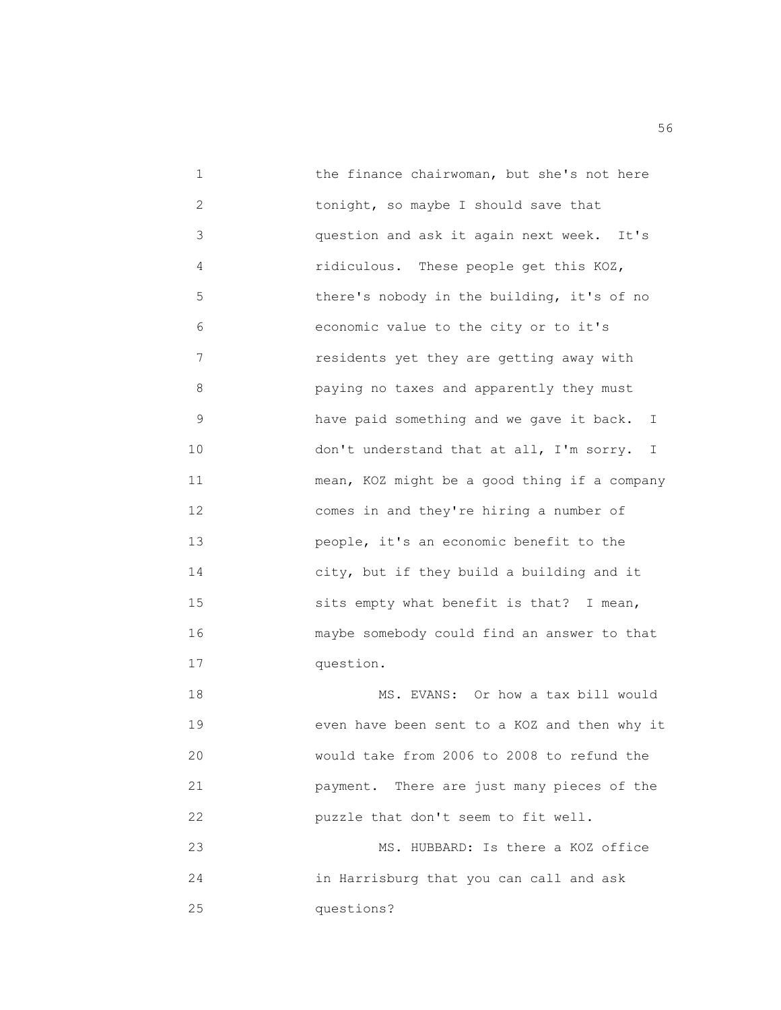1 the finance chairwoman, but she's not here 2 tonight, so maybe I should save that 3 question and ask it again next week. It's 4 ridiculous. These people get this KOZ, 5 there's nobody in the building, it's of no 6 economic value to the city or to it's 7 residents yet they are getting away with 8 paying no taxes and apparently they must 9 have paid something and we gave it back. I 10 don't understand that at all, I'm sorry. I 11 mean, KOZ might be a good thing if a company 12 comes in and they're hiring a number of 13 people, it's an economic benefit to the 14 city, but if they build a building and it 15 sits empty what benefit is that? I mean, 16 maybe somebody could find an answer to that 17 question. 18 MS. EVANS: Or how a tax bill would 19 even have been sent to a KOZ and then why it 20 would take from 2006 to 2008 to refund the 21 payment. There are just many pieces of the 22 puzzle that don't seem to fit well. 23 MS. HUBBARD: Is there a KOZ office

 24 in Harrisburg that you can call and ask 25 questions?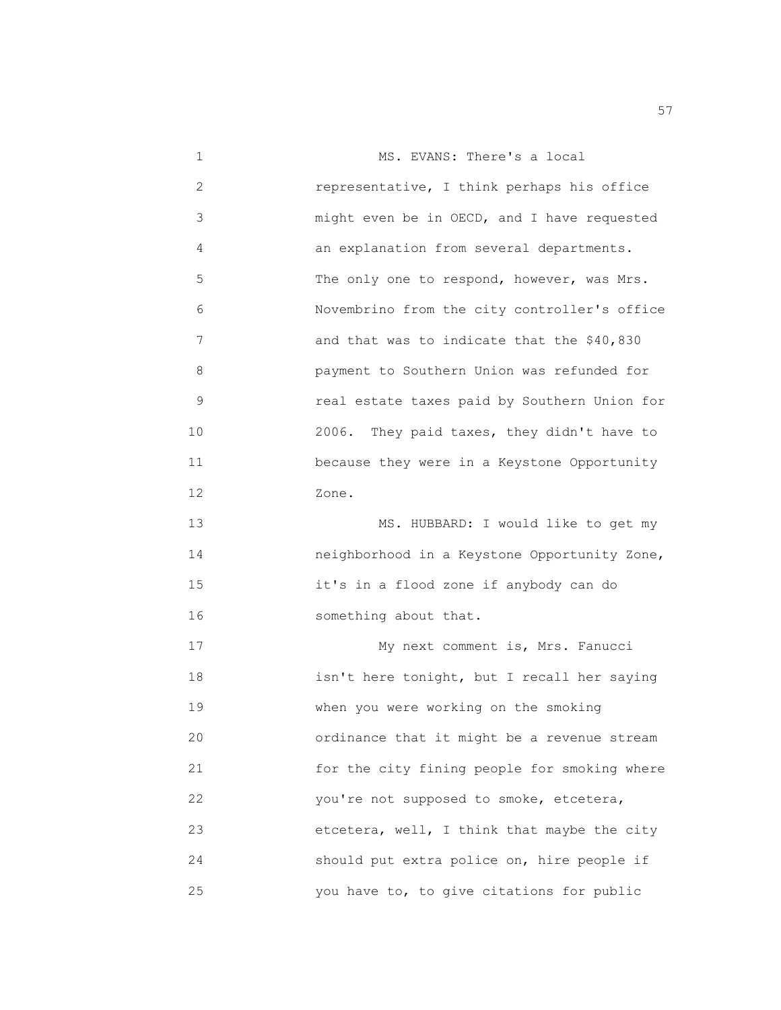1 MS. EVANS: There's a local 2 representative, I think perhaps his office 3 might even be in OECD, and I have requested 4 an explanation from several departments. 5 The only one to respond, however, was Mrs. 6 Novembrino from the city controller's office 7 and that was to indicate that the \$40,830 8 payment to Southern Union was refunded for 9 real estate taxes paid by Southern Union for 10 2006. They paid taxes, they didn't have to 11 because they were in a Keystone Opportunity 12 Zone. 13 MS. HUBBARD: I would like to get my 14 neighborhood in a Keystone Opportunity Zone, 15 it's in a flood zone if anybody can do 16 something about that. 17 My next comment is, Mrs. Fanucci 18 isn't here tonight, but I recall her saying 19 when you were working on the smoking 20 ordinance that it might be a revenue stream 21 for the city fining people for smoking where 22 you're not supposed to smoke, etcetera, 23 etcetera, well, I think that maybe the city 24 should put extra police on, hire people if 25 you have to, to give citations for public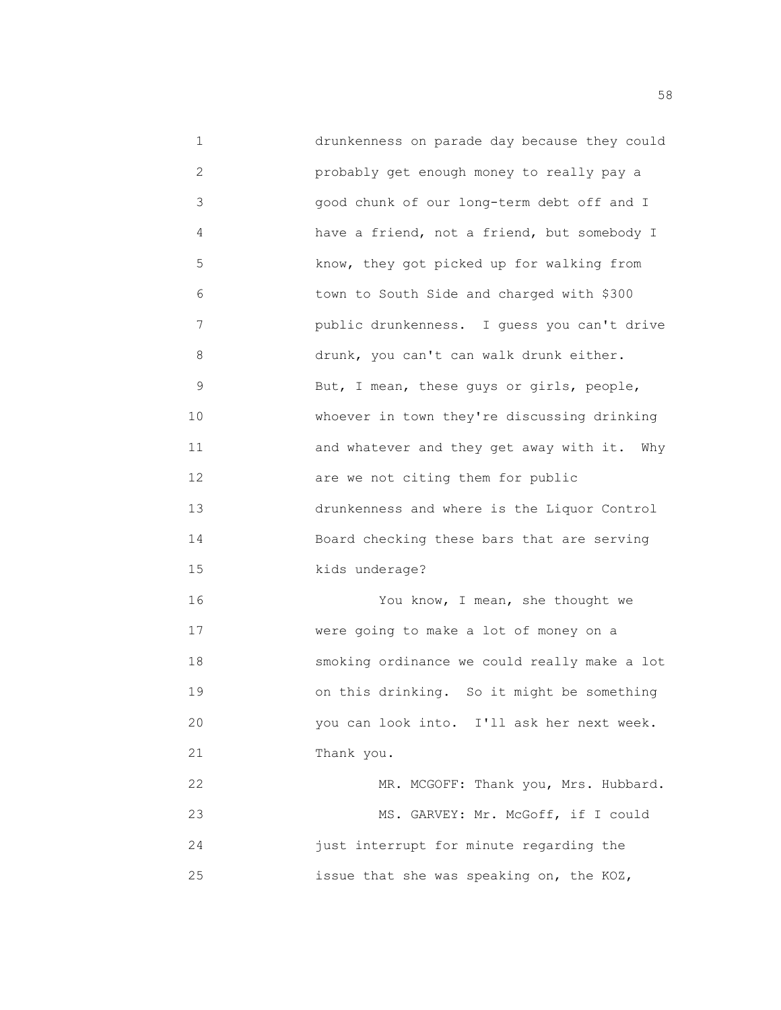1 drunkenness on parade day because they could 2 probably get enough money to really pay a 3 good chunk of our long-term debt off and I 4 have a friend, not a friend, but somebody I 5 know, they got picked up for walking from 6 town to South Side and charged with \$300 7 public drunkenness. I guess you can't drive 8 drunk, you can't can walk drunk either. 9 But, I mean, these guys or girls, people, 10 whoever in town they're discussing drinking 11 and whatever and they get away with it. Why 12 **are we not citing them for public**  13 drunkenness and where is the Liquor Control 14 Board checking these bars that are serving 15 *kids* underage? 16 You know, I mean, she thought we 17 were going to make a lot of money on a 18 smoking ordinance we could really make a lot 19 on this drinking. So it might be something 20 you can look into. I'll ask her next week. 21 Thank you. 22 MR. MCGOFF: Thank you, Mrs. Hubbard. 23 MS. GARVEY: Mr. McGoff, if I could 24 just interrupt for minute regarding the 25 issue that she was speaking on, the KOZ,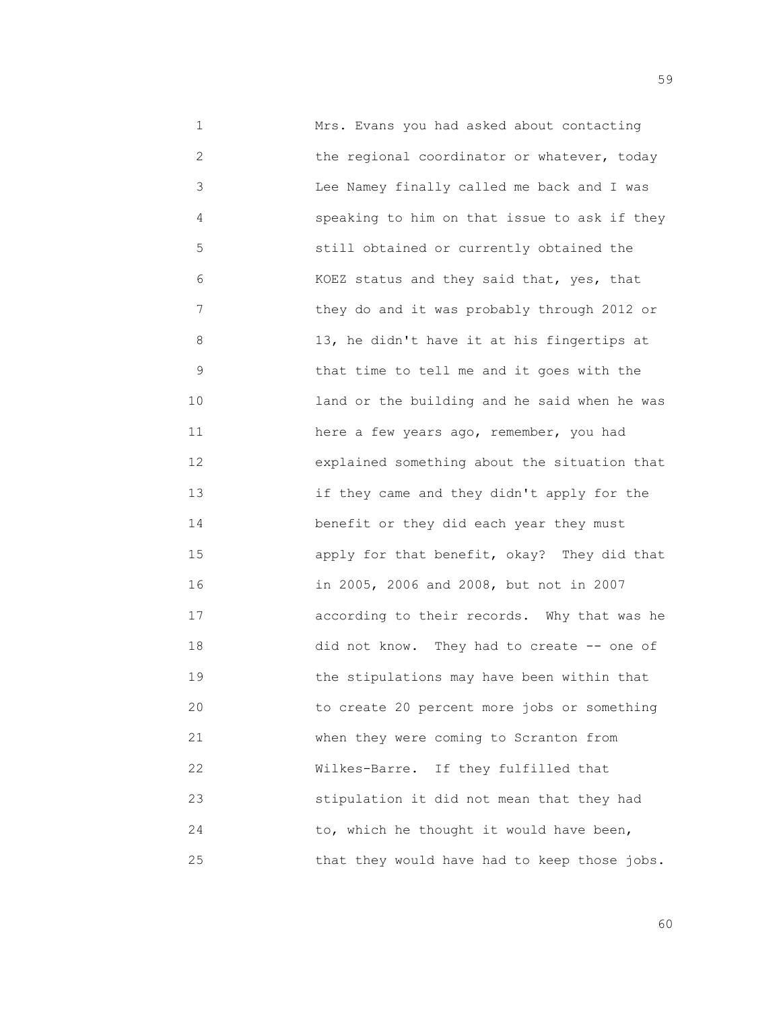1 Mrs. Evans you had asked about contacting 2 the regional coordinator or whatever, today 3 Lee Namey finally called me back and I was 4 speaking to him on that issue to ask if they 5 still obtained or currently obtained the 6 KOEZ status and they said that, yes, that 7 they do and it was probably through 2012 or 8 13, he didn't have it at his fingertips at 9 that time to tell me and it goes with the 10 land or the building and he said when he was 11 here a few years ago, remember, you had 12 explained something about the situation that 13 if they came and they didn't apply for the 14 **benefit or they did each year they must**  15 apply for that benefit, okay? They did that 16 in 2005, 2006 and 2008, but not in 2007 17 according to their records. Why that was he 18 did not know. They had to create -- one of 19 the stipulations may have been within that 20 to create 20 percent more jobs or something 21 when they were coming to Scranton from 22 Wilkes-Barre. If they fulfilled that 23 stipulation it did not mean that they had 24 to, which he thought it would have been, 25 that they would have had to keep those jobs.

 $59$ 

 $\sim$  60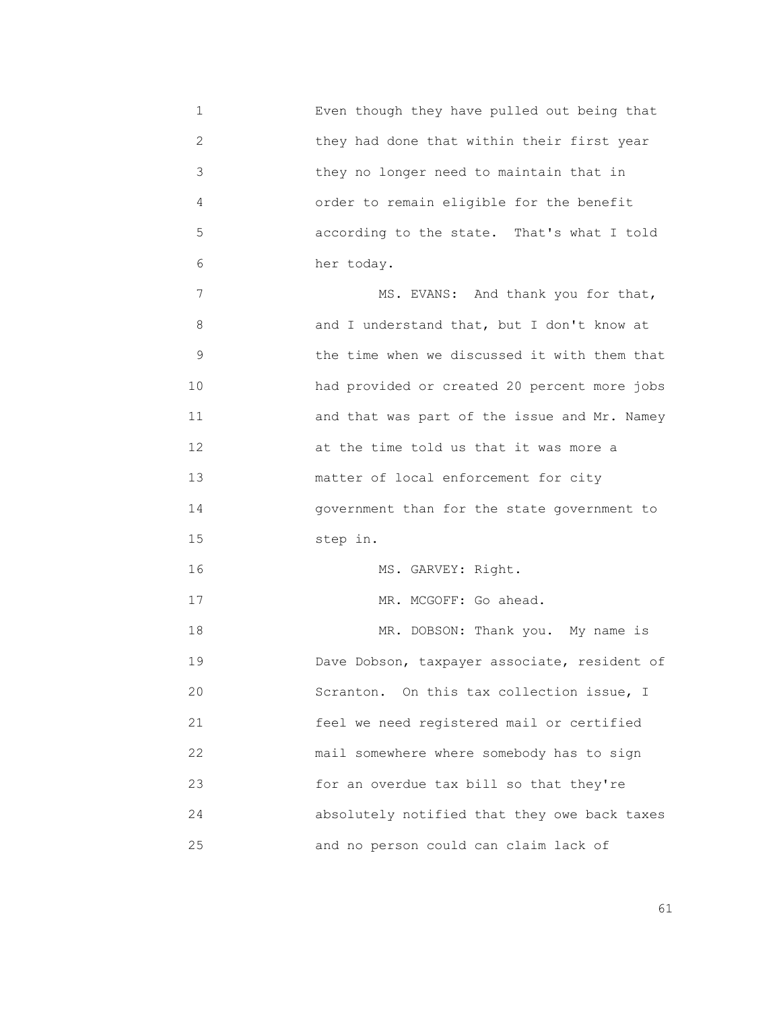1 Even though they have pulled out being that 2 they had done that within their first year 3 they no longer need to maintain that in 4 order to remain eligible for the benefit 5 according to the state. That's what I told 6 her today. 7 MS. EVANS: And thank you for that, 8 and I understand that, but I don't know at 9 the time when we discussed it with them that 10 had provided or created 20 percent more jobs 11 and that was part of the issue and Mr. Namey 12 at the time told us that it was more a 13 **matter of local enforcement for city**  14 government than for the state government to 15 step in. 16 MS. GARVEY: Right. 17 MR. MCGOFF: Go ahead. 18 MR. DOBSON: Thank you. My name is 19 Dave Dobson, taxpayer associate, resident of 20 Scranton. On this tax collection issue, I 21 feel we need registered mail or certified 22 mail somewhere where somebody has to sign 23 for an overdue tax bill so that they're 24 absolutely notified that they owe back taxes 25 and no person could can claim lack of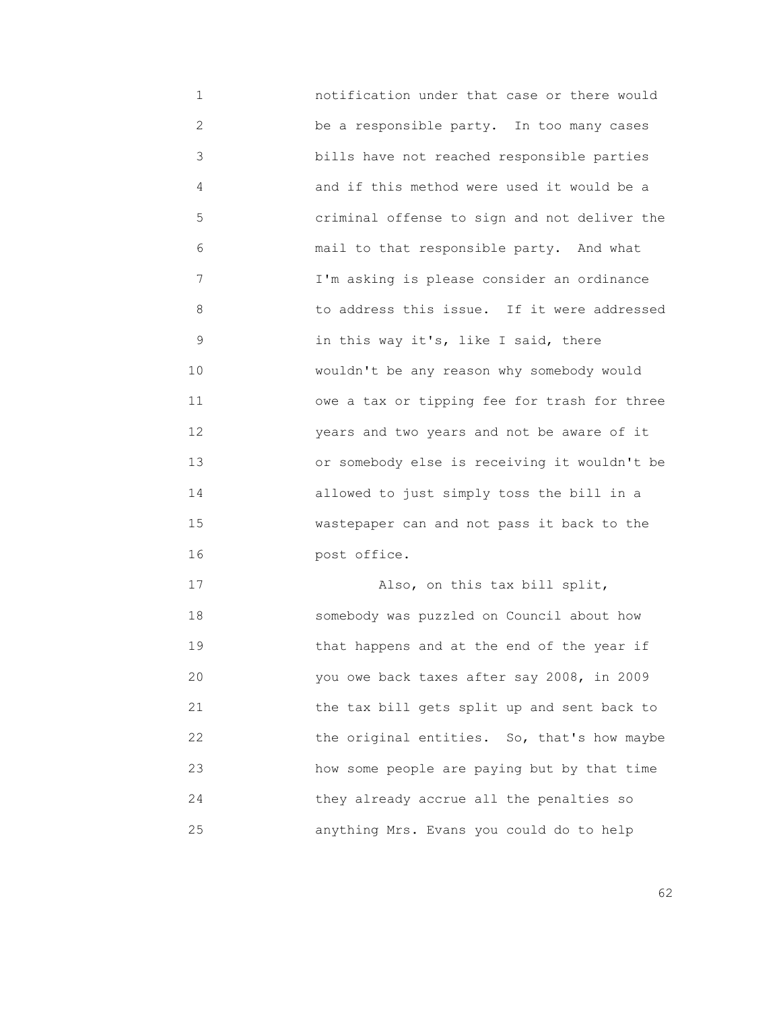1 notification under that case or there would 2 be a responsible party. In too many cases 3 bills have not reached responsible parties 4 and if this method were used it would be a 5 criminal offense to sign and not deliver the 6 mail to that responsible party. And what 7 I'm asking is please consider an ordinance 8 to address this issue. If it were addressed 9 in this way it's, like I said, there 10 wouldn't be any reason why somebody would 11 owe a tax or tipping fee for trash for three 12 years and two years and not be aware of it 13 or somebody else is receiving it wouldn't be 14 allowed to just simply toss the bill in a 15 wastepaper can and not pass it back to the 16 post office. 17 Also, on this tax bill split, 18 somebody was puzzled on Council about how 19 that happens and at the end of the year if

 20 you owe back taxes after say 2008, in 2009 21 the tax bill gets split up and sent back to 22 **12** the original entities. So, that's how maybe 23 how some people are paying but by that time 24 they already accrue all the penalties so 25 anything Mrs. Evans you could do to help

 $\sim$  62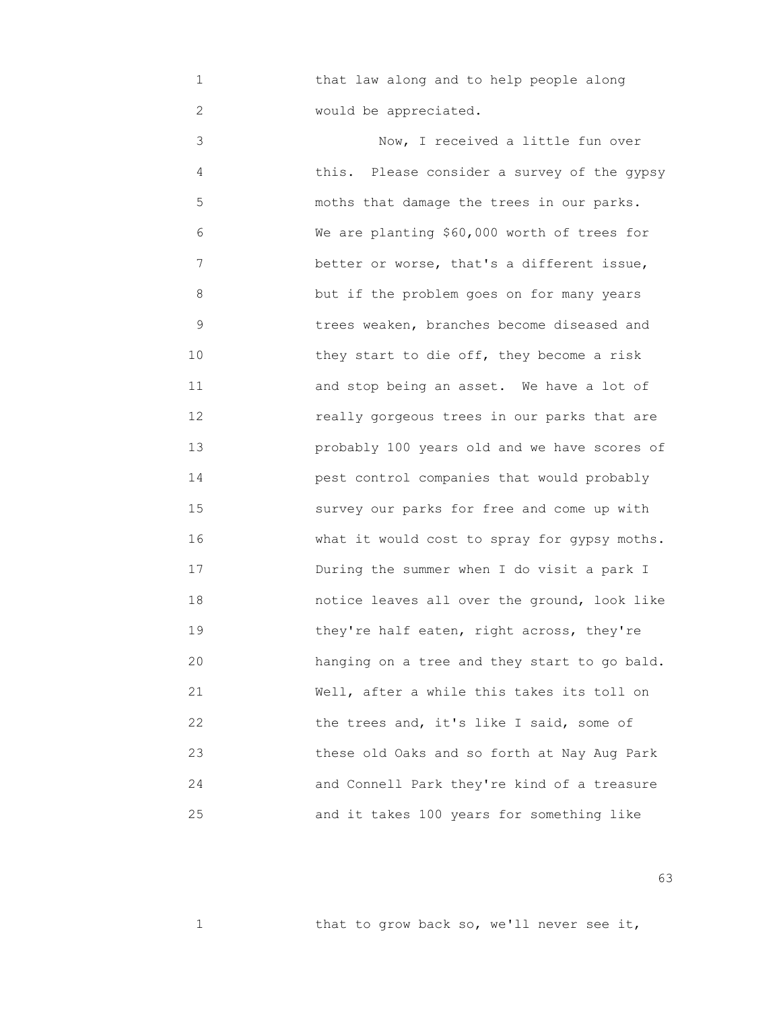1 that law along and to help people along 2 would be appreciated.

 3 Now, I received a little fun over 4 this. Please consider a survey of the gypsy 5 moths that damage the trees in our parks. 6 We are planting \$60,000 worth of trees for 7 better or worse, that's a different issue, 8 but if the problem goes on for many years 9 trees weaken, branches become diseased and 10 **10** they start to die off, they become a risk 11 and stop being an asset. We have a lot of 12 really gorgeous trees in our parks that are 13 probably 100 years old and we have scores of 14 pest control companies that would probably 15 survey our parks for free and come up with 16 What it would cost to spray for gypsy moths. 17 During the summer when I do visit a park I 18 notice leaves all over the ground, look like 19 they're half eaten, right across, they're 20 hanging on a tree and they start to go bald. 21 Well, after a while this takes its toll on 22 the trees and, it's like I said, some of 23 these old Oaks and so forth at Nay Aug Park 24 and Connell Park they're kind of a treasure 25 and it takes 100 years for something like

 $\sim$  63

1 that to grow back so, we'll never see it,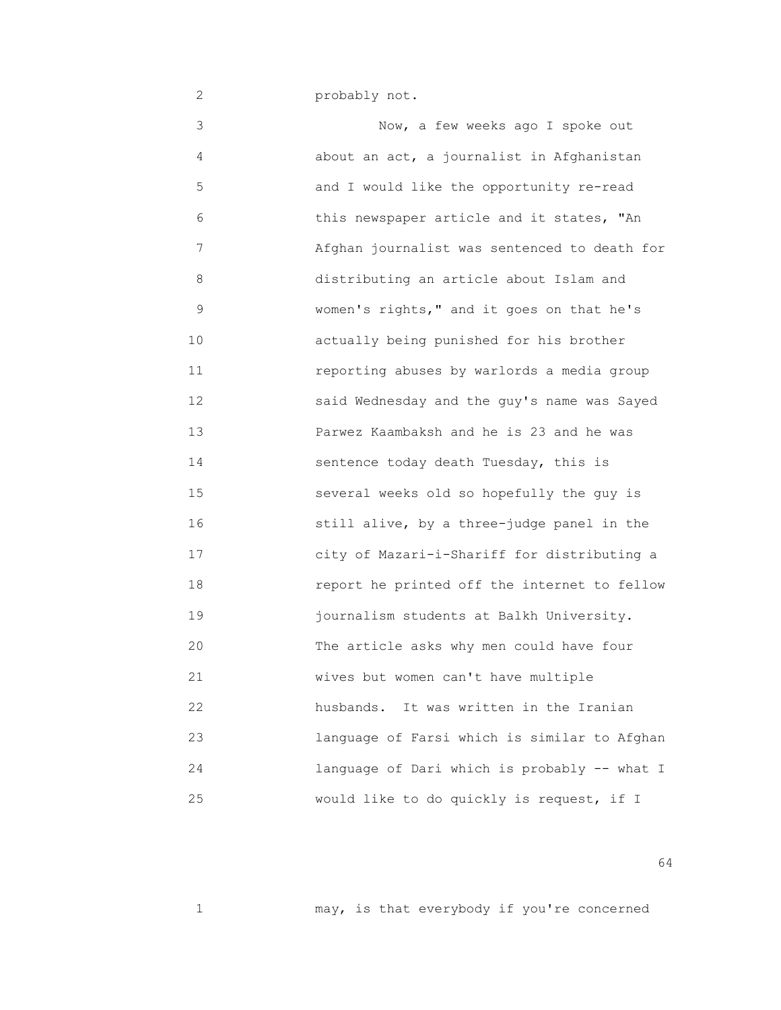2 probably not.

 3 Now, a few weeks ago I spoke out 4 about an act, a journalist in Afghanistan 5 and I would like the opportunity re-read 6 this newspaper article and it states, "An 7 Afghan journalist was sentenced to death for 8 distributing an article about Islam and 9 women's rights," and it goes on that he's 10 actually being punished for his brother 11 reporting abuses by warlords a media group 12 said Wednesday and the guy's name was Sayed 13 Parwez Kaambaksh and he is 23 and he was 14 sentence today death Tuesday, this is 15 several weeks old so hopefully the guy is 16 still alive, by a three-judge panel in the 17 city of Mazari-i-Shariff for distributing a 18 report he printed off the internet to fellow 19 journalism students at Balkh University. 20 The article asks why men could have four 21 wives but women can't have multiple 22 husbands. It was written in the Iranian 23 language of Farsi which is similar to Afghan 24 language of Dari which is probably -- what I 25 would like to do quickly is request, if I

 $64$ 

1 may, is that everybody if you're concerned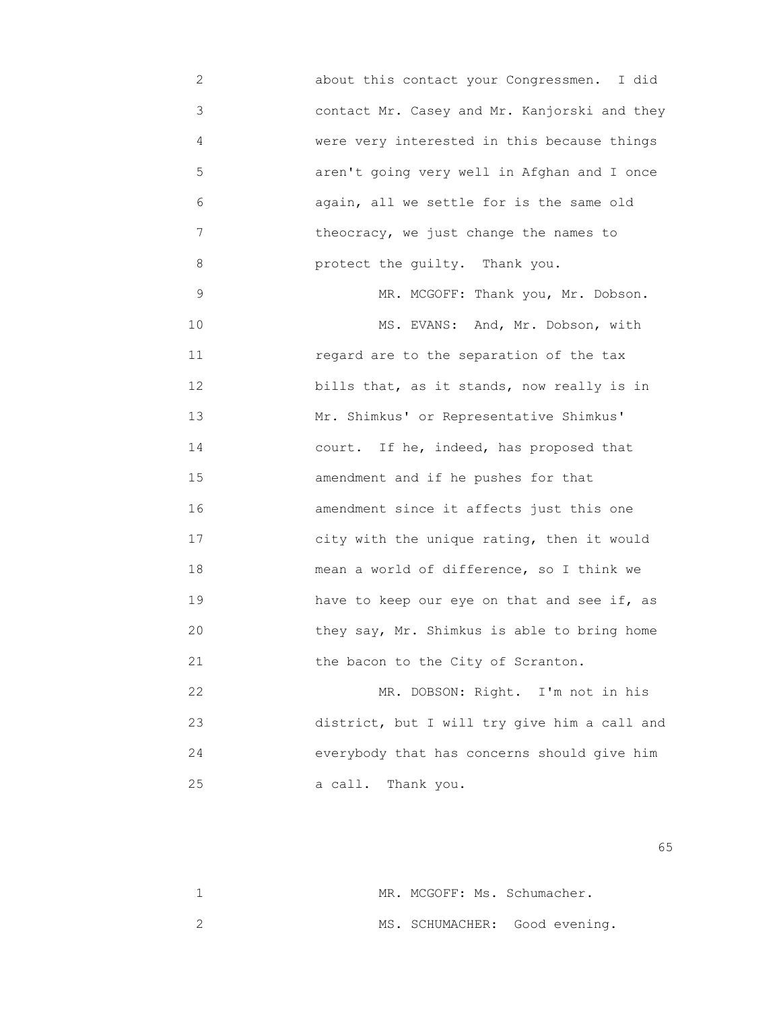2 about this contact your Congressmen. I did 3 contact Mr. Casey and Mr. Kanjorski and they 4 were very interested in this because things 5 aren't going very well in Afghan and I once 6 again, all we settle for is the same old 7 theocracy, we just change the names to 8 protect the guilty. Thank you. 9 MR. MCGOFF: Thank you, Mr. Dobson.

10 MS. EVANS: And, Mr. Dobson, with 11 regard are to the separation of the tax 12 bills that, as it stands, now really is in 13 Mr. Shimkus' or Representative Shimkus' 14 court. If he, indeed, has proposed that 15 amendment and if he pushes for that 16 amendment since it affects just this one 17 city with the unique rating, then it would 18 mean a world of difference, so I think we 19 have to keep our eye on that and see if, as 20 they say, Mr. Shimkus is able to bring home 21 the bacon to the City of Scranton.

22 MR. DOBSON: Right. I'm not in his 23 district, but I will try give him a call and 24 everybody that has concerns should give him 25 a call. Thank you.

 $\sim$  65

| MR. MCGOFF: Ms. Schumacher.   |
|-------------------------------|
| MS. SCHUMACHER: Good evening. |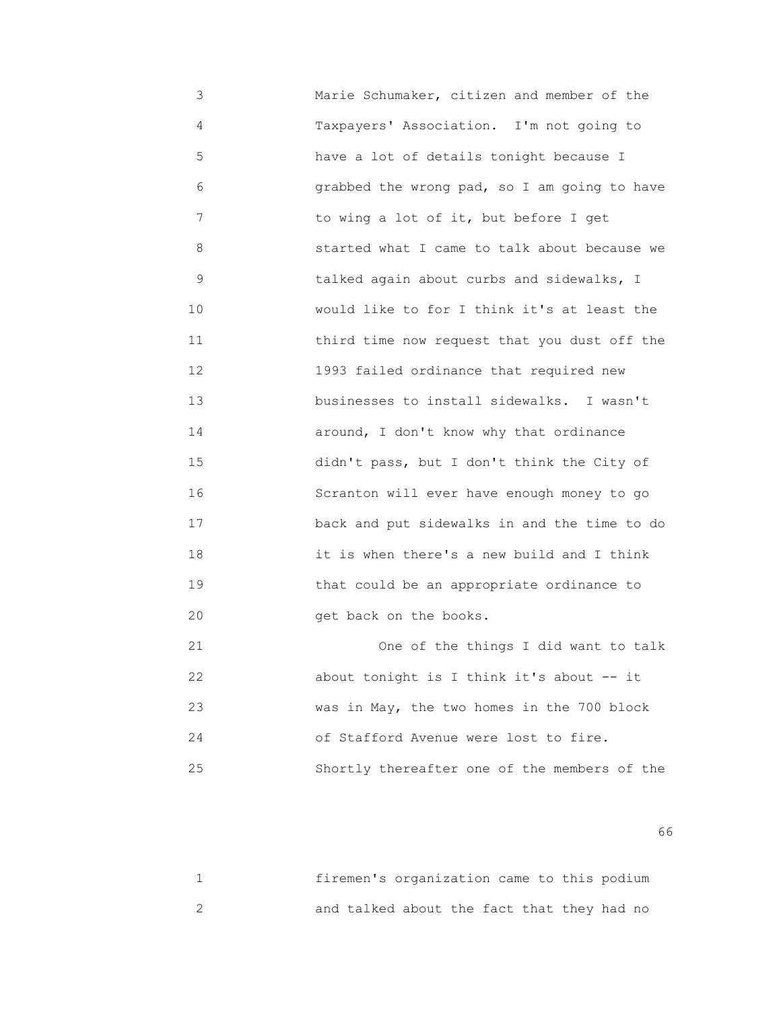3 Marie Schumaker, citizen and member of the 4 Taxpayers' Association. I'm not going to 5 have a lot of details tonight because I 6 grabbed the wrong pad, so I am going to have 7 to wing a lot of it, but before I get 8 started what I came to talk about because we 9 talked again about curbs and sidewalks, I 10 would like to for I think it's at least the 11 third time now request that you dust off the 12 1993 failed ordinance that required new 13 businesses to install sidewalks. I wasn't 14 around, I don't know why that ordinance 15 didn't pass, but I don't think the City of 16 Scranton will ever have enough money to go 17 back and put sidewalks in and the time to do 18 it is when there's a new build and I think 19 that could be an appropriate ordinance to 20 get back on the books. 21 One of the things I did want to talk

| 22 | about tonight is I think it's about $-$ it   |
|----|----------------------------------------------|
| 23 | was in May, the two homes in the 700 block   |
| 24 | of Stafford Avenue were lost to fire.        |
| 25 | Shortly thereafter one of the members of the |

 $\sim$  66

|  | firemen's organization came to this podium |  |  |  |
|--|--------------------------------------------|--|--|--|
|  | and talked about the fact that they had no |  |  |  |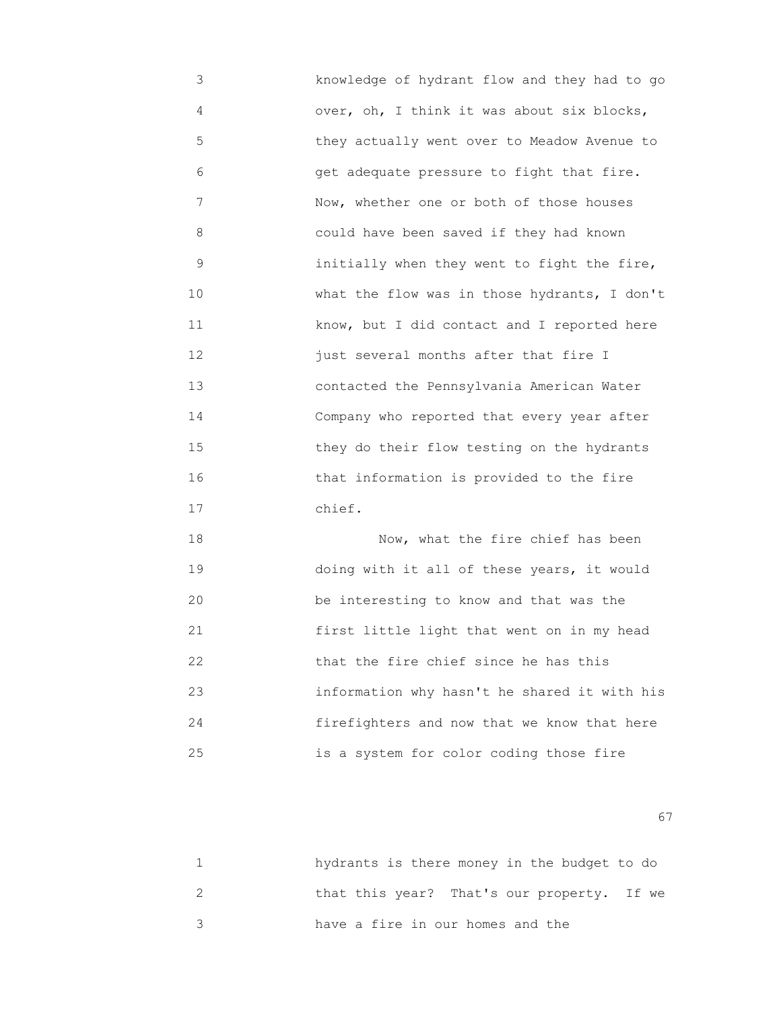3 knowledge of hydrant flow and they had to go 4 over, oh, I think it was about six blocks, 5 they actually went over to Meadow Avenue to 6 get adequate pressure to fight that fire. 7 Now, whether one or both of those houses 8 could have been saved if they had known 9 initially when they went to fight the fire, 10 What the flow was in those hydrants, I don't 11 **Exercise Report EX RONA** know, but I did contact and I reported here 12 just several months after that fire I 13 contacted the Pennsylvania American Water 14 Company who reported that every year after 15 they do their flow testing on the hydrants 16 that information is provided to the fire 17 chief.

 18 Now, what the fire chief has been 19 doing with it all of these years, it would 20 be interesting to know and that was the 21 first little light that went on in my head 22 that the fire chief since he has this 23 information why hasn't he shared it with his 24 firefighters and now that we know that here 25 is a system for color coding those fire

experience of the contract of the contract of the contract of the contract of the contract of the contract of the contract of the contract of the contract of the contract of the contract of the contract of the contract of

| hydrants is there money in the budget to do |
|---------------------------------------------|
| that this year? That's our property. If we  |
| have a fire in our homes and the            |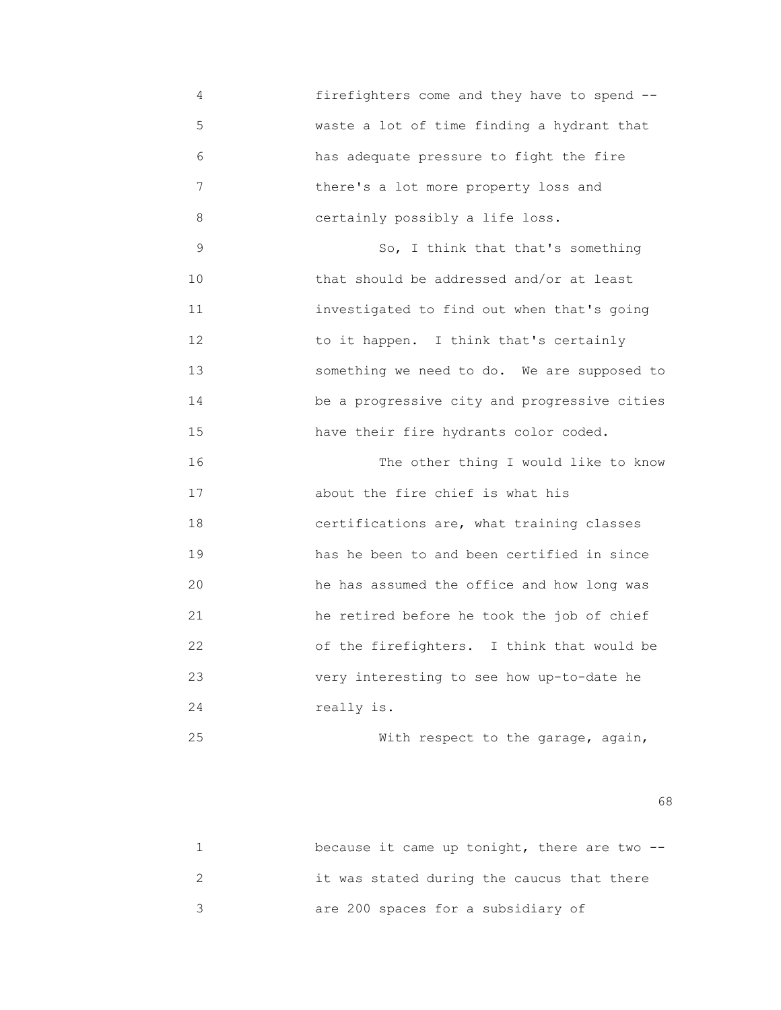4 firefighters come and they have to spend -- 5 waste a lot of time finding a hydrant that 6 has adequate pressure to fight the fire 7 there's a lot more property loss and 8 certainly possibly a life loss.

 9 So, I think that that's something 10 that should be addressed and/or at least 11 investigated to find out when that's going 12 to it happen. I think that's certainly 13 something we need to do. We are supposed to 14 be a progressive city and progressive cities 15 have their fire hydrants color coded.

 16 The other thing I would like to know 17 about the fire chief is what his 18 certifications are, what training classes 19 has he been to and been certified in since 20 he has assumed the office and how long was 21 he retired before he took the job of chief 22 of the firefighters. I think that would be 23 very interesting to see how up-to-date he 24 really is.

25 With respect to the garage, again,

 $\sim$  68

| because it came up tonight, there are two -- |
|----------------------------------------------|
| it was stated during the caucus that there   |
| are 200 spaces for a subsidiary of           |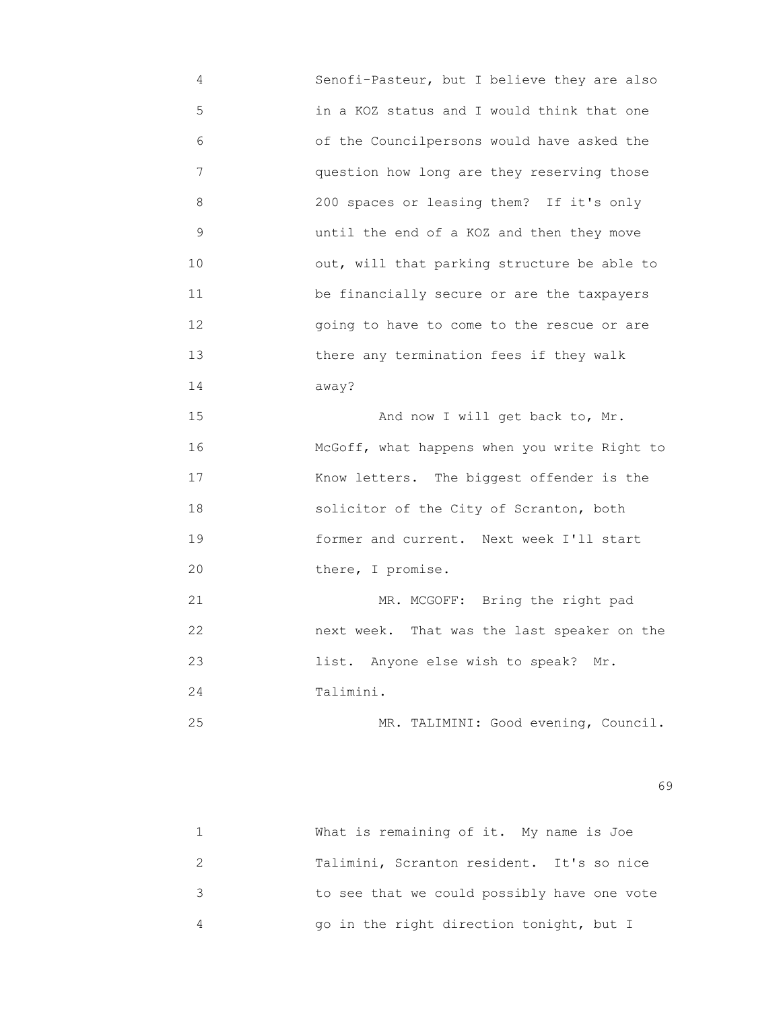4 Senofi-Pasteur, but I believe they are also 5 in a KOZ status and I would think that one 6 of the Councilpersons would have asked the 7 question how long are they reserving those 8 200 spaces or leasing them? If it's only 9 until the end of a KOZ and then they move 10 out, will that parking structure be able to 11 be financially secure or are the taxpayers 12 going to have to come to the rescue or are 13 there any termination fees if they walk 14 away? 15 And now I will get back to, Mr. 16 **McGoff, what happens when you write Right to** 17 Know letters. The biggest offender is the 18 solicitor of the City of Scranton, both 19 former and current. Next week I'll start 20 **there**, I promise. 21 MR. MCGOFF: Bring the right pad 22 next week. That was the last speaker on the 23 list. Anyone else wish to speak? Mr. 24 Talimini. 25 MR. TALIMINI: Good evening, Council.

 $\sim$  69

| What is remaining of it. My name is Joe     |
|---------------------------------------------|
| Talimini, Scranton resident. It's so nice   |
| to see that we could possibly have one vote |
| go in the right direction tonight, but I    |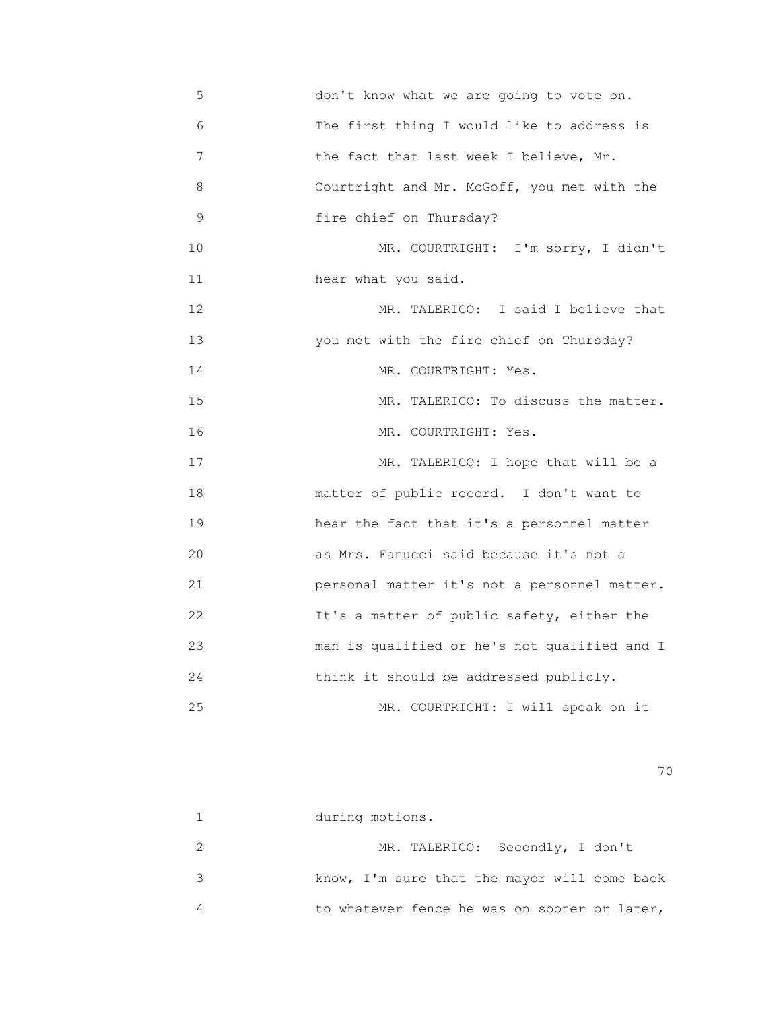5 don't know what we are going to vote on. 6 The first thing I would like to address is 7 the fact that last week I believe, Mr. 8 Courtright and Mr. McGoff, you met with the 9 fire chief on Thursday? 10 MR. COURTRIGHT: I'm sorry, I didn't 11 **hear** what you said. 12 MR. TALERICO: I said I believe that 13 you met with the fire chief on Thursday? 14 MR. COURTRIGHT: Yes. 15 MR. TALERICO: To discuss the matter. 16 MR. COURTRIGHT: Yes. 17 MR. TALERICO: I hope that will be a 18 matter of public record. I don't want to 19 hear the fact that it's a personnel matter 20 as Mrs. Fanucci said because it's not a 21 personal matter it's not a personnel matter. 22 It's a matter of public safety, either the 23 man is qualified or he's not qualified and I 24 think it should be addressed publicly. 25 MR. COURTRIGHT: I will speak on it

| during motions.                              |
|----------------------------------------------|
| MR. TALERICO: Secondly, I don't              |
| know, I'm sure that the mayor will come back |
| to whatever fence he was on sooner or later, |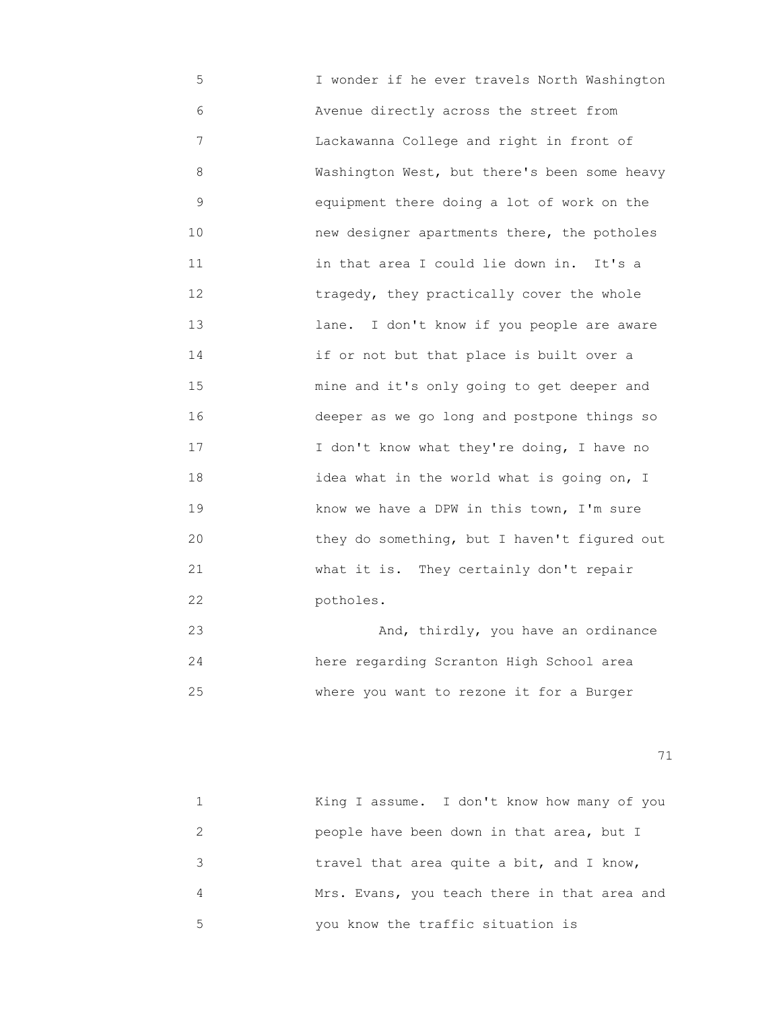5 I wonder if he ever travels North Washington 6 Avenue directly across the street from 7 Lackawanna College and right in front of 8 Washington West, but there's been some heavy 9 equipment there doing a lot of work on the 10 new designer apartments there, the potholes 11 in that area I could lie down in. It's a 12 **tragedy, they practically cover the whole**  13 lane. I don't know if you people are aware 14 if or not but that place is built over a 15 mine and it's only going to get deeper and 16 deeper as we go long and postpone things so 17 **I** don't know what they're doing, I have no 18 idea what in the world what is going on, I 19 know we have a DPW in this town, I'm sure 20 they do something, but I haven't figured out 21 what it is. They certainly don't repair 22 potholes.

 23 And, thirdly, you have an ordinance 24 here regarding Scranton High School area 25 where you want to rezone it for a Burger

|   | King I assume. I don't know how many of you  |
|---|----------------------------------------------|
|   | people have been down in that area, but I    |
| 3 | travel that area quite a bit, and I know,    |
| 4 | Mrs. Evans, you teach there in that area and |
| 5 | you know the traffic situation is            |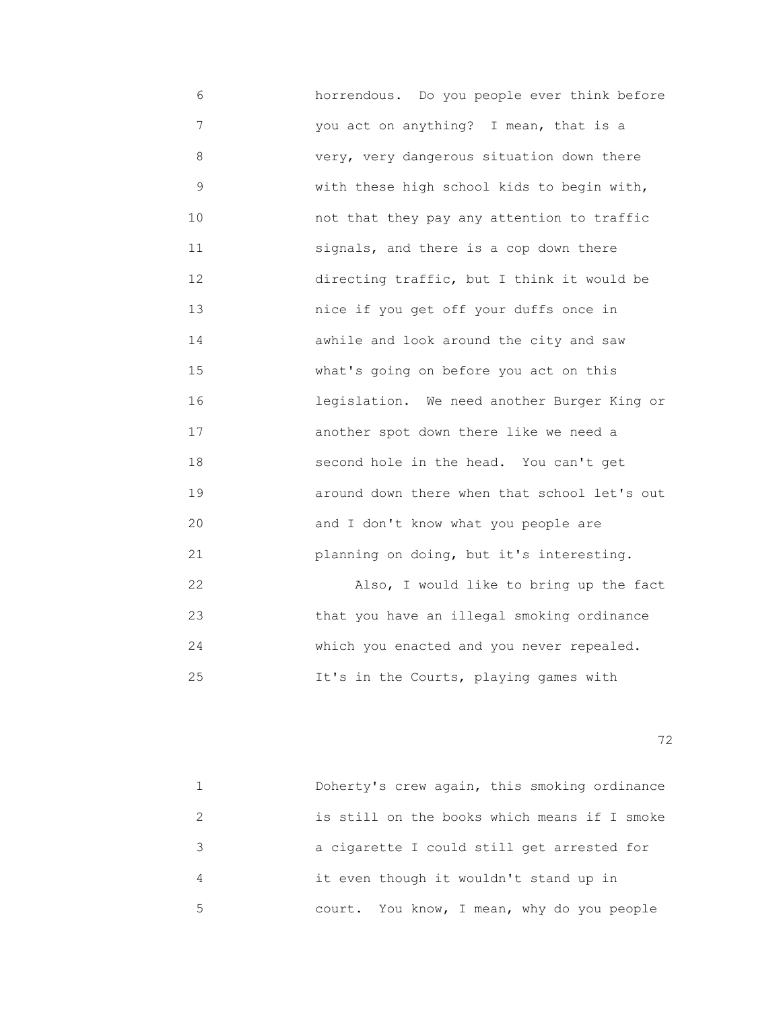6 horrendous. Do you people ever think before 7 you act on anything? I mean, that is a 8 very, very dangerous situation down there 9 **with these high school kids to begin with,**  10 not that they pay any attention to traffic 11 signals, and there is a cop down there 12 directing traffic, but I think it would be 13 nice if you get off your duffs once in 14 awhile and look around the city and saw 15 what's going on before you act on this 16 legislation. We need another Burger King or 17 another spot down there like we need a 18 second hole in the head. You can't get 19 around down there when that school let's out 20 and I don't know what you people are 21 planning on doing, but it's interesting. 22 Also, I would like to bring up the fact 23 that you have an illegal smoking ordinance

25 It's in the Courts, playing games with

24 which you enacted and you never repealed.

<u>72</u> — Политика и Станиција и Станиција и Станиција и Станиција и Станиција и Станиција и Станиција и Станиција<br>Во селото се постаниција и Станиција и Станиција и Станиција и Станиција и Станиција и Станиција и Станиција

|   | Doherty's crew again, this smoking ordinance |
|---|----------------------------------------------|
|   | is still on the books which means if I smoke |
|   | a cigarette I could still get arrested for   |
| 4 | it even though it wouldn't stand up in       |
| 5 | court. You know, I mean, why do you people   |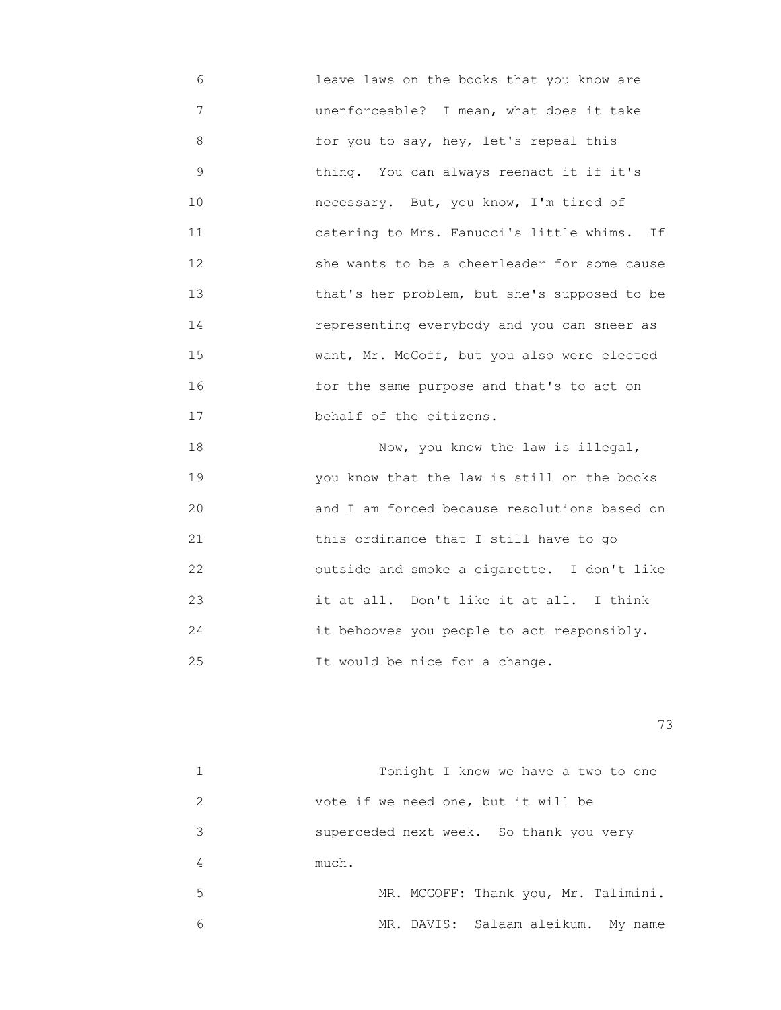6 leave laws on the books that you know are 7 unenforceable? I mean, what does it take 8 for you to say, hey, let's repeal this 9 thing. You can always reenact it if it's 10 necessary. But, you know, I'm tired of 11 catering to Mrs. Fanucci's little whims. If 12 she wants to be a cheerleader for some cause 13 that's her problem, but she's supposed to be 14 representing everybody and you can sneer as 15 want, Mr. McGoff, but you also were elected 16 for the same purpose and that's to act on 17 behalf of the citizens.

 18 Now, you know the law is illegal, 19 you know that the law is still on the books 20 and I am forced because resolutions based on 21 this ordinance that I still have to go 22 outside and smoke a cigarette. I don't like 23 it at all. Don't like it at all. I think 24 it behooves you people to act responsibly. 25 **12 It would be nice for a change.** 

|   | Tonight I know we have a two to one     |
|---|-----------------------------------------|
| 2 | vote if we need one, but it will be     |
| 3 | superceded next week. So thank you very |
| 4 | much.                                   |
| 5 | MR. MCGOFF: Thank you, Mr. Talimini.    |
| 6 | MR. DAVIS: Salaam aleikum. My name      |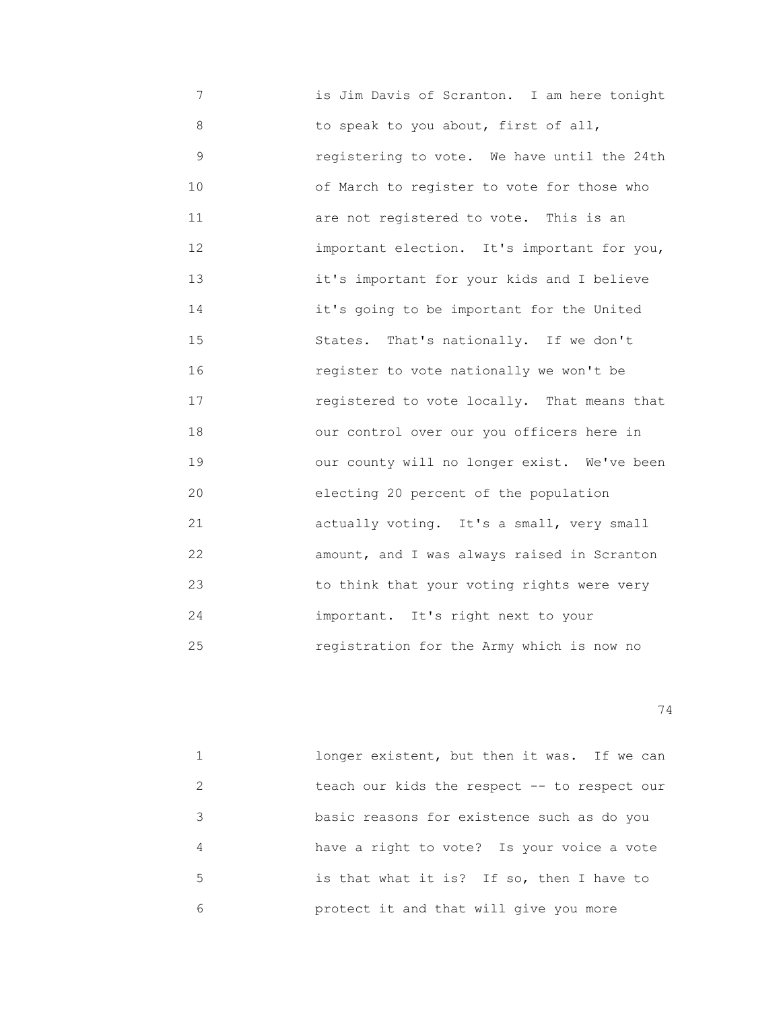7 is Jim Davis of Scranton. I am here tonight 8 to speak to you about, first of all, 9 registering to vote. We have until the 24th 10 of March to register to vote for those who 11 are not registered to vote. This is an 12 important election. It's important for you, 13 it's important for your kids and I believe 14 it's going to be important for the United 15 States. That's nationally. If we don't 16 register to vote nationally we won't be 17 registered to vote locally. That means that 18 our control over our you officers here in 19 our county will no longer exist. We've been 20 electing 20 percent of the population 21 actually voting. It's a small, very small 22 amount, and I was always raised in Scranton 23 to think that your voting rights were very 24 important. It's right next to your 25 registration for the Army which is now no

|               | longer existent, but then it was. If we can  |
|---------------|----------------------------------------------|
| $\mathcal{L}$ | teach our kids the respect -- to respect our |
| 3             | basic reasons for existence such as do you   |
| 4             | have a right to vote? Is your voice a vote   |
| 5.            | is that what it is? If so, then I have to    |
| 6             | protect it and that will give you more       |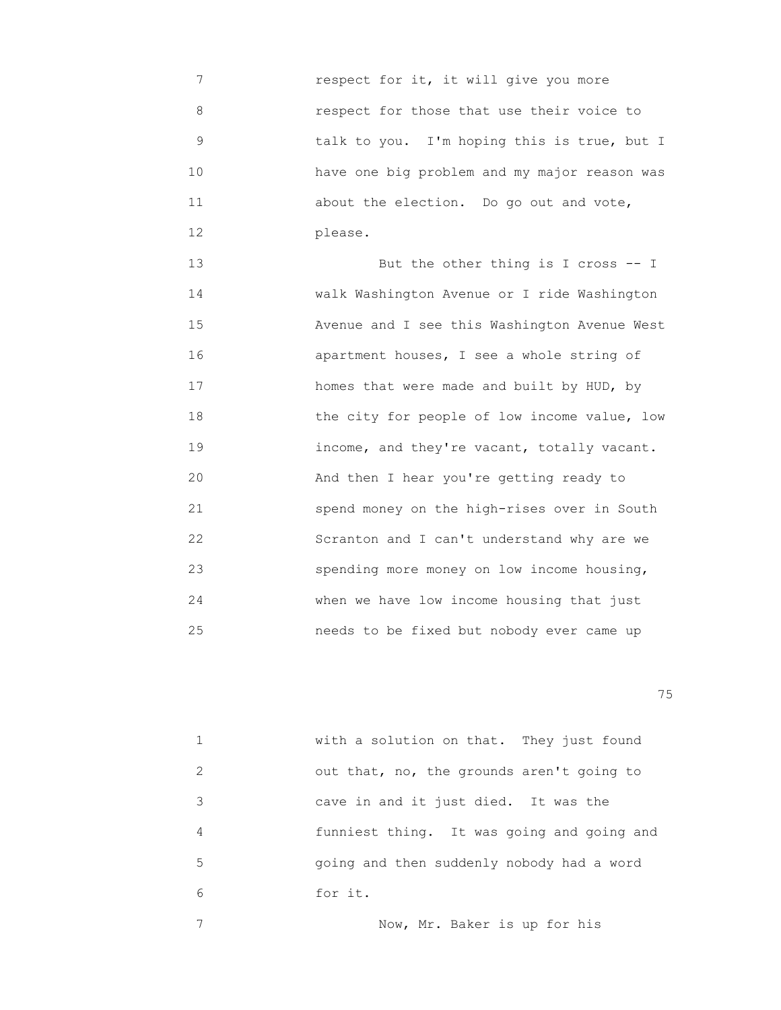7 respect for it, it will give you more 8 respect for those that use their voice to 9 talk to you. I'm hoping this is true, but I 10 have one big problem and my major reason was 11 about the election. Do go out and vote, 12 please.

13 But the other thing is I cross -- I 14 walk Washington Avenue or I ride Washington 15 Avenue and I see this Washington Avenue West 16 apartment houses, I see a whole string of 17 homes that were made and built by HUD, by 18 the city for people of low income value, low 19 income, and they're vacant, totally vacant. 20 And then I hear you're getting ready to 21 spend money on the high-rises over in South 22 Scranton and I can't understand why are we 23 spending more money on low income housing, 24 when we have low income housing that just 25 needs to be fixed but nobody ever came up

na matsay na katalog as na katalog as na katalog as na katalog as na katalog as na katalog as na katalog as na<br>Tagairta

|               | with a solution on that. They just found   |
|---------------|--------------------------------------------|
| $\mathcal{L}$ | out that, no, the grounds aren't going to  |
| 3             | cave in and it just died. It was the       |
| 4             | funniest thing. It was going and going and |
| 5             | going and then suddenly nobody had a word  |
| 6             | for it.                                    |
|               |                                            |

7 Now, Mr. Baker is up for his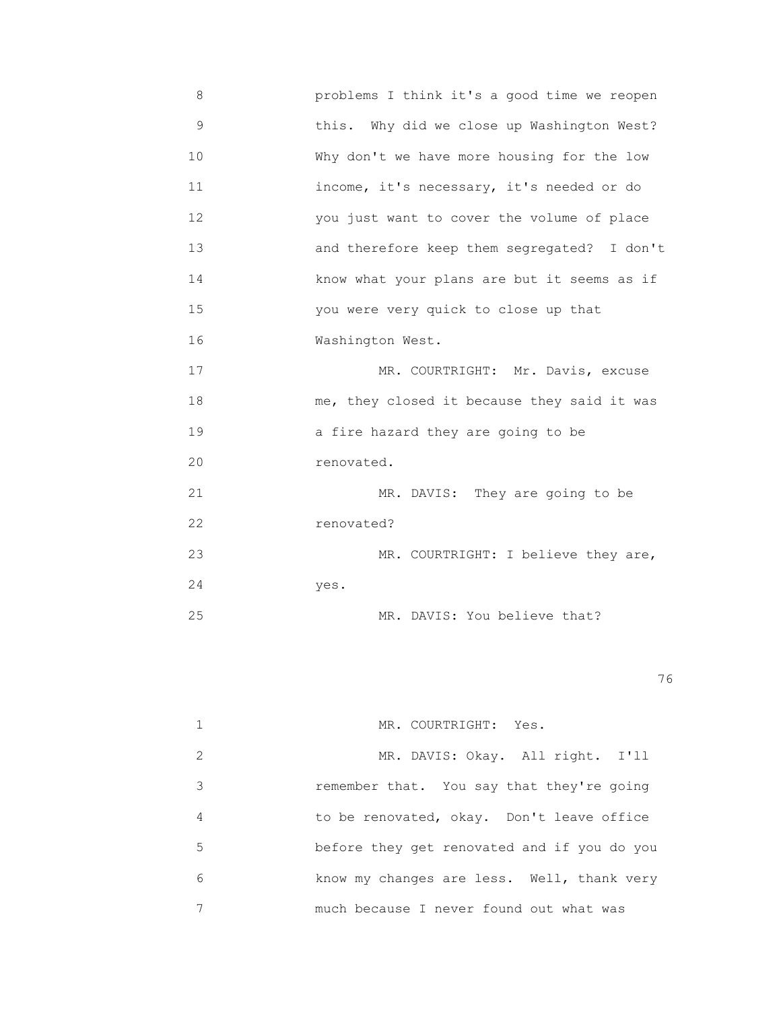8 problems I think it's a good time we reopen 9 this. Why did we close up Washington West? 10 Why don't we have more housing for the low 11 income, it's necessary, it's needed or do 12 you just want to cover the volume of place 13 and therefore keep them segregated? I don't 14 know what your plans are but it seems as if 15 you were very quick to close up that 16 Washington West. 17 MR. COURTRIGHT: Mr. Davis, excuse 18 me, they closed it because they said it was 19 a fire hazard they are going to be 20 renovated. 21 MR. DAVIS: They are going to be 22 renovated? 23 MR. COURTRIGHT: I believe they are, 24 yes.

25 MR. DAVIS: You believe that?

<u>76 and 2001 and 2002 and 2003 and 2003 and 2003 and 2003 and 2003 and 2003 and 2003 and 2003 and 2003 and 200</u>

|               | MR. COURTRIGHT: Yes.                        |
|---------------|---------------------------------------------|
| $\mathcal{L}$ | MR. DAVIS: Okay. All right. I'll            |
| 3             | remember that. You say that they're going   |
| 4             | to be renovated, okay. Don't leave office   |
| 5             | before they get renovated and if you do you |
| 6             | know my changes are less. Well, thank very  |
|               | much because I never found out what was     |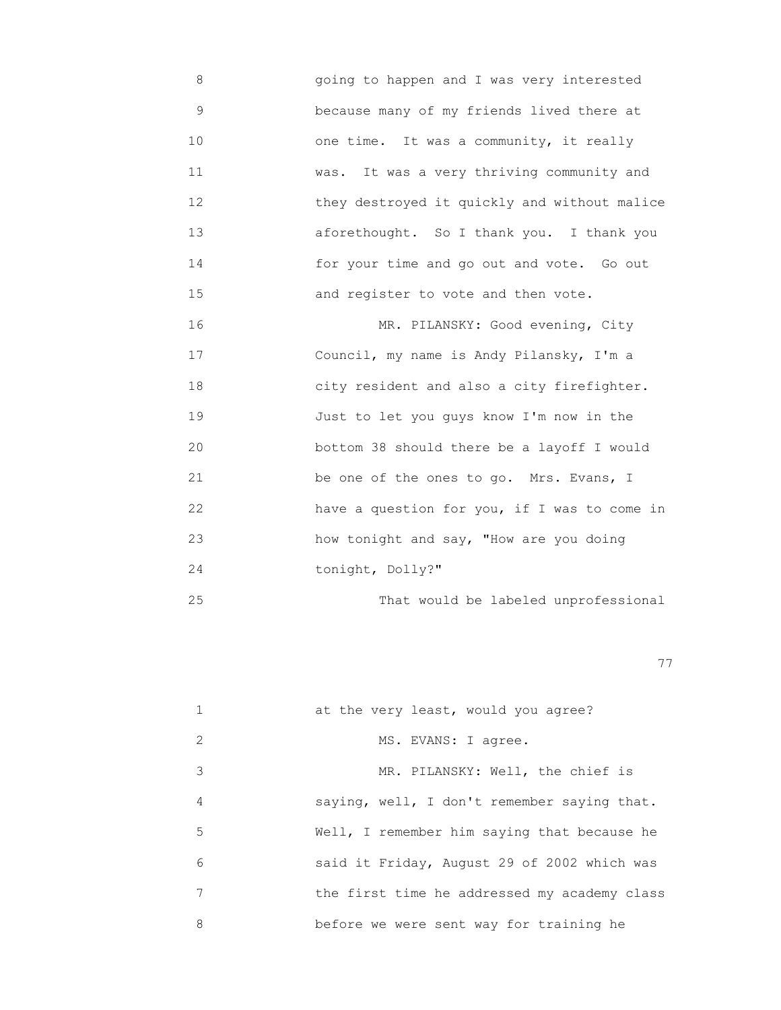8 going to happen and I was very interested 9 because many of my friends lived there at 10 one time. It was a community, it really 11 was. It was a very thriving community and 12 they destroyed it quickly and without malice 13 aforethought. So I thank you. I thank you 14 for your time and go out and vote. Go out 15 and register to vote and then vote.

16 MR. PILANSKY: Good evening, City 17 Council, my name is Andy Pilansky, I'm a 18 city resident and also a city firefighter. 19 Just to let you guys know I'm now in the 20 bottom 38 should there be a layoff I would 21 be one of the ones to go. Mrs. Evans, I 22 have a question for you, if I was to come in 23 how tonight and say, "How are you doing 24 tonight, Dolly?"

25 That would be labeled unprofessional

последници производите в последници по село в 1979 године. В 1979 године по село в 1979 године по село в 1979<br>В 1979 године по село в 1979 године по село в 1979 године по село в 1979 године по село в 1979 године по село

|               | at the very least, would you agree?          |
|---------------|----------------------------------------------|
| $\mathcal{L}$ | MS. EVANS: I agree.                          |
| 3             | MR. PILANSKY: Well, the chief is             |
| 4             | saying, well, I don't remember saying that.  |
| 5             | Well, I remember him saying that because he  |
| 6             | said it Friday, August 29 of 2002 which was  |
| 7             | the first time he addressed my academy class |
| 8             | before we were sent way for training he      |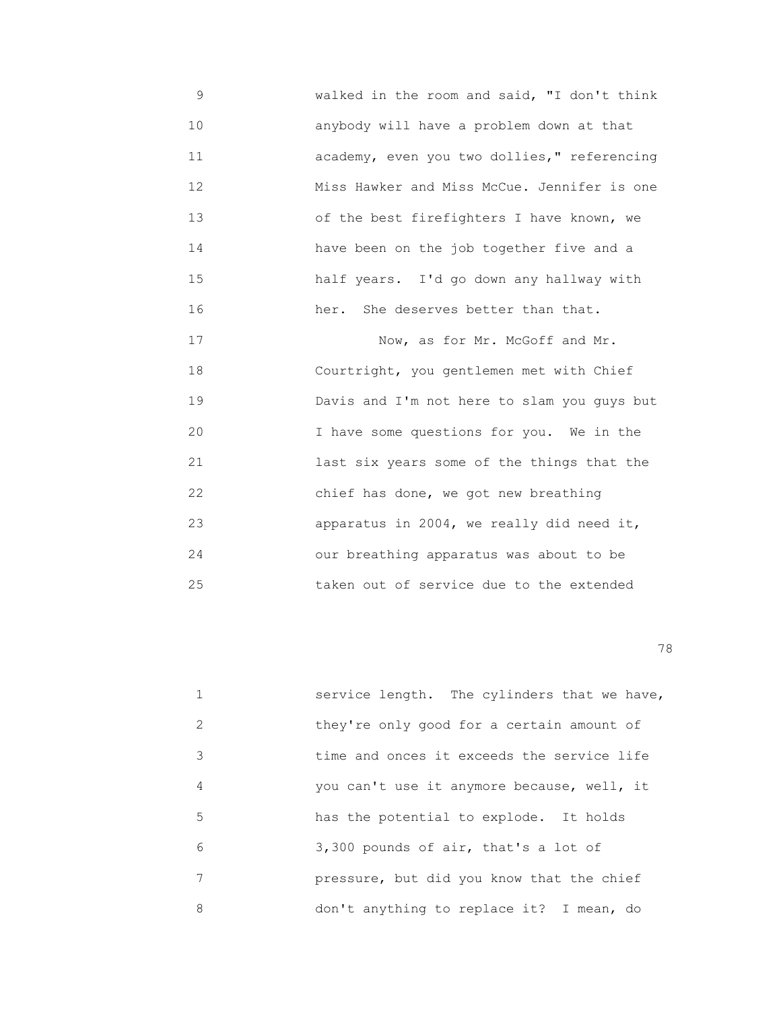9 walked in the room and said, "I don't think 10 anybody will have a problem down at that 11 academy, even you two dollies," referencing 12 Miss Hawker and Miss McCue. Jennifer is one 13 of the best firefighters I have known, we 14 have been on the job together five and a 15 half years. I'd go down any hallway with 16 her. She deserves better than that.

17 Now, as for Mr. McGoff and Mr. 18 Courtright, you gentlemen met with Chief 19 Davis and I'm not here to slam you guys but 20 I have some questions for you. We in the 21 last six years some of the things that the 22 chief has done, we got new breathing 23 apparatus in 2004, we really did need it, 24 our breathing apparatus was about to be 25 taken out of service due to the extended

|               | service length. The cylinders that we have, |
|---------------|---------------------------------------------|
| $\mathcal{L}$ | they're only good for a certain amount of   |
| 3             | time and onces it exceeds the service life  |
| 4             | you can't use it anymore because, well, it  |
| 5             | has the potential to explode. It holds      |
| 6             | 3,300 pounds of air, that's a lot of        |
| 7             | pressure, but did you know that the chief   |
| 8             | don't anything to replace it? I mean, do    |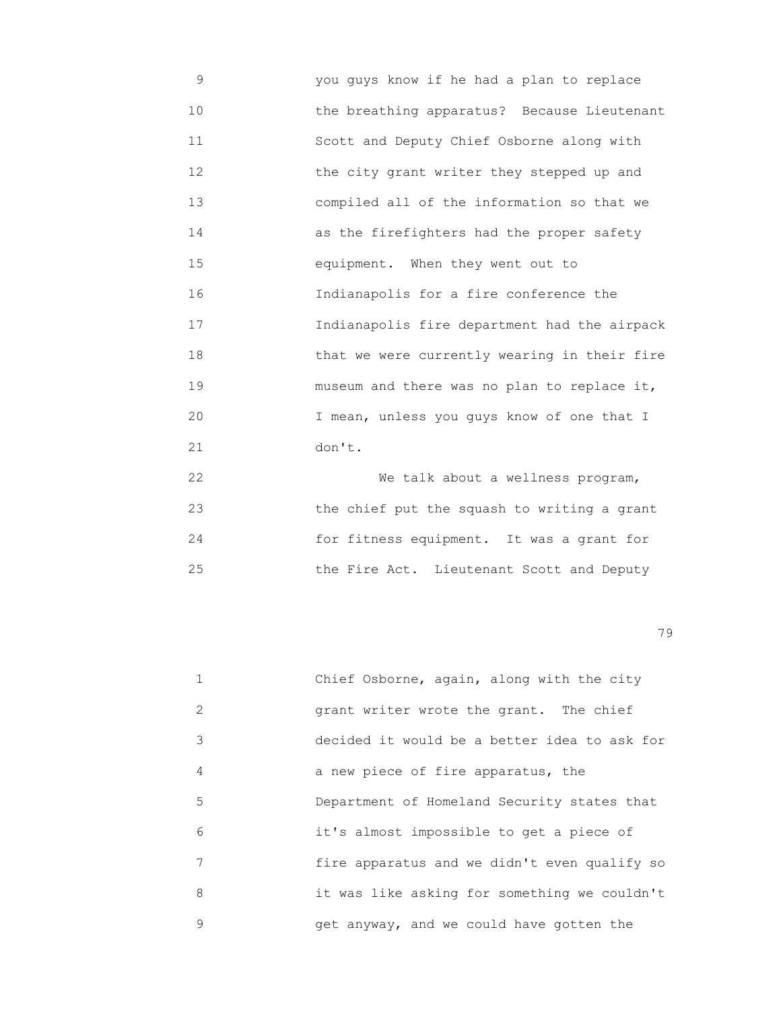9 you guys know if he had a plan to replace 10 the breathing apparatus? Because Lieutenant 11 Scott and Deputy Chief Osborne along with 12 the city grant writer they stepped up and 13 compiled all of the information so that we 14 as the firefighters had the proper safety 15 equipment. When they went out to 16 Indianapolis for a fire conference the 17 Indianapolis fire department had the airpack 18 that we were currently wearing in their fire 19 museum and there was no plan to replace it, 20 I mean, unless you guys know of one that I 21 don't.

 22 We talk about a wellness program, 23 the chief put the squash to writing a grant 24 for fitness equipment. It was a grant for 25 the Fire Act. Lieutenant Scott and Deputy

|               | Chief Osborne, again, along with the city    |
|---------------|----------------------------------------------|
| $\mathcal{L}$ | grant writer wrote the grant. The chief      |
| 3             | decided it would be a better idea to ask for |
| 4             | a new piece of fire apparatus, the           |
| 5             | Department of Homeland Security states that  |
| 6             | it's almost impossible to get a piece of     |
| 7             | fire apparatus and we didn't even qualify so |
| 8             | it was like asking for something we couldn't |
| 9             | get anyway, and we could have gotten the     |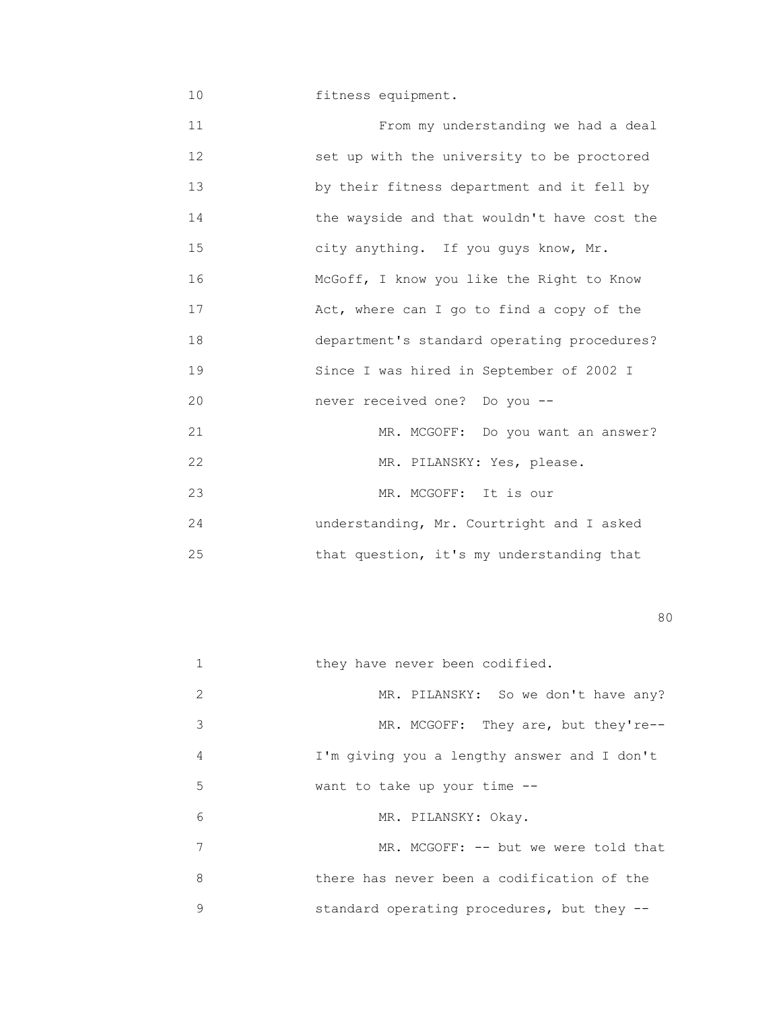10 **fitness equipment.** 

 11 From my understanding we had a deal 12 set up with the university to be proctored 13 by their fitness department and it fell by 14 the wayside and that wouldn't have cost the 15 city anything. If you guys know, Mr. 16 McGoff, I know you like the Right to Know 17 Act, where can I go to find a copy of the 18 department's standard operating procedures? 19 Since I was hired in September of 2002 I 20 never received one? Do you -- 21 MR. MCGOFF: Do you want an answer? 22 MR. PILANSKY: Yes, please. 23 MR. MCGOFF: It is our 24 understanding, Mr. Courtright and I asked 25 that question, it's my understanding that

experience of the state of the state of the state of the state of the state of the state of the state of the s

|   | they have never been codified.              |
|---|---------------------------------------------|
| 2 | MR. PILANSKY: So we don't have any?         |
| 3 | MR. MCGOFF: They are, but they're--         |
| 4 | I'm giving you a lengthy answer and I don't |
| 5 | want to take up your time --                |
| 6 | MR. PILANSKY: Okay.                         |
| 7 | MR. MCGOFF: -- but we were told that        |
| 8 | there has never been a codification of the  |
| 9 | standard operating procedures, but they --  |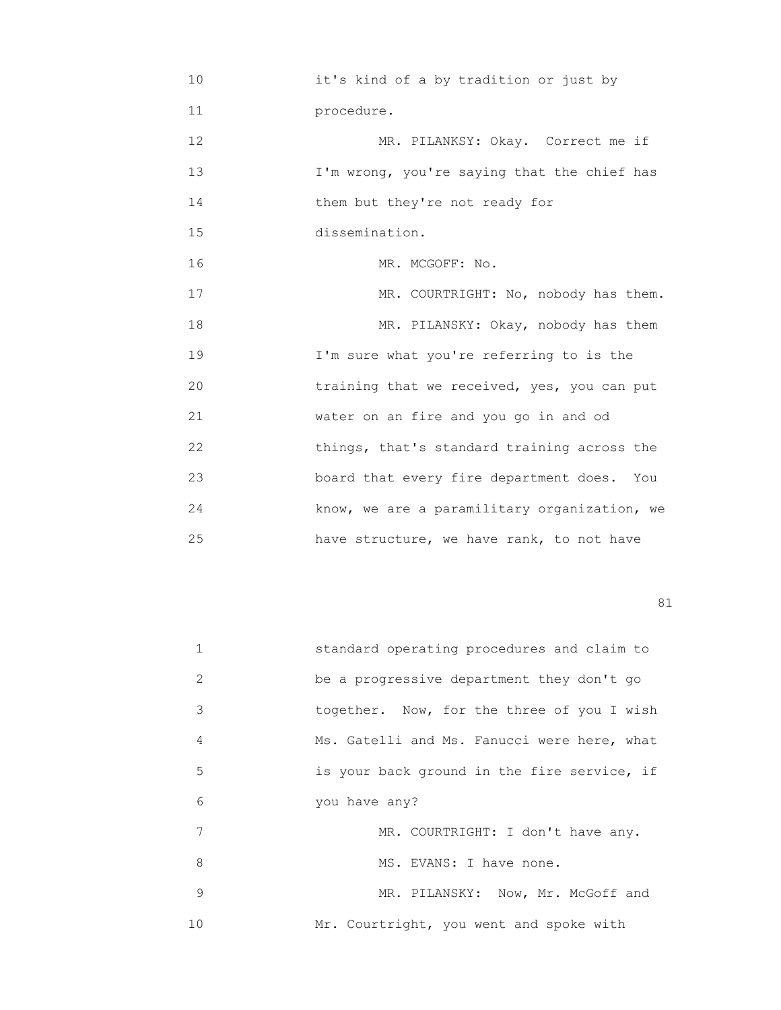10 it's kind of a by tradition or just by 11 procedure. 12 MR. PILANKSY: Okay. Correct me if 13 I'm wrong, you're saying that the chief has 14 them but they're not ready for 15 dissemination. 16 MR. MCGOFF: No. 17 MR. COURTRIGHT: No, nobody has them. 18 MR. PILANSKY: Okay, nobody has them 19 I'm sure what you're referring to is the 20 training that we received, yes, you can put 21 water on an fire and you go in and od 22 things, that's standard training across the 23 board that every fire department does. You 24 know, we are a paramilitary organization, we 25 have structure, we have rank, to not have

| 1  | standard operating procedures and claim to  |
|----|---------------------------------------------|
| 2  | be a progressive department they don't go   |
| 3  | together. Now, for the three of you I wish  |
| 4  | Ms. Gatelli and Ms. Fanucci were here, what |
| 5  | is your back ground in the fire service, if |
| 6  | you have any?                               |
| 7  | MR. COURTRIGHT: I don't have any.           |
| 8  | MS. EVANS: I have none.                     |
| 9  | MR. PILANSKY: Now, Mr. McGoff and           |
| 10 | Mr. Courtright, you went and spoke with     |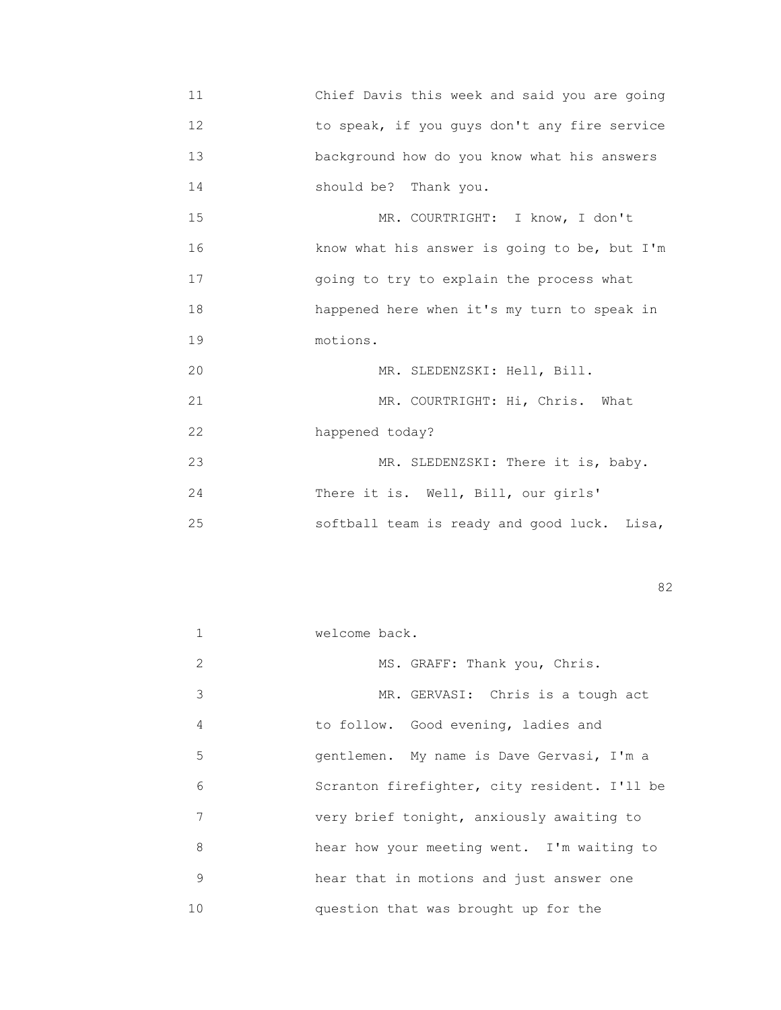11 Chief Davis this week and said you are going 12 to speak, if you guys don't any fire service 13 background how do you know what his answers 14 should be? Thank you.

15 MR. COURTRIGHT: I know, I don't 16 know what his answer is going to be, but I'm 17 going to try to explain the process what 18 happened here when it's my turn to speak in 19 motions.

 20 MR. SLEDENZSKI: Hell, Bill. 21 MR. COURTRIGHT: Hi, Chris. What 22 happened today? 23 MR. SLEDENZSKI: There it is, baby. 24 There it is. Well, Bill, our girls' 25 softball team is ready and good luck. Lisa,

experience of the state of the state of the state of the state of the state of the state of the state of the s

|               | welcome back.                                |
|---------------|----------------------------------------------|
| $\mathcal{L}$ | MS. GRAFF: Thank you, Chris.                 |
| 3             | MR. GERVASI: Chris is a tough act            |
| 4             | to follow. Good evening, ladies and          |
| 5             | gentlemen. My name is Dave Gervasi, I'm a    |
| 6             | Scranton firefighter, city resident. I'll be |
| 7             | very brief tonight, anxiously awaiting to    |
| 8             | hear how your meeting went. I'm waiting to   |
| 9             | hear that in motions and just answer one     |
| 10            | question that was brought up for the         |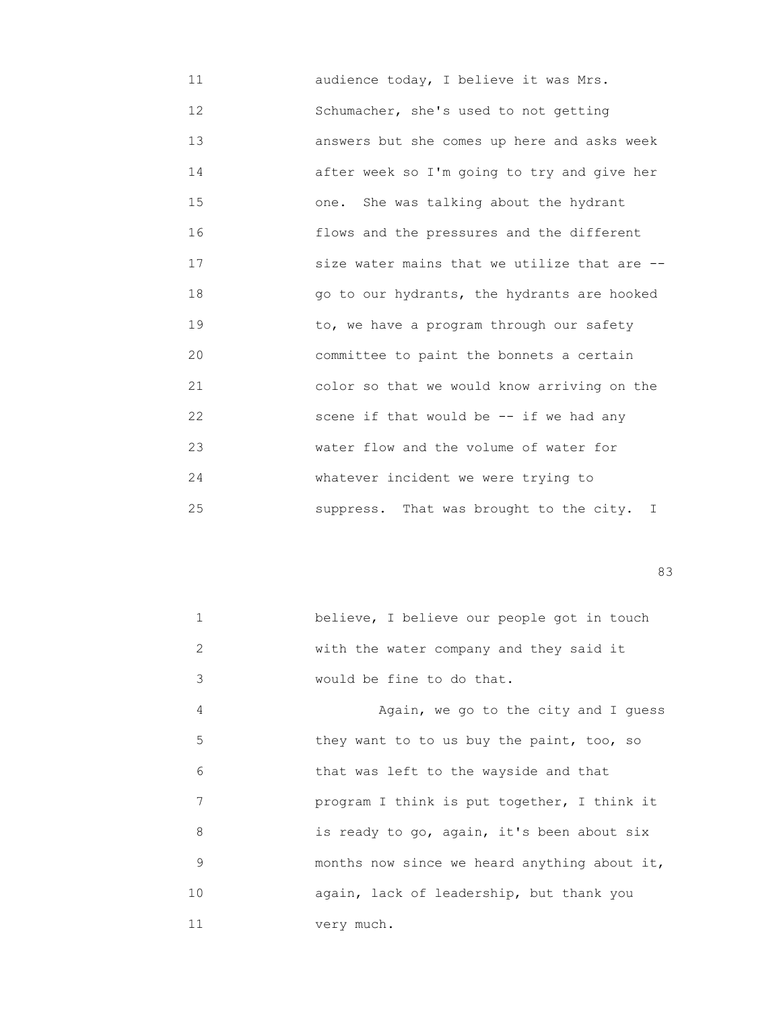11 audience today, I believe it was Mrs. 12 Schumacher, she's used to not getting 13 answers but she comes up here and asks week 14 after week so I'm going to try and give her 15 one. She was talking about the hydrant 16 flows and the pressures and the different 17 **SIZE WATER SERVE SERVE SIZE WATER** SIZE WATER STATE STATE STATE STATE STATE STATE STATE STATE STATE STATE ST 18 go to our hydrants, the hydrants are hooked 19 to, we have a program through our safety 20 committee to paint the bonnets a certain 21 color so that we would know arriving on the 22 scene if that would be -- if we had any 23 water flow and the volume of water for 24 **Whatever** incident we were trying to 25 suppress. That was brought to the city. I

experience of the contract of the contract of the contract of the contract of the contract of the contract of the contract of the contract of the contract of the contract of the contract of the contract of the contract of

| believe, I believe our people got in touch |
|--------------------------------------------|
| with the water company and they said it    |
| would be fine to do that.                  |

 4 Again, we go to the city and I guess 5 they want to to us buy the paint, too, so 6 that was left to the wayside and that 7 program I think is put together, I think it 8 is ready to go, again, it's been about six 9 months now since we heard anything about it, 10 again, lack of leadership, but thank you 11 very much.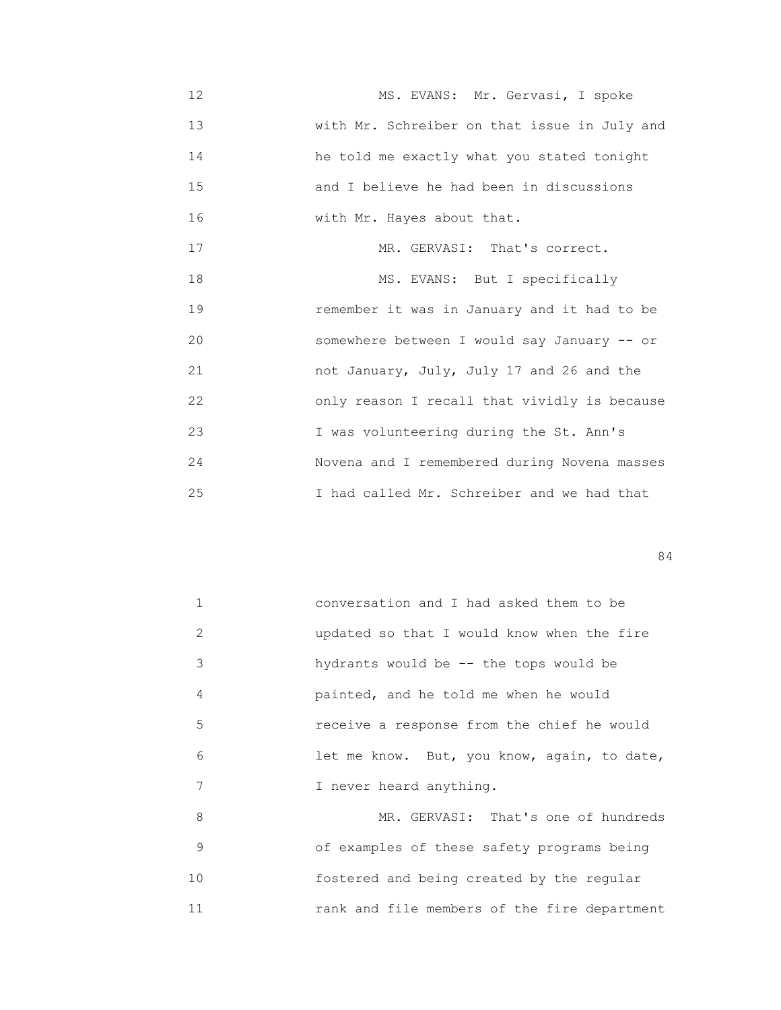12 MS. EVANS: Mr. Gervasi, I spoke 13 with Mr. Schreiber on that issue in July and 14 he told me exactly what you stated tonight 15 and I believe he had been in discussions 16 with Mr. Hayes about that.

17 MR. GERVASI: That's correct. 18 MS. EVANS: But I specifically 19 remember it was in January and it had to be 20 somewhere between I would say January -- or 21 not January, July, July 17 and 26 and the 22 only reason I recall that vividly is because 23 I was volunteering during the St. Ann's 24 Novena and I remembered during Novena masses 25 I had called Mr. Schreiber and we had that

84

|               | conversation and I had asked them to be     |
|---------------|---------------------------------------------|
| $\mathcal{L}$ | updated so that I would know when the fire  |
| 3             | hydrants would be $-$ the tops would be     |
| 4             | painted, and he told me when he would       |
| 5             | receive a response from the chief he would  |
| 6             | let me know. But, you know, again, to date, |
| 7             | I never heard anything.                     |
| 8             | MR. GERVASI: That's one of hundreds         |
|               |                                             |

 9 of examples of these safety programs being 10 fostered and being created by the regular 11 rank and file members of the fire department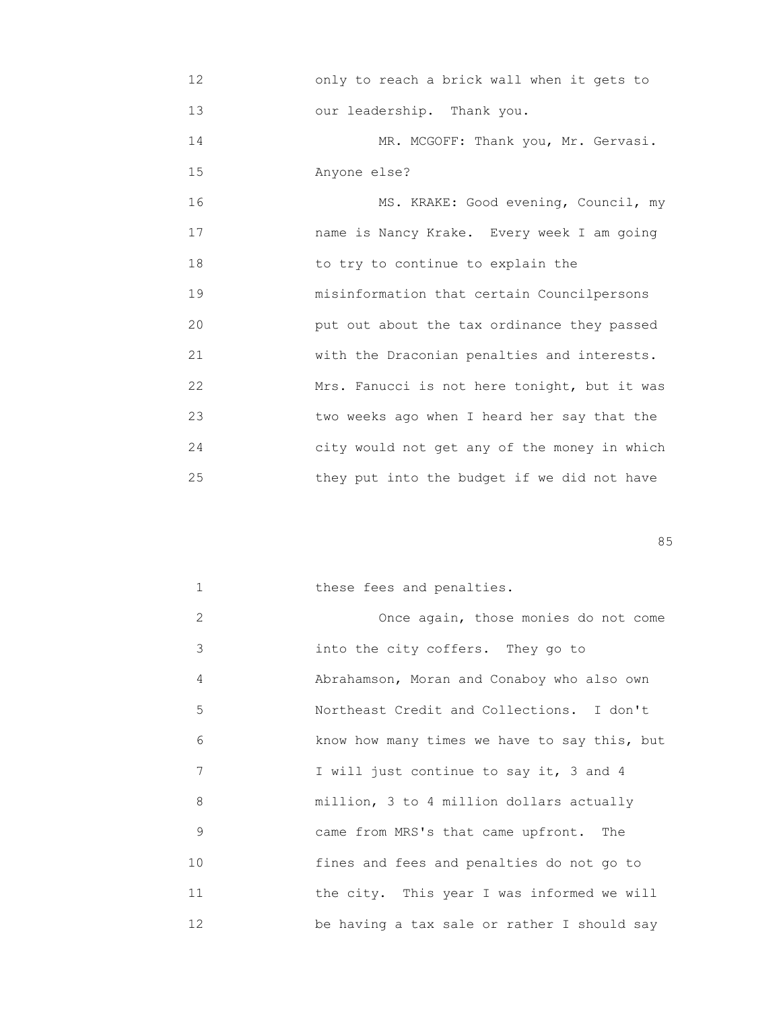12 only to reach a brick wall when it gets to 13 our leadership. Thank you.

14 MR. MCGOFF: Thank you, Mr. Gervasi. 15 Anyone else?

16 MS. KRAKE: Good evening, Council, my 17 name is Nancy Krake. Every week I am going 18 to try to continue to explain the 19 misinformation that certain Councilpersons 20 put out about the tax ordinance they passed 21 with the Draconian penalties and interests. 22 Mrs. Fanucci is not here tonight, but it was 23 two weeks ago when I heard her say that the 24 city would not get any of the money in which 25 they put into the budget if we did not have

en de la construcción de la construcción de la construcción de la construcción de la construcción de la construcción de la construcción de la construcción de la construcción de la construcción de la construcción de la cons

| $\mathbf{1}$ | these fees and penalties.                    |
|--------------|----------------------------------------------|
| 2            | Once again, those monies do not come         |
| 3            | into the city coffers. They go to            |
| 4            | Abrahamson, Moran and Conaboy who also own   |
| 5            | Northeast Credit and Collections. I don't    |
| 6            | know how many times we have to say this, but |
| 7            | I will just continue to say it, 3 and 4      |
| 8            | million, 3 to 4 million dollars actually     |
| 9            | came from MRS's that came upfront. The       |
| 10           | fines and fees and penalties do not go to    |
| 11           | the city. This year I was informed we will   |
| 12           | be having a tax sale or rather I should say  |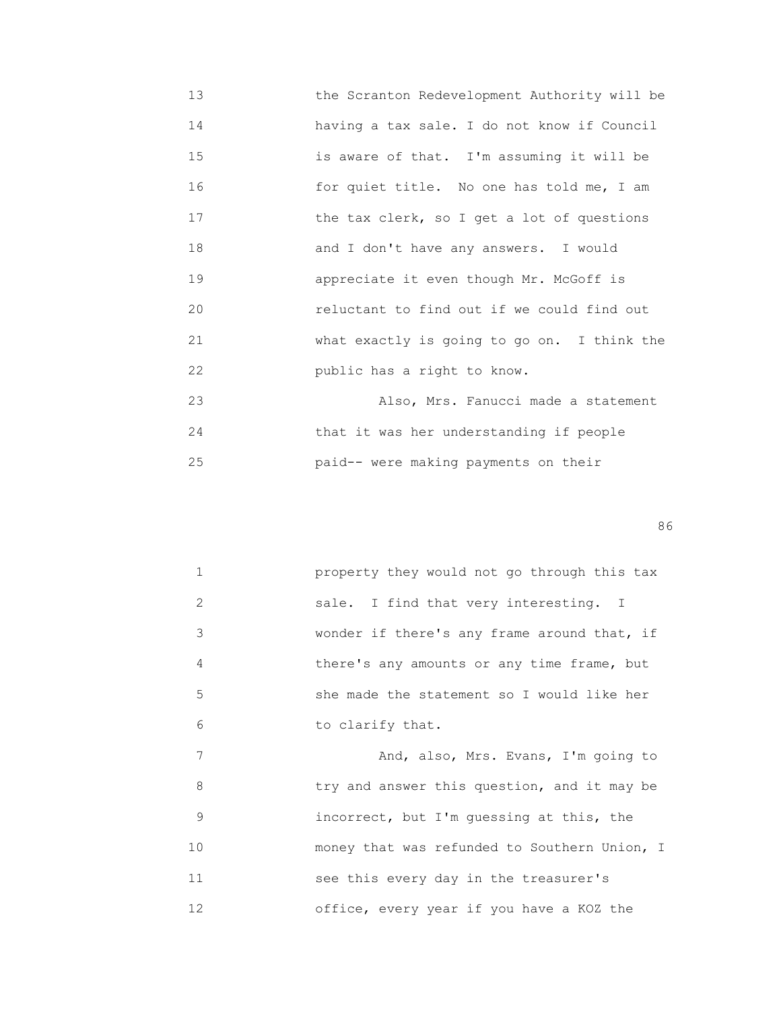13 the Scranton Redevelopment Authority will be 14 having a tax sale. I do not know if Council 15 is aware of that. I'm assuming it will be 16 for quiet title. No one has told me, I am 17 **the tax clerk, so I get a lot of questions**  18 and I don't have any answers. I would 19 appreciate it even though Mr. McGoff is 20 reluctant to find out if we could find out 21 what exactly is going to go on. I think the 22 public has a right to know. 23 Also, Mrs. Fanucci made a statement

 24 that it was her understanding if people 25 paid-- were making payments on their

en de la construction de la construction de la construction de la construction de la construction de la construction de la construction de la construction de la construction de la construction de la construction de la cons

|               | property they would not go through this tax |
|---------------|---------------------------------------------|
| $\mathcal{L}$ | sale. I find that very interesting. I       |
| 3             | wonder if there's any frame around that, if |
| 4             | there's any amounts or any time frame, but  |
| 5             | she made the statement so I would like her  |
| 6             | to clarify that.                            |

7 Mand, also, Mrs. Evans, I'm going to 8 try and answer this question, and it may be 9 incorrect, but I'm guessing at this, the 10 **money that was refunded to Southern Union, I**  11 see this every day in the treasurer's 12 office, every year if you have a KOZ the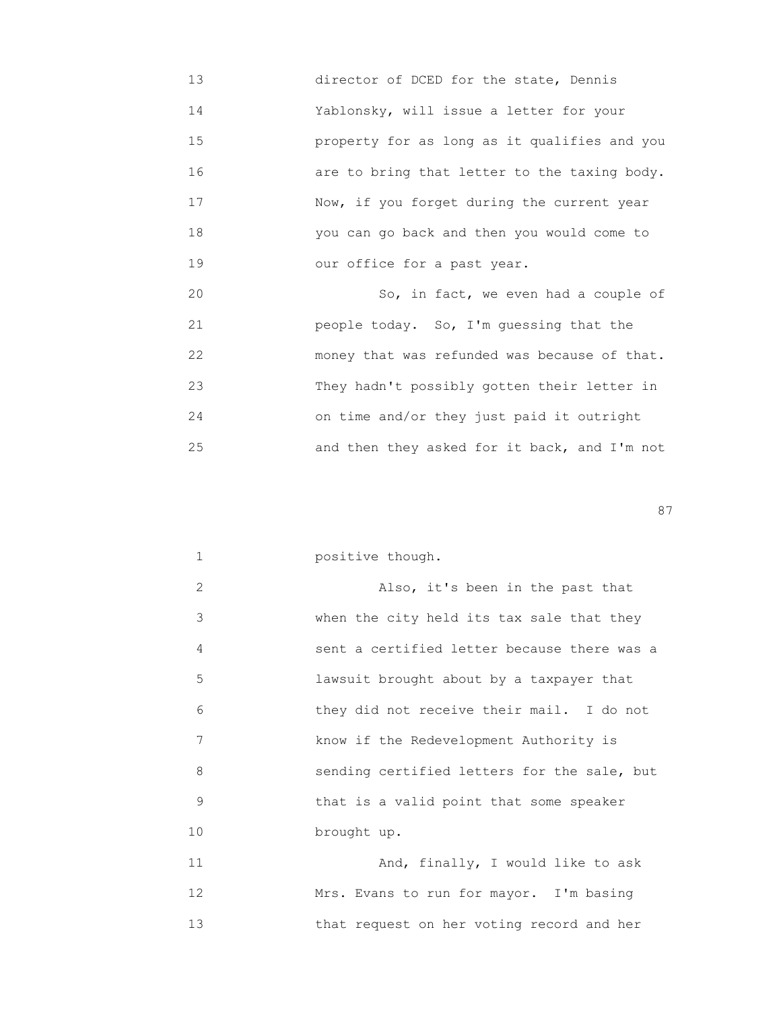- 13 director of DCED for the state, Dennis 14 Yablonsky, will issue a letter for your 15 property for as long as it qualifies and you 16 are to bring that letter to the taxing body. 17 Mow, if you forget during the current year 18 you can go back and then you would come to 19 our office for a past year.
- 20 So, in fact, we even had a couple of 21 people today. So, I'm guessing that the 22 money that was refunded was because of that. 23 They hadn't possibly gotten their letter in 24 on time and/or they just paid it outright 25 and then they asked for it back, and I'm not

experience of the state of the state of the state of the state of the state of the state of the state of the state of the state of the state of the state of the state of the state of the state of the state of the state of

|  | positive though. |  |
|--|------------------|--|
|--|------------------|--|

| $\mathcal{L}$  | Also, it's been in the past that            |
|----------------|---------------------------------------------|
| 3              | when the city held its tax sale that they   |
| $\overline{4}$ | sent a certified letter because there was a |
| 5              | lawsuit brought about by a taxpayer that    |
| 6              | they did not receive their mail. I do not   |
| 7              | know if the Redevelopment Authority is      |
| 8              | sending certified letters for the sale, but |
| 9              | that is a valid point that some speaker     |
| 10             | brought up.                                 |

 11 And, finally, I would like to ask 12 Mrs. Evans to run for mayor. I'm basing 13 that request on her voting record and her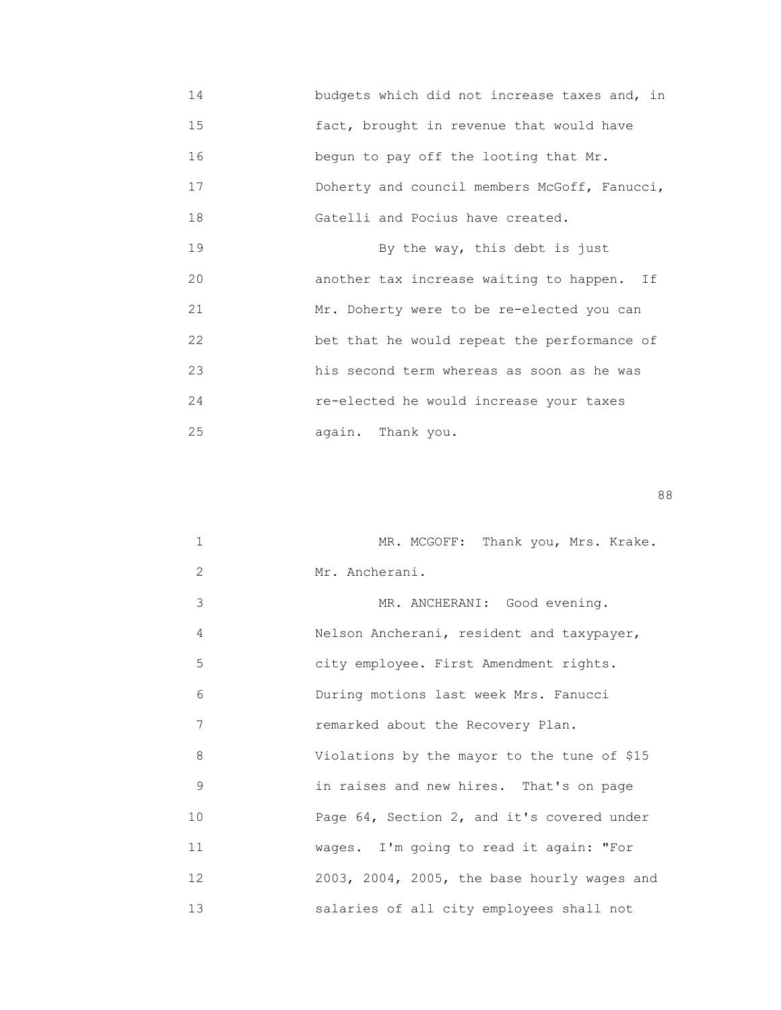14 **budgets which did not increase taxes and, in**  15 fact, brought in revenue that would have 16 begun to pay off the looting that Mr. 17 **Boherty and council members McGoff, Fanucci,**  18 Gatelli and Pocius have created. 19 By the way, this debt is just 20 another tax increase waiting to happen. If 21 Mr. Doherty were to be re-elected you can 22 bet that he would repeat the performance of 23 his second term whereas as soon as he was 24 re-elected he would increase your taxes 25 again. Thank you.

en de la construction de la construction de la construction de la construction de la construction de la constr<br>1888 : le construction de la construction de la construction de la construction de la construction de la const

| $\mathbf{1}$ | MR. MCGOFF: Thank you, Mrs. Krake.          |
|--------------|---------------------------------------------|
| 2            | Mr. Ancherani.                              |
| 3            | MR. ANCHERANI: Good evening.                |
| 4            | Nelson Ancherani, resident and taxypayer,   |
| 5            | city employee. First Amendment rights.      |
| 6            | During motions last week Mrs. Fanucci       |
| 7            | remarked about the Recovery Plan.           |
| 8            | Violations by the mayor to the tune of \$15 |
| 9            | in raises and new hires. That's on page     |
| 10           | Page 64, Section 2, and it's covered under  |
| 11           | wages. I'm going to read it again: "For     |
| 12           | 2003, 2004, 2005, the base hourly wages and |
| 13           | salaries of all city employees shall not    |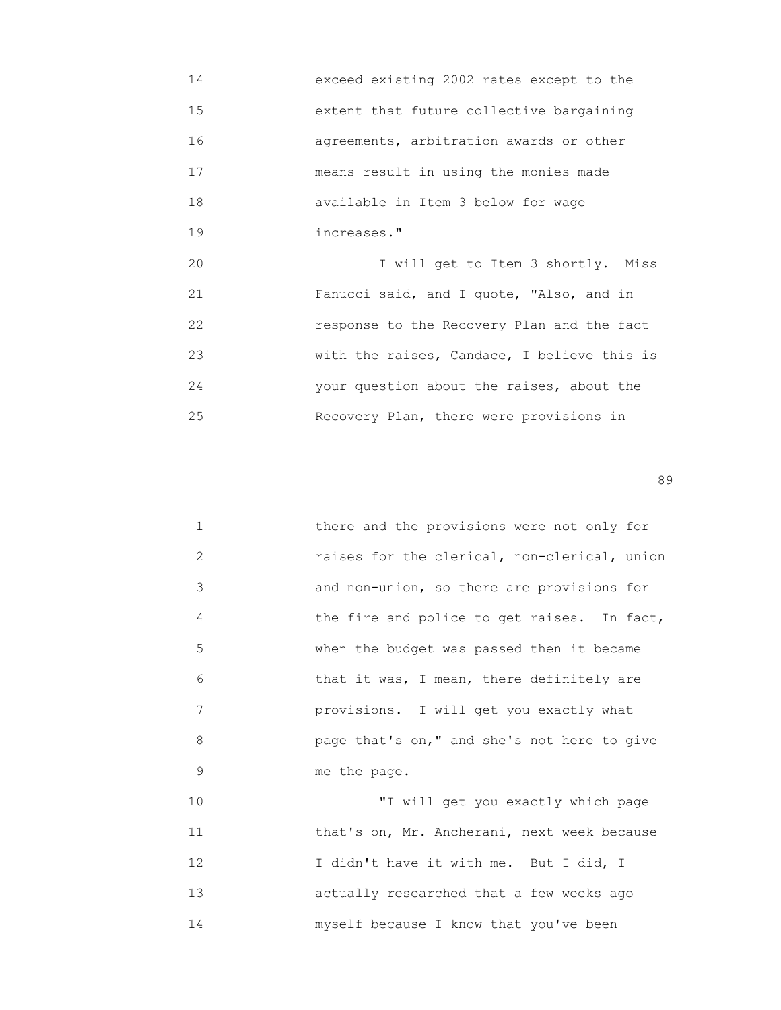14 exceed existing 2002 rates except to the 15 extent that future collective bargaining 16 agreements, arbitration awards or other 17 means result in using the monies made 18 available in Item 3 below for wage 19 increases." 20 I will get to Item 3 shortly. Miss 21 Fanucci said, and I quote, "Also, and in 22 response to the Recovery Plan and the fact 23 with the raises, Candace, I believe this is 24 your question about the raises, about the

25 Recovery Plan, there were provisions in

en de la construction de la construction de la construction de la construction de la construction de la constr<br>1990 : la construction de la construction de la construction de la construction de la construction de la const

| 1  | there and the provisions were not only for   |
|----|----------------------------------------------|
| 2  | raises for the clerical, non-clerical, union |
| 3  | and non-union, so there are provisions for   |
| 4  | the fire and police to get raises. In fact,  |
| 5  | when the budget was passed then it became    |
| 6  | that it was, I mean, there definitely are    |
| 7  | provisions. I will get you exactly what      |
| 8  | page that's on," and she's not here to give  |
| 9  | me the page.                                 |
| 10 | "I will get you exactly which page           |
|    |                                              |

11 **that's on, Mr. Ancherani, next week because** 12 I didn't have it with me. But I did, I 13 actually researched that a few weeks ago 14 myself because I know that you've been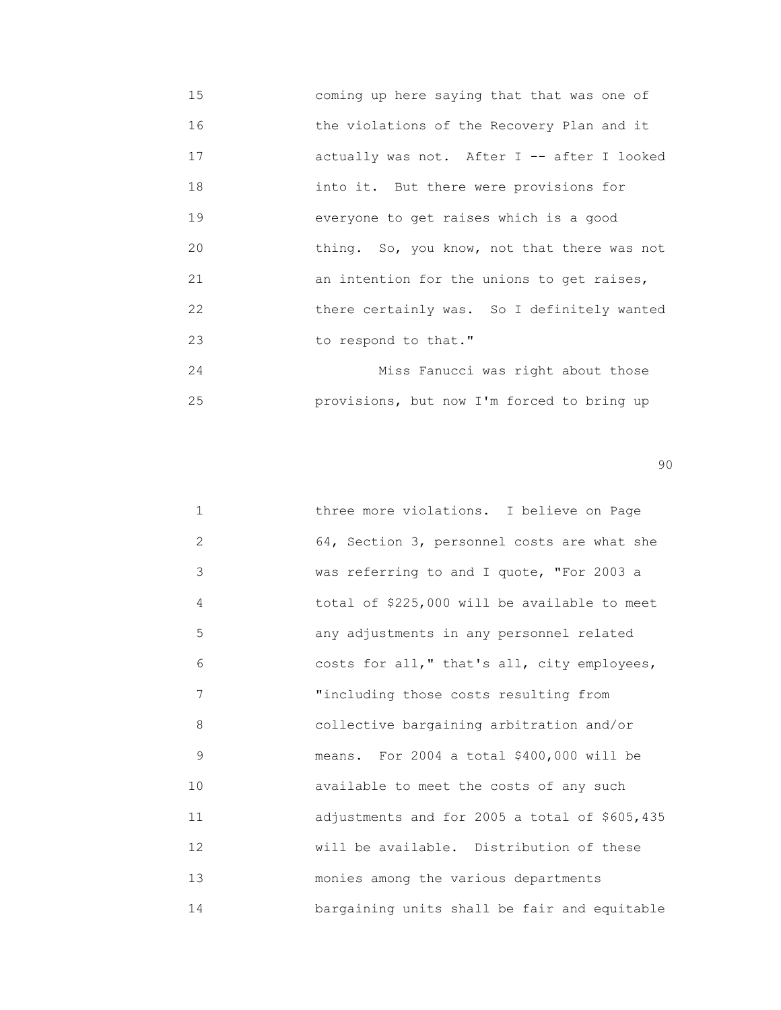15 coming up here saying that that was one of 16 the violations of the Recovery Plan and it 17 actually was not. After I -- after I looked 18 into it. But there were provisions for 19 everyone to get raises which is a good 20 thing. So, you know, not that there was not 21 an intention for the unions to get raises, 22 there certainly was. So I definitely wanted 23 to respond to that." 24 Miss Fanucci was right about those

25 provisions, but now I'm forced to bring up

en de la construction de la construction de la construction de la construction de la construction de la constr<br>1900 : la construction de la construction de la construction de la construction de la construction de la const

| $\mathbf 1$    | three more violations. I believe on Page      |
|----------------|-----------------------------------------------|
| $\overline{2}$ | 64, Section 3, personnel costs are what she   |
| 3              | was referring to and I quote, "For 2003 a     |
| 4              | total of \$225,000 will be available to meet  |
| 5              | any adjustments in any personnel related      |
| 6              | costs for all," that's all, city employees,   |
| 7              | "including those costs resulting from         |
| 8              | collective bargaining arbitration and/or      |
| 9              | means. For 2004 a total \$400,000 will be     |
| 10             | available to meet the costs of any such       |
| 11             | adjustments and for 2005 a total of \$605,435 |
| 12             | will be available. Distribution of these      |
| 13             | monies among the various departments          |
| 14             | bargaining units shall be fair and equitable  |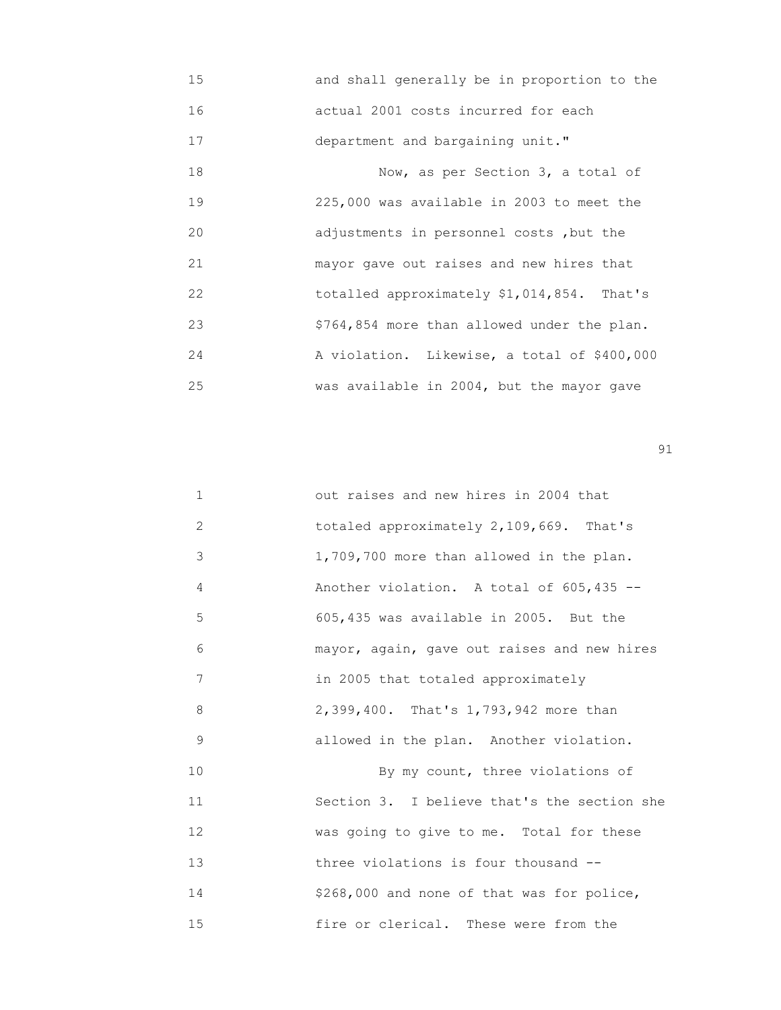15 and shall generally be in proportion to the 16 actual 2001 costs incurred for each 17 department and bargaining unit." 18 Now, as per Section 3, a total of 19 225,000 was available in 2003 to meet the 20 adjustments in personnel costs ,but the 21 mayor gave out raises and new hires that 22 totalled approximately \$1,014,854. That's 23 \$764,854 more than allowed under the plan. 24 A violation. Likewise, a total of \$400,000 25 was available in 2004, but the mayor gave

extended to the contract of the contract of the contract of the contract of the contract of the contract of the contract of the contract of the contract of the contract of the contract of the contract of the contract of th

| $\mathbf{1}$ | out raises and new hires in 2004 that       |
|--------------|---------------------------------------------|
| 2            | totaled approximately 2,109,669. That's     |
| 3            | 1,709,700 more than allowed in the plan.    |
| 4            | Another violation. A total of 605,435 --    |
| 5            | 605,435 was available in 2005. But the      |
| 6            | mayor, again, gave out raises and new hires |
| 7            | in 2005 that totaled approximately          |
| 8            | 2,399,400. That's 1,793,942 more than       |
| 9            | allowed in the plan. Another violation.     |
| 10           | By my count, three violations of            |
| 11           | Section 3. I believe that's the section she |
| 12           | was going to give to me. Total for these    |
| 13           | three violations is four thousand --        |
| 14           | \$268,000 and none of that was for police,  |
| 15           | fire or clerical. These were from the       |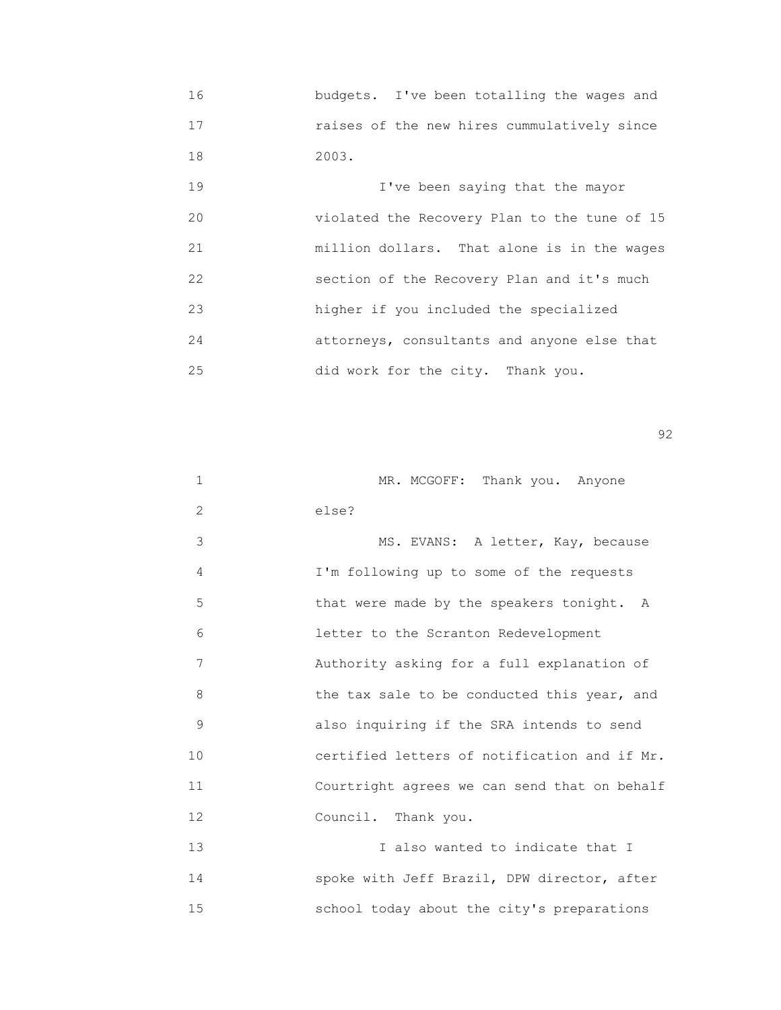16 budgets. I've been totalling the wages and 17 raises of the new hires cummulatively since 18 2003.

 19 I've been saying that the mayor 20 violated the Recovery Plan to the tune of 15 21 million dollars. That alone is in the wages 22 section of the Recovery Plan and it's much 23 higher if you included the specialized 24 attorneys, consultants and anyone else that 25 did work for the city. Thank you.

 $\sim$  92

| 1              | MR. MCGOFF: Thank you. Anyone                |
|----------------|----------------------------------------------|
| $\overline{2}$ | else?                                        |
| 3              | MS. EVANS: A letter, Kay, because            |
| 4              | I'm following up to some of the requests     |
| 5              | that were made by the speakers tonight. A    |
| 6              | letter to the Scranton Redevelopment         |
| 7              | Authority asking for a full explanation of   |
| 8              | the tax sale to be conducted this year, and  |
| 9              | also inquiring if the SRA intends to send    |
| 10             | certified letters of notification and if Mr. |
| 11             | Courtright agrees we can send that on behalf |
| 12             | Council. Thank you.                          |
| 13             | I also wanted to indicate that I             |
| 14             | spoke with Jeff Brazil, DPW director, after  |

15 school today about the city's preparations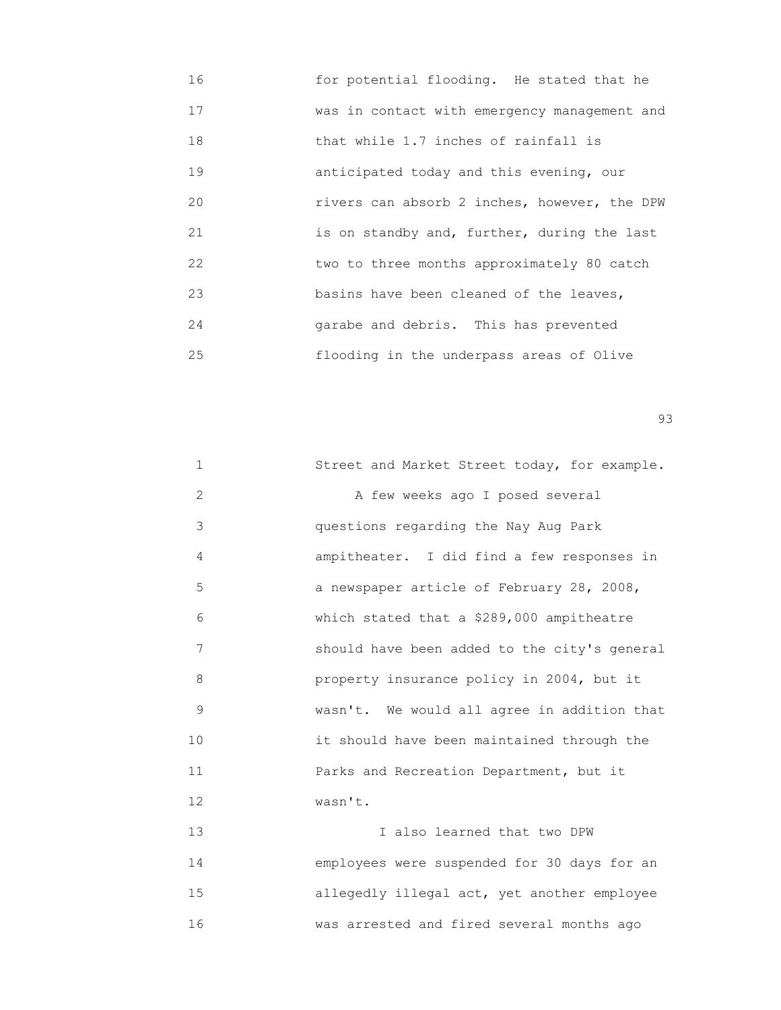| 16 | for potential flooding. He stated that he    |
|----|----------------------------------------------|
| 17 | was in contact with emergency management and |
| 18 | that while 1.7 inches of rainfall is         |
| 19 | anticipated today and this evening, our      |
| 20 | rivers can absorb 2 inches, however, the DPW |
| 21 | is on standby and, further, during the last  |
| 22 | two to three months approximately 80 catch   |
| 23 | basins have been cleaned of the leaves,      |
| 24 | garabe and debris. This has prevented        |
| 25 | flooding in the underpass areas of Olive     |

experience of the contract of the contract of the contract of the contract of the contract of the contract of the contract of the contract of the contract of the contract of the contract of the contract of the contract of

| $\mathbf 1$ | Street and Market Street today, for example. |
|-------------|----------------------------------------------|
| 2           | A few weeks ago I posed several              |
| 3           | questions regarding the Nay Aug Park         |
| 4           | ampitheater. I did find a few responses in   |
| 5           | a newspaper article of February 28, 2008,    |
| 6           | which stated that a \$289,000 ampitheatre    |
| 7           | should have been added to the city's general |
| 8           | property insurance policy in 2004, but it    |
| 9           | wasn't. We would all agree in addition that  |
| 10          | it should have been maintained through the   |
| 11          | Parks and Recreation Department, but it      |
| 12          | wasn't.                                      |
| 13          | I also learned that two DPW                  |
| 14          | employees were suspended for 30 days for an  |
| 15          | allegedly illegal act, yet another employee  |
|             |                                              |

16 was arrested and fired several months ago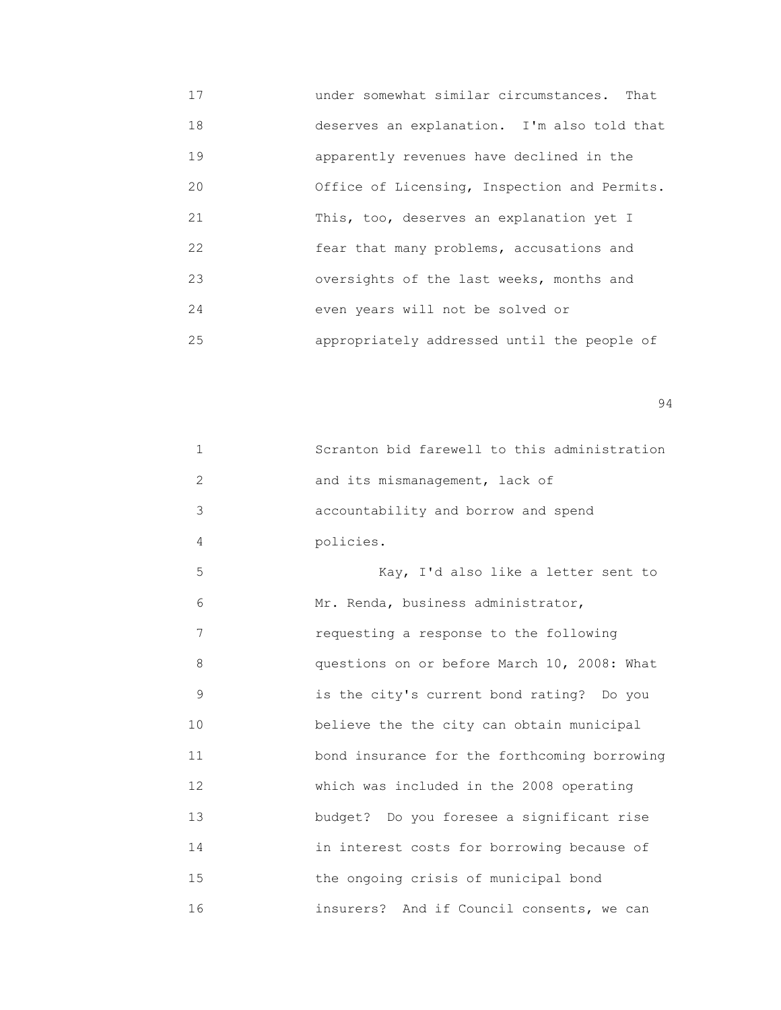17 under somewhat similar circumstances. That 18 deserves an explanation. I'm also told that 19 apparently revenues have declined in the 20 Office of Licensing, Inspection and Permits. 21 This, too, deserves an explanation yet I 22 fear that many problems, accusations and 23 oversights of the last weeks, months and 24 even years will not be solved or 25 appropriately addressed until the people of

| $\mathbf{1}$ | Scranton bid farewell to this administration |
|--------------|----------------------------------------------|
| 2            | and its mismanagement, lack of               |
| 3            | accountability and borrow and spend          |
| 4            | policies.                                    |
| 5            | Kay, I'd also like a letter sent to          |
| 6            | Mr. Renda, business administrator,           |
| 7            | requesting a response to the following       |
| 8            | questions on or before March 10, 2008: What  |
| 9            | is the city's current bond rating? Do you    |
| 10           | believe the the city can obtain municipal    |
| 11           | bond insurance for the forthcoming borrowing |
| 12           | which was included in the 2008 operating     |
| 13           | budget? Do you foresee a significant rise    |
| 14           | in interest costs for borrowing because of   |
| 15           | the ongoing crisis of municipal bond         |
| 16           | insurers? And if Council consents, we can    |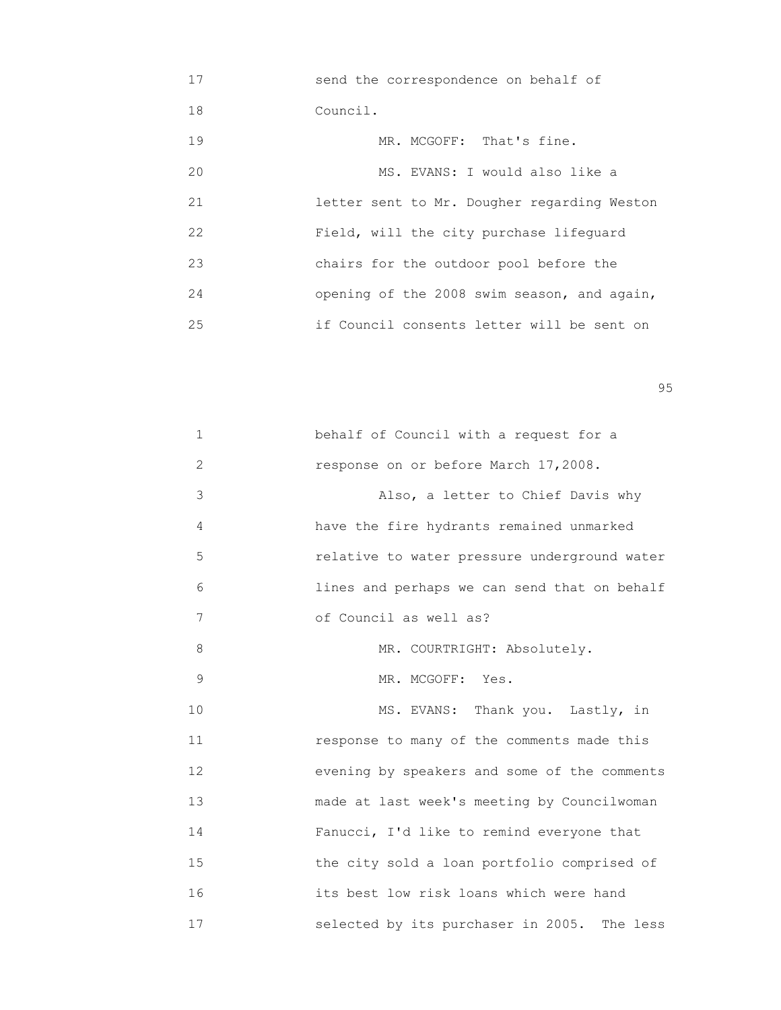| 17 | send the correspondence on behalf of        |
|----|---------------------------------------------|
| 18 | Council.                                    |
| 19 | MR. MCGOFF: That's fine.                    |
| 20 | MS. EVANS: I would also like a              |
| 21 | letter sent to Mr. Dougher regarding Weston |
| 22 | Field, will the city purchase lifequard     |
| 23 | chairs for the outdoor pool before the      |
| 24 | opening of the 2008 swim season, and again, |
| 25 | if Council consents letter will be sent on  |

en 1995 en 1996 en 1996 en 1997 en 1998 en 1998 en 1999 en 1999 en 1999 en 1999 en 1999 en 1999 en 1999 en 19<br>De grote en 1999 en 1999 en 1999 en 1999 en 1999 en 1999 en 1999 en 1999 en 1999 en 1999 en 1999 en 1999 en 19

| $\mathbf 1$  | behalf of Council with a request for a         |
|--------------|------------------------------------------------|
| $\mathbf{2}$ | response on or before March 17,2008.           |
| 3            | Also, a letter to Chief Davis why              |
| 4            | have the fire hydrants remained unmarked       |
| 5            | relative to water pressure underground water   |
| 6            | lines and perhaps we can send that on behalf   |
| 7            | of Council as well as?                         |
| 8            | MR. COURTRIGHT: Absolutely.                    |
| 9            | MR. MCGOFF: Yes.                               |
| 10           | MS. EVANS: Thank you. Lastly, in               |
| 11           | response to many of the comments made this     |
| 12           | evening by speakers and some of the comments   |
| 13           | made at last week's meeting by Councilwoman    |
| 14           | Fanucci, I'd like to remind everyone that      |
| 15           | the city sold a loan portfolio comprised of    |
| 16           | its best low risk loans which were hand        |
| 17           | selected by its purchaser in 2005.<br>The less |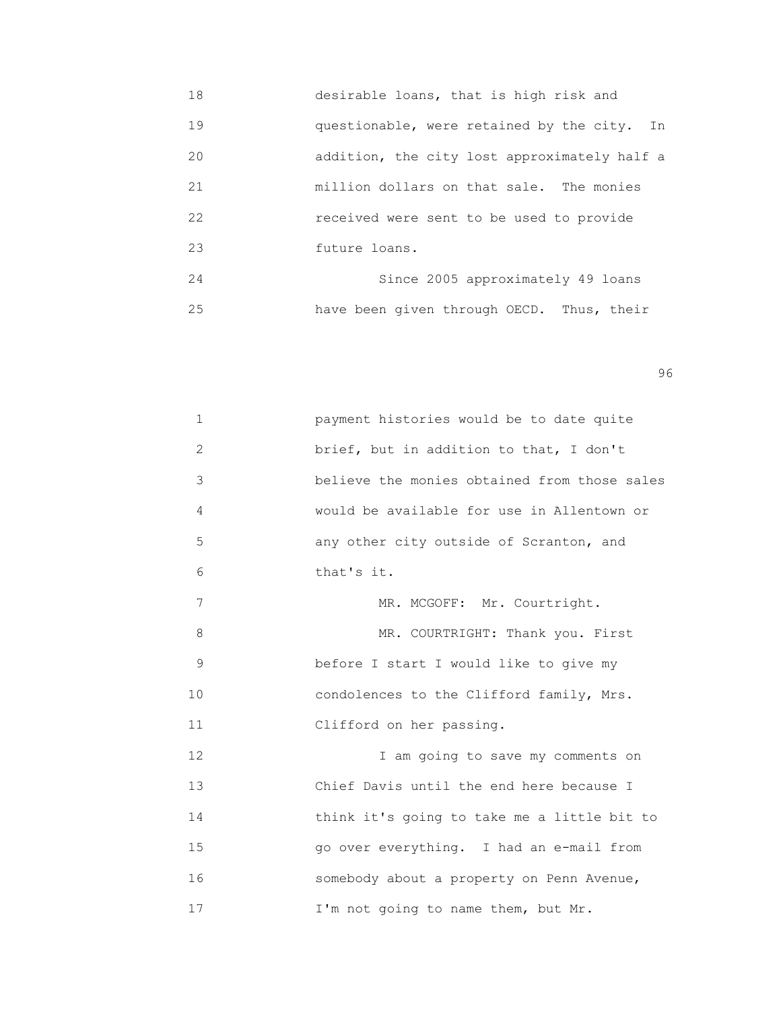18 desirable loans, that is high risk and 19 questionable, were retained by the city. In 20 addition, the city lost approximately half a 21 million dollars on that sale. The monies 22 received were sent to be used to provide 23 future loans. 24 Since 2005 approximately 49 loans

25 have been given through OECD. Thus, their

en 1996 en 1996 en 1996 en 1996 en 1996 en 1996 en 1996 en 1996 en 1996 en 1996 en 1996 en 1996 en 1996 en 19<br>De grote en 1996 en 1996 en 1999 en 1999 en 1999 en 1999 en 1999 en 1999 en 1999 en 1999 en 1999 en 1999 en 19

| $\mathbf 1$  | payment histories would be to date quite     |
|--------------|----------------------------------------------|
| $\mathbf{2}$ | brief, but in addition to that, I don't      |
| 3            | believe the monies obtained from those sales |
| 4            | would be available for use in Allentown or   |
| 5            | any other city outside of Scranton, and      |
| 6            | that's it.                                   |
| 7            | MR. MCGOFF: Mr. Courtright.                  |
| 8            | MR. COURTRIGHT: Thank you. First             |
| 9            | before I start I would like to give my       |
| 10           | condolences to the Clifford family, Mrs.     |
| 11           | Clifford on her passing.                     |
| 12           | I am going to save my comments on            |
| 13           | Chief Davis until the end here because I     |
| 14           | think it's going to take me a little bit to  |
| 15           | go over everything. I had an e-mail from     |
| 16           | somebody about a property on Penn Avenue,    |
| 17           | I'm not going to name them, but Mr.          |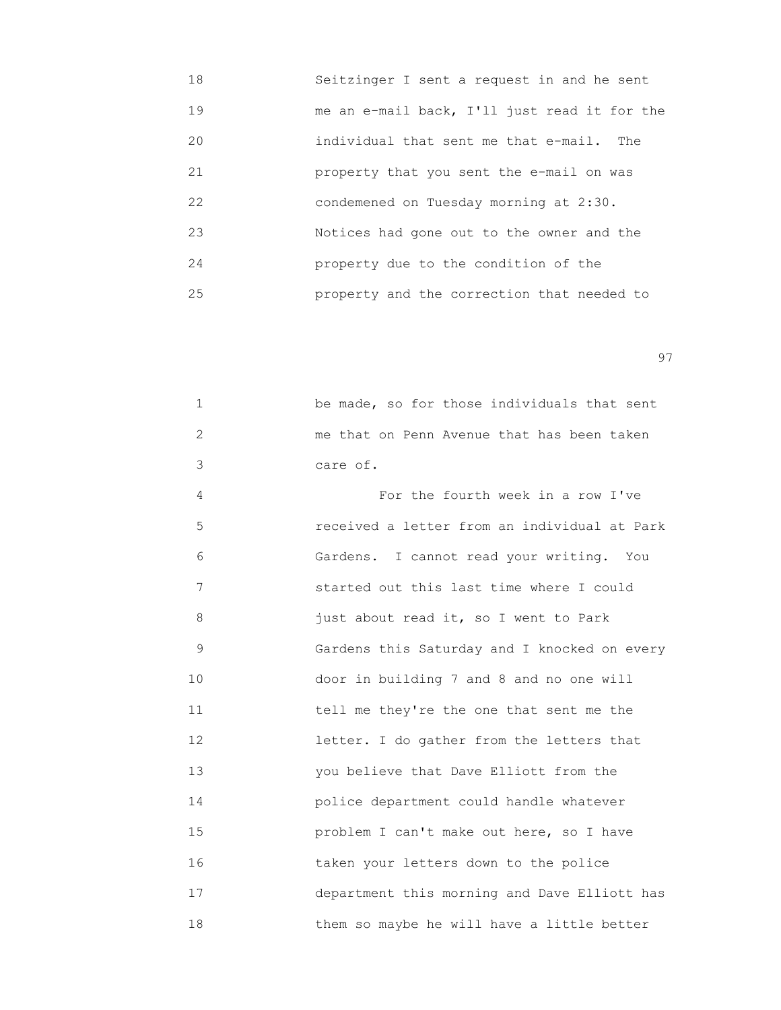| 18 | Seitzinger I sent a request in and he sent   |
|----|----------------------------------------------|
| 19 | me an e-mail back, I'll just read it for the |
| 20 | individual that sent me that e-mail. The     |
| 21 | property that you sent the e-mail on was     |
| 22 | condemened on Tuesday morning at 2:30.       |
| 23 | Notices had gone out to the owner and the    |
| 24 | property due to the condition of the         |
| 25 | property and the correction that needed to   |

experience of the contract of the contract of the contract of the contract of the contract of the contract of the contract of the contract of the contract of the contract of the contract of the contract of the contract of

|  |          |  | be made, so for those individuals that sent |  |  |  |
|--|----------|--|---------------------------------------------|--|--|--|
|  |          |  | me that on Penn Avenue that has been taken  |  |  |  |
|  | care of. |  |                                             |  |  |  |

 4 For the fourth week in a row I've 5 received a letter from an individual at Park 6 Gardens. I cannot read your writing. You 7 started out this last time where I could 8 just about read it, so I went to Park 9 Gardens this Saturday and I knocked on every 10 door in building 7 and 8 and no one will 11 tell me they're the one that sent me the 12 letter. I do gather from the letters that 13 you believe that Dave Elliott from the 14 police department could handle whatever 15 problem I can't make out here, so I have 16 taken your letters down to the police 17 department this morning and Dave Elliott has 18 them so maybe he will have a little better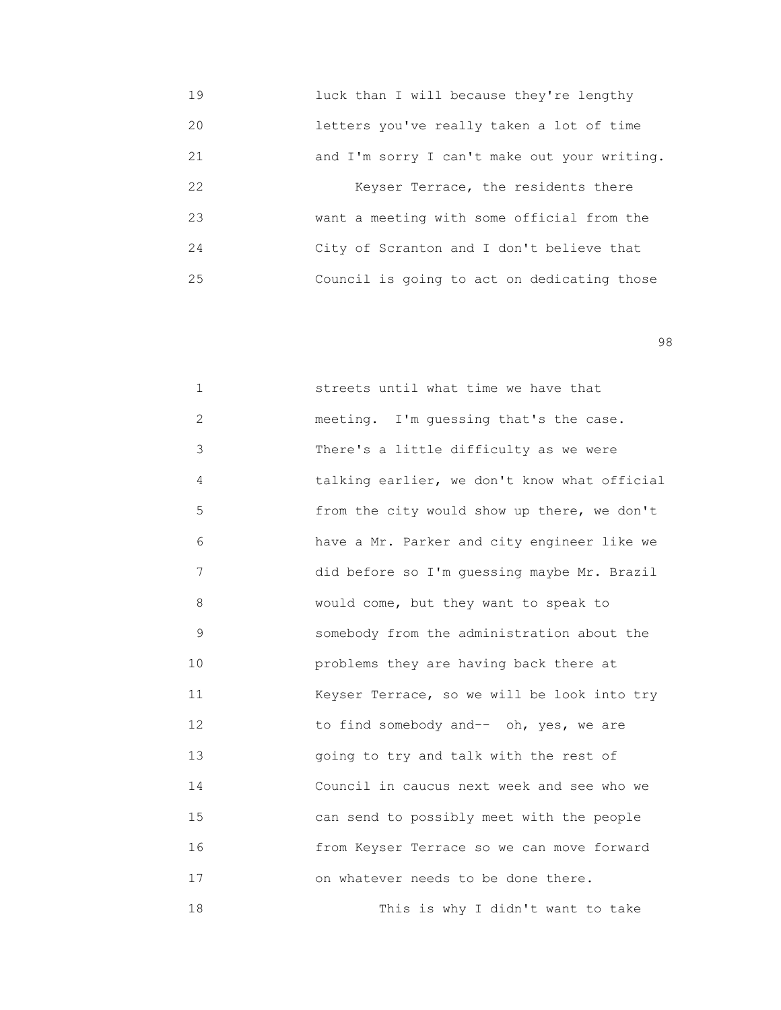19 luck than I will because they're lengthy 20 letters you've really taken a lot of time 21 and I'm sorry I can't make out your writing. 22 Keyser Terrace, the residents there 23 want a meeting with some official from the 24 City of Scranton and I don't believe that 25 Council is going to act on dedicating those

en 1980 en 1980 en 1980 en 1980 en 1980 en 1980 en 1980 en 1980 en 1980 en 1980 en 1980 en 1980 en 1980 en 19<br>De grote en 1980 en 1980 en 1980 en 1980 en 1980 en 1980 en 1980 en 1980 en 1980 en 1980 en 1980 en 1980 en 19

1 **1 Streets** until what time we have that 2 meeting. I'm guessing that's the case. 3 There's a little difficulty as we were 4 talking earlier, we don't know what official 5 from the city would show up there, we don't 6 have a Mr. Parker and city engineer like we 7 did before so I'm guessing maybe Mr. Brazil 8 would come, but they want to speak to 9 somebody from the administration about the 10 problems they are having back there at 11 Keyser Terrace, so we will be look into try 12 to find somebody and-- oh, yes, we are 13 going to try and talk with the rest of 14 Council in caucus next week and see who we 15 can send to possibly meet with the people 16 from Keyser Terrace so we can move forward 17 on whatever needs to be done there. 18 This is why I didn't want to take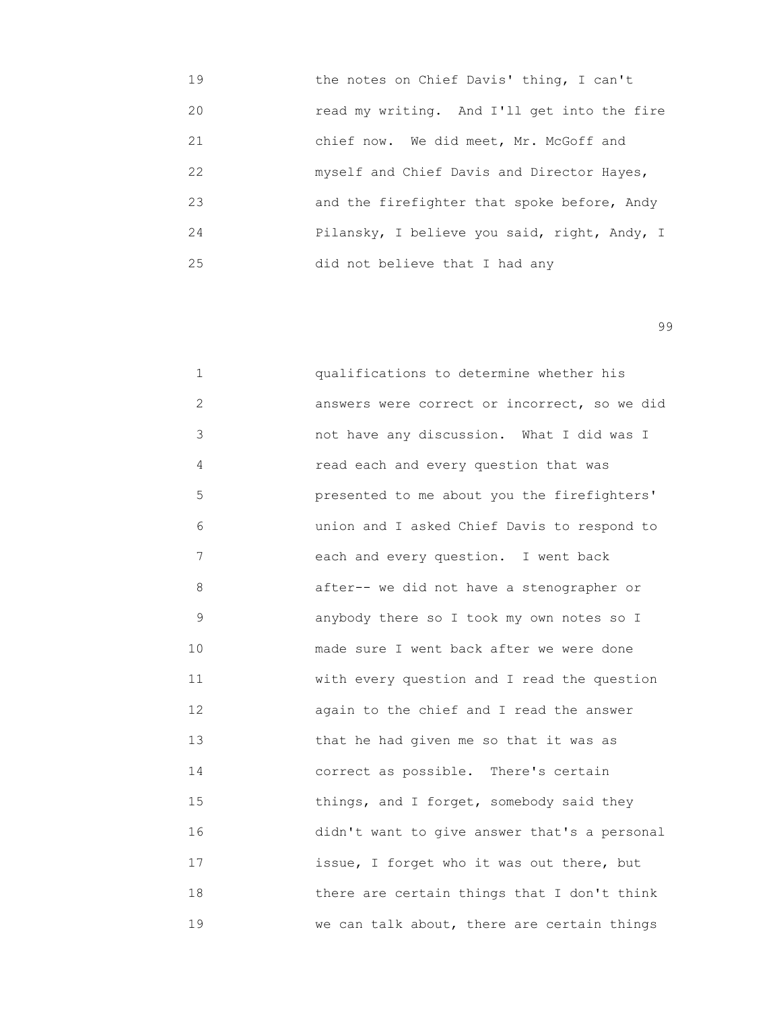19 the notes on Chief Davis' thing, I can't 20 read my writing. And I'll get into the fire 21 chief now. We did meet, Mr. McGoff and 22 myself and Chief Davis and Director Hayes, 23 and the firefighter that spoke before, Andy 24 Pilansky, I believe you said, right, Andy, I 25 did not believe that I had any

99

 1 qualifications to determine whether his 2 **answers were correct or incorrect, so we did**  3 not have any discussion. What I did was I 4 read each and every question that was 5 presented to me about you the firefighters' 6 union and I asked Chief Davis to respond to 7 each and every question. I went back 8 after-- we did not have a stenographer or 9 anybody there so I took my own notes so I 10 **made sure I went back after we were done**  11 with every question and I read the question 12 again to the chief and I read the answer 13 that he had given me so that it was as 14 correct as possible. There's certain 15 **things, and I forget, somebody said they**  16 didn't want to give answer that's a personal 17 issue, I forget who it was out there, but 18 **there are certain things that I don't think** 19 We can talk about, there are certain things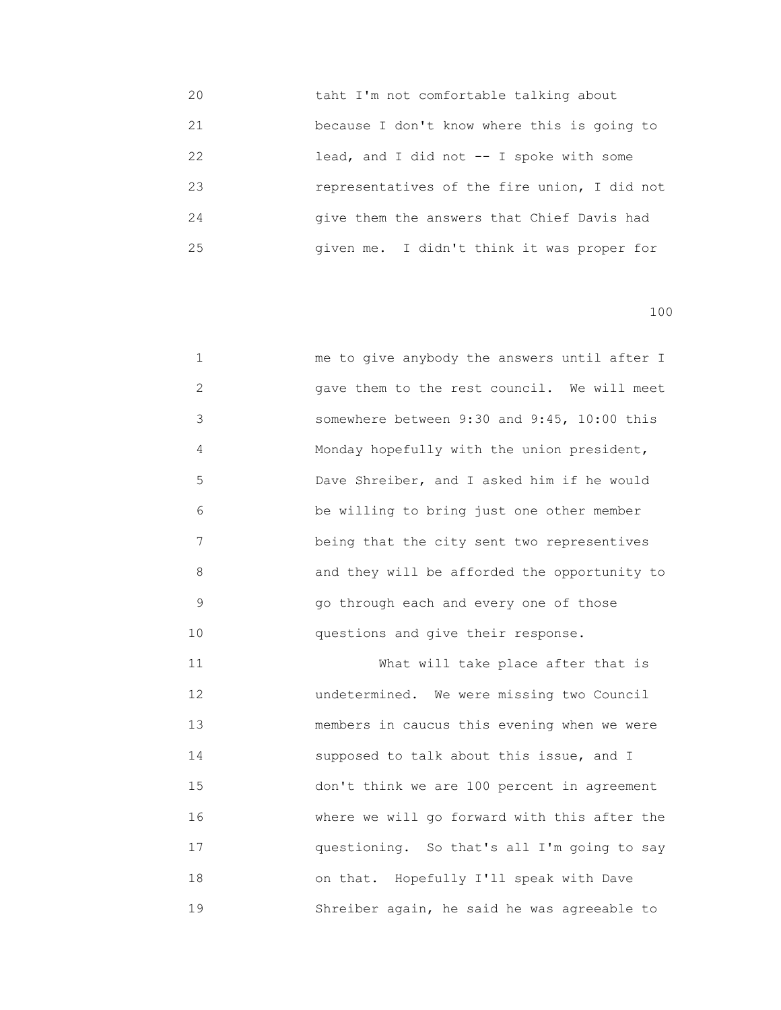| 20 | taht I'm not comfortable talking about       |
|----|----------------------------------------------|
| 21 | because I don't know where this is going to  |
| 22 | lead, and I did not $-$ I spoke with some    |
| 23 | representatives of the fire union, I did not |
| 24 | give them the answers that Chief Davis had   |
| 25 | given me. I didn't think it was proper for   |

 1 me to give anybody the answers until after I 2 gave them to the rest council. We will meet 3 somewhere between 9:30 and 9:45, 10:00 this 4 Monday hopefully with the union president, 5 Dave Shreiber, and I asked him if he would 6 be willing to bring just one other member 7 being that the city sent two representives 8 and they will be afforded the opportunity to 9 go through each and every one of those 10 questions and give their response.

11 What will take place after that is 12 undetermined. We were missing two Council 13 members in caucus this evening when we were 14 supposed to talk about this issue, and I 15 don't think we are 100 percent in agreement 16 where we will go forward with this after the 17 questioning. So that's all I'm going to say 18 on that. Hopefully I'll speak with Dave 19 Shreiber again, he said he was agreeable to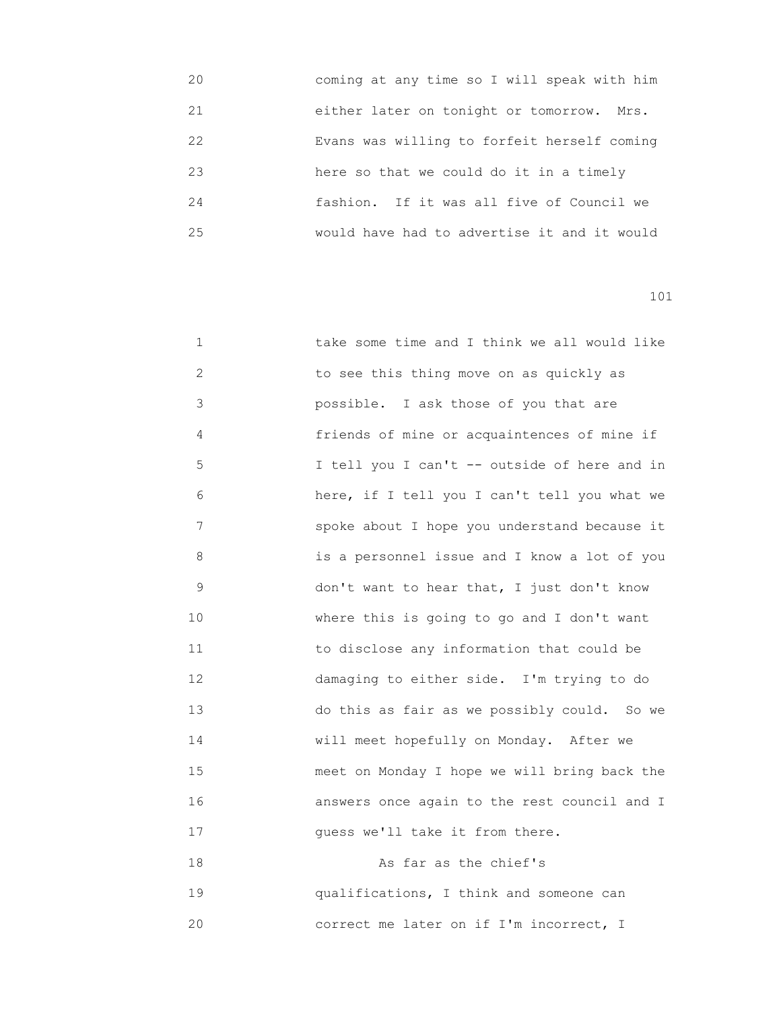| 20 | coming at any time so I will speak with him |
|----|---------------------------------------------|
| 21 | either later on tonight or tomorrow. Mrs.   |
| 22 | Evans was willing to forfeit herself coming |
| 23 | here so that we could do it in a timely     |
| 24 | fashion. If it was all five of Council we   |
| 25 | would have had to advertise it and it would |

| 1           | take some time and I think we all would like |
|-------------|----------------------------------------------|
| 2           | to see this thing move on as quickly as      |
| 3           | possible. I ask those of you that are        |
| 4           | friends of mine or acquaintences of mine if  |
| 5           | I tell you I can't -- outside of here and in |
| 6           | here, if I tell you I can't tell you what we |
| 7           | spoke about I hope you understand because it |
| 8           | is a personnel issue and I know a lot of you |
| $\mathsf 9$ | don't want to hear that, I just don't know   |
| 10          | where this is going to go and I don't want   |
| 11          | to disclose any information that could be    |
| 12          | damaging to either side. I'm trying to do    |
| 13          | do this as fair as we possibly could. So we  |
| 14          | will meet hopefully on Monday. After we      |
| 15          | meet on Monday I hope we will bring back the |
| 16          | answers once again to the rest council and I |
| 17          | quess we'll take it from there.              |
|             |                                              |

 18 As far as the chief's 19 qualifications, I think and someone can 20 correct me later on if I'm incorrect, I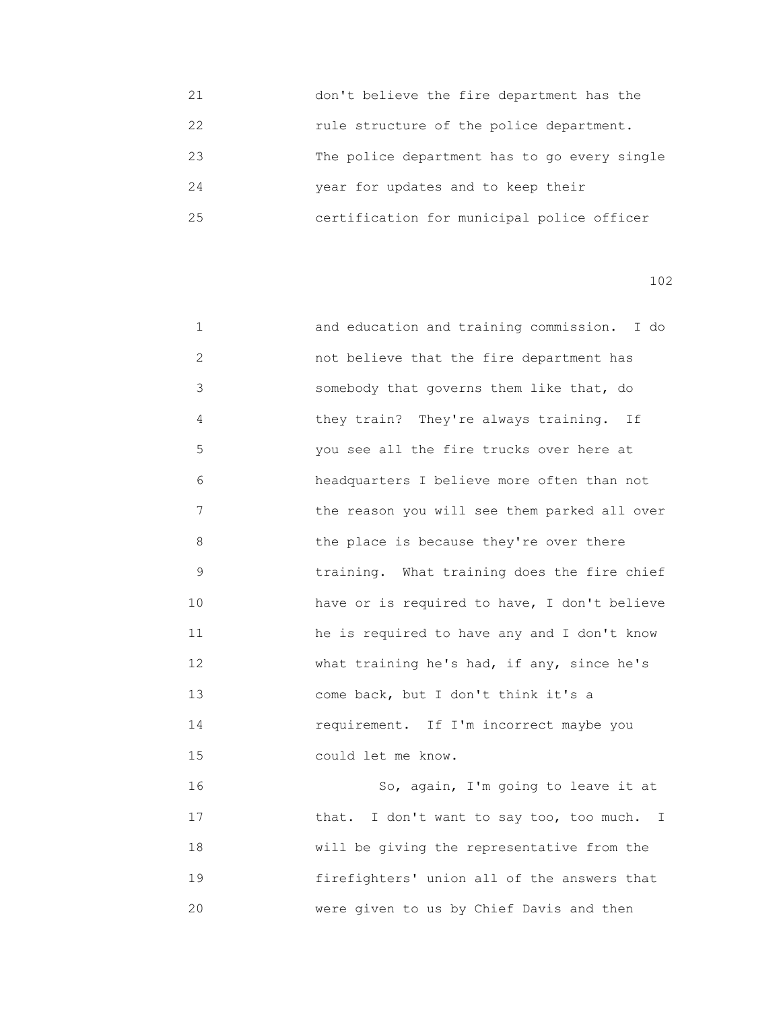| 21 | don't believe the fire department has the    |
|----|----------------------------------------------|
| 22 | rule structure of the police department.     |
| 23 | The police department has to go every single |
| 24 | year for updates and to keep their           |
| 25 | certification for municipal police officer   |

| $\mathbf 1$    | and education and training commission. I do  |
|----------------|----------------------------------------------|
| $\overline{c}$ | not believe that the fire department has     |
| 3              | somebody that governs them like that, do     |
| 4              | they train? They're always training. If      |
| 5              | you see all the fire trucks over here at     |
| 6              | headquarters I believe more often than not   |
| 7              | the reason you will see them parked all over |
| 8              | the place is because they're over there      |
| 9              | training. What training does the fire chief  |
| 10             | have or is required to have, I don't believe |
| 11             | he is required to have any and I don't know  |
| 12             | what training he's had, if any, since he's   |
| 13             | come back, but I don't think it's a          |
| 14             | requirement. If I'm incorrect maybe you      |
| 15             | could let me know.                           |
| 16             | So, again, I'm going to leave it at          |
| 17             | that. I don't want to say too, too much. I   |
| 18             | will be giving the representative from the   |
| 19             | firefighters' union all of the answers that  |
| 20             | were given to us by Chief Davis and then     |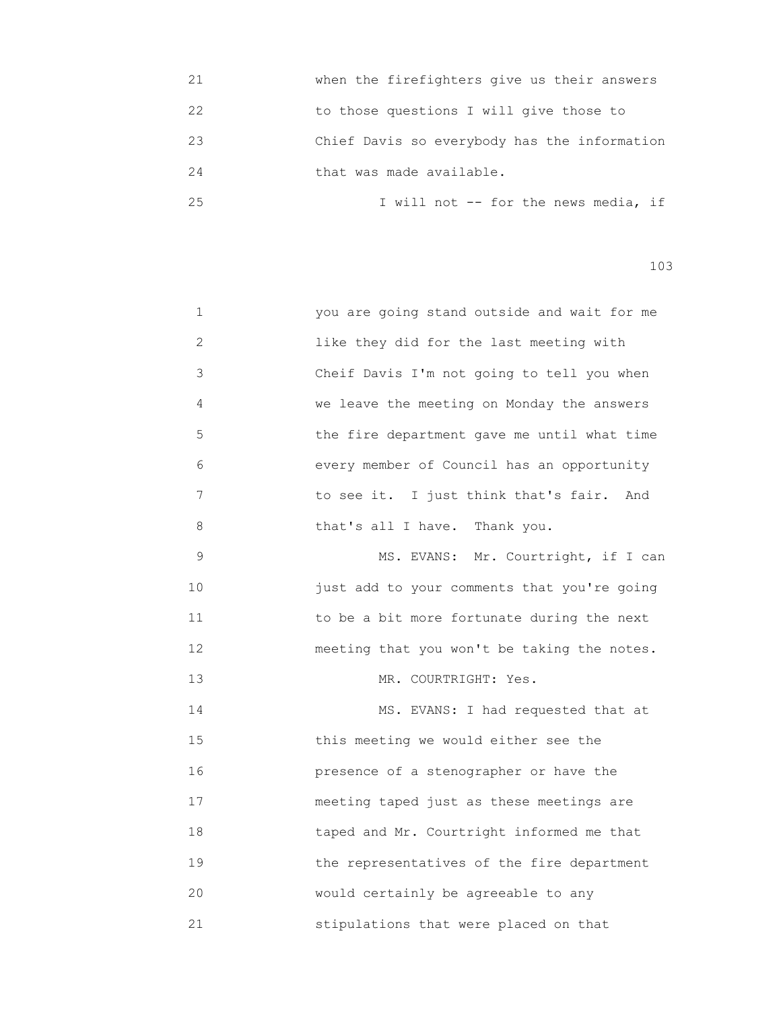| 21 | when the firefighters give us their answers  |
|----|----------------------------------------------|
| 22 | to those questions I will give those to      |
| 23 | Chief Davis so everybody has the information |
| 24 | that was made available.                     |
| 25 | I will not -- for the news media, if         |

| $\mathbf 1$ | you are going stand outside and wait for me |
|-------------|---------------------------------------------|
| 2           | like they did for the last meeting with     |
| 3           | Cheif Davis I'm not going to tell you when  |
| 4           | we leave the meeting on Monday the answers  |
| 5           | the fire department gave me until what time |
| 6           | every member of Council has an opportunity  |
| 7           | to see it. I just think that's fair. And    |
| 8           | that's all I have. Thank you.               |
| $\mathsf 9$ | MS. EVANS: Mr. Courtright, if I can         |
| 10          | just add to your comments that you're going |
| 11          | to be a bit more fortunate during the next  |
| 12          | meeting that you won't be taking the notes. |
| 13          | MR. COURTRIGHT: Yes.                        |
| 14          | MS. EVANS: I had requested that at          |
| 15          | this meeting we would either see the        |
| 16          | presence of a stenographer or have the      |
| 17          | meeting taped just as these meetings are    |
| 18          | taped and Mr. Courtright informed me that   |
| 19          | the representatives of the fire department  |
| 20          | would certainly be agreeable to any         |

21 stipulations that were placed on that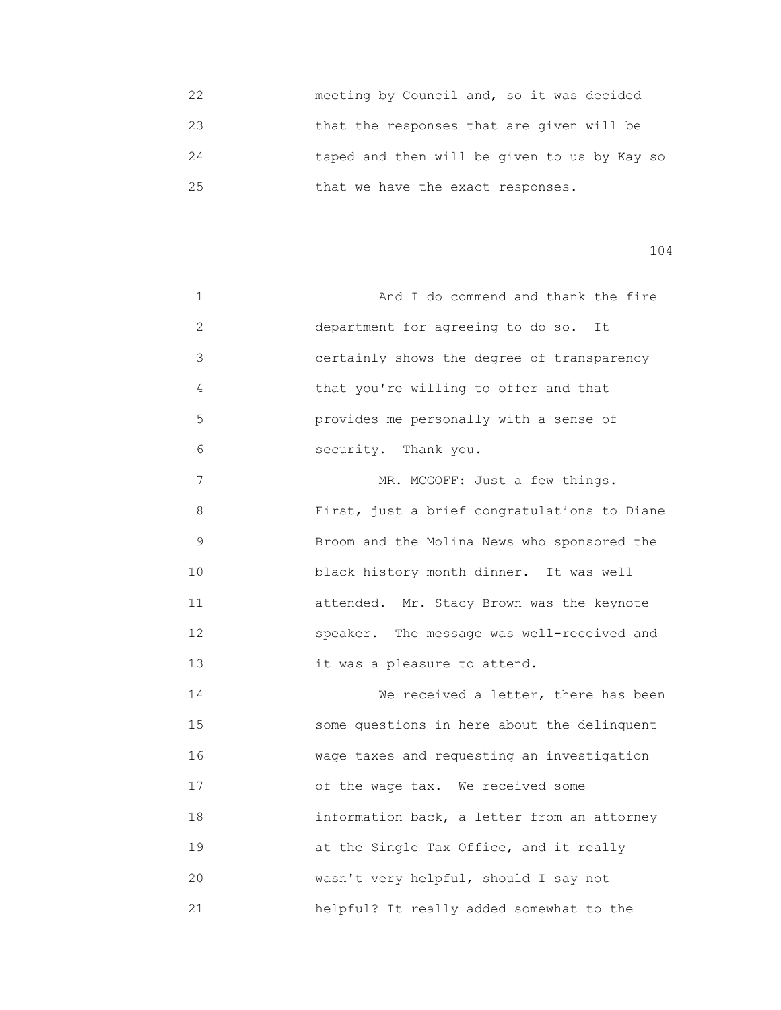22 meeting by Council and, so it was decided 23 that the responses that are given will be 24 taped and then will be given to us by Kay so 25 that we have the exact responses.

| 1              | And I do commend and thank the fire          |
|----------------|----------------------------------------------|
| 2              | department for agreeing to do so. It         |
| $\mathfrak{Z}$ | certainly shows the degree of transparency   |
| 4              | that you're willing to offer and that        |
| 5              | provides me personally with a sense of       |
| 6              | security. Thank you.                         |
| 7              | MR. MCGOFF: Just a few things.               |
| 8              | First, just a brief congratulations to Diane |
| $\mathsf 9$    | Broom and the Molina News who sponsored the  |
| 10             | black history month dinner. It was well      |
| 11             | attended. Mr. Stacy Brown was the keynote    |
| 12             | speaker. The message was well-received and   |
| 13             | it was a pleasure to attend.                 |
| 14             | We received a letter, there has been         |
| 15             | some questions in here about the delinquent  |
| 16             | wage taxes and requesting an investigation   |
| 17             | of the wage tax. We received some            |
| 18             | information back, a letter from an attorney  |
| 19             | at the Single Tax Office, and it really      |
| 20             | wasn't very helpful, should I say not        |
| 21             | helpful? It really added somewhat to the     |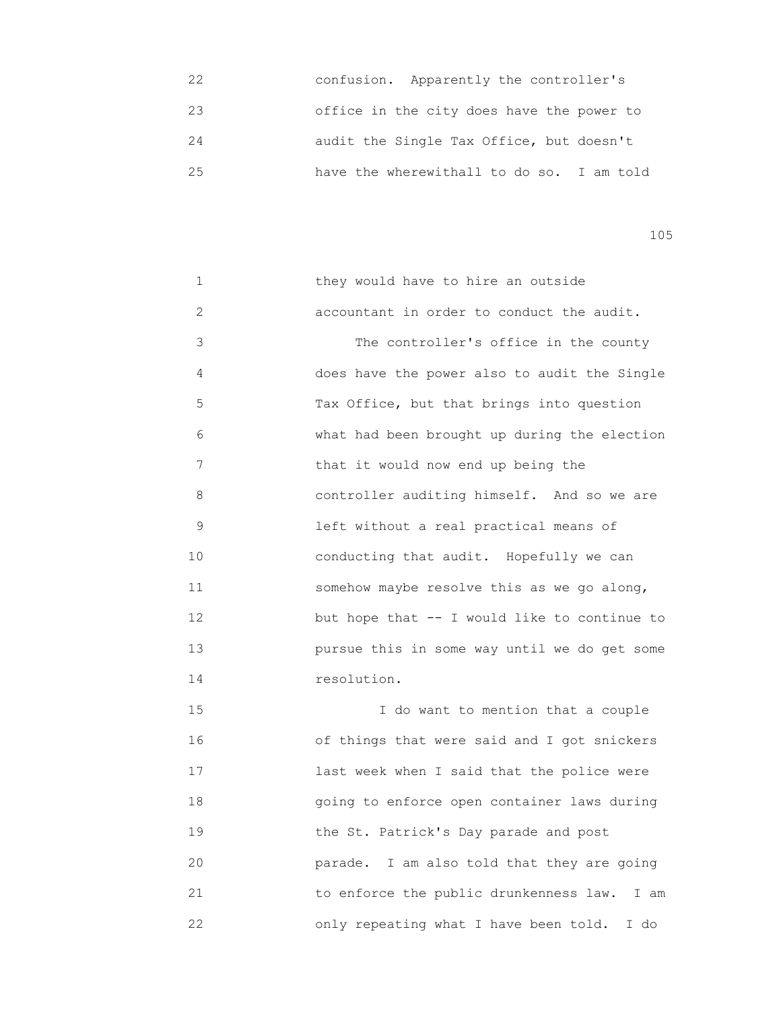| 22 | confusion. Apparently the controller's    |
|----|-------------------------------------------|
| 23 | office in the city does have the power to |
| 24 | audit the Single Tax Office, but doesn't  |
| 25 | have the wherewithall to do so. I am told |

| 1  | they would have to hire an outside           |
|----|----------------------------------------------|
| 2  | accountant in order to conduct the audit.    |
| 3  | The controller's office in the county        |
| 4  | does have the power also to audit the Single |
| 5  | Tax Office, but that brings into question    |
| 6  | what had been brought up during the election |
| 7  | that it would now end up being the           |
| 8  | controller auditing himself. And so we are   |
| 9  | left without a real practical means of       |
| 10 | conducting that audit. Hopefully we can      |
| 11 | somehow maybe resolve this as we go along,   |
| 12 | but hope that -- I would like to continue to |
| 13 | pursue this in some way until we do get some |
| 14 | resolution.                                  |

 15 I do want to mention that a couple 16 of things that were said and I got snickers 17 **17 Last week when I said that the police were**  18 going to enforce open container laws during 19 the St. Patrick's Day parade and post 20 parade. I am also told that they are going 21 to enforce the public drunkenness law. I am 22 only repeating what I have been told. I do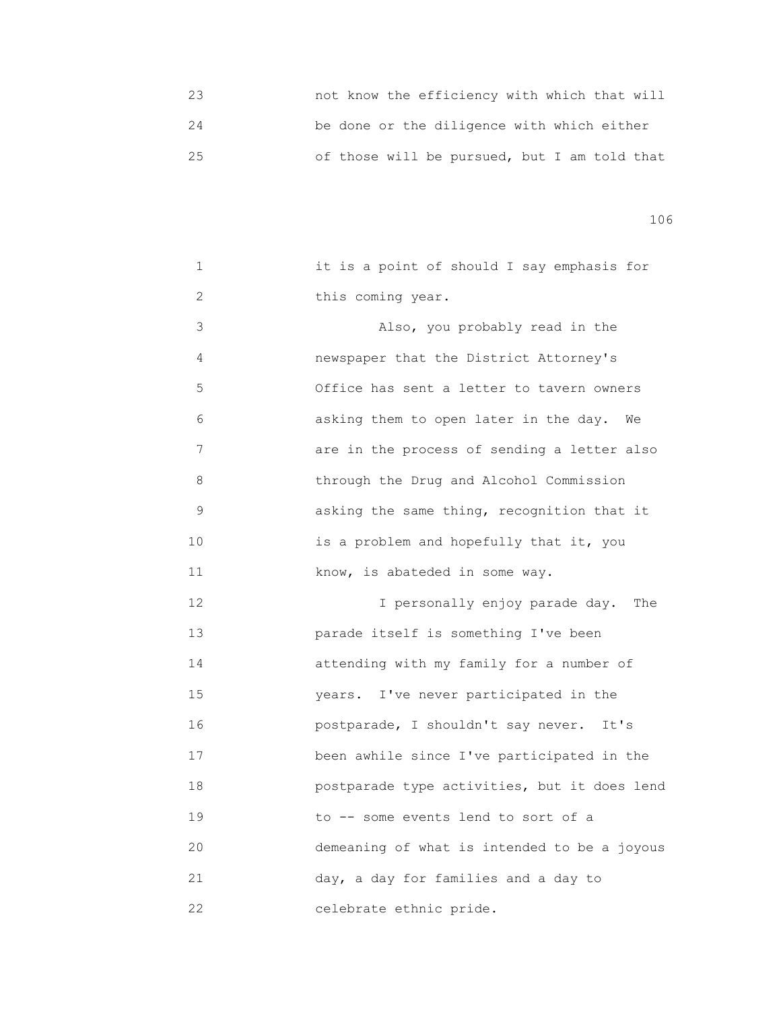23 not know the efficiency with which that will 24 be done or the diligence with which either 25 of those will be pursued, but I am told that

| 1              | it is a point of should I say emphasis for   |
|----------------|----------------------------------------------|
| $\overline{2}$ | this coming year.                            |
| 3              | Also, you probably read in the               |
| 4              | newspaper that the District Attorney's       |
| 5              | Office has sent a letter to tavern owners    |
| 6              | asking them to open later in the day.<br>We  |
| 7              | are in the process of sending a letter also  |
| 8              | through the Drug and Alcohol Commission      |
| 9              | asking the same thing, recognition that it   |
| 10             | is a problem and hopefully that it, you      |
| 11             | know, is abateded in some way.               |
| 12             | I personally enjoy parade day.<br>The        |
| 13             | parade itself is something I've been         |
| 14             | attending with my family for a number of     |
| 15             | I've never participated in the<br>years.     |
| 16             | postparade, I shouldn't say never.<br>It's   |
| 17             | been awhile since I've participated in the   |
| 18             | postparade type activities, but it does lend |
| 19             | to -- some events lend to sort of a          |
| 20             | demeaning of what is intended to be a joyous |
| 21             | day, a day for families and a day to         |
| 22             | celebrate ethnic pride.                      |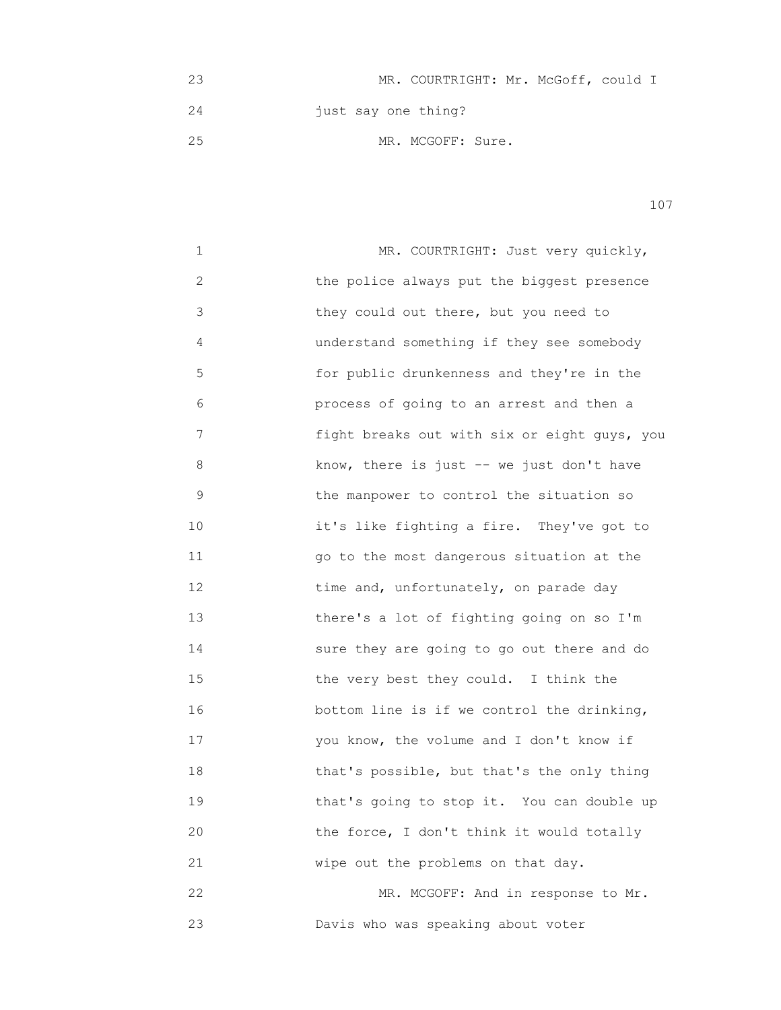23 MR. COURTRIGHT: Mr. McGoff, could I 24 just say one thing? 25 MR. MCGOFF: Sure.

| 1  | MR. COURTRIGHT: Just very quickly,           |
|----|----------------------------------------------|
| 2  | the police always put the biggest presence   |
| 3  | they could out there, but you need to        |
| 4  | understand something if they see somebody    |
| 5  | for public drunkenness and they're in the    |
| 6  | process of going to an arrest and then a     |
| 7  | fight breaks out with six or eight guys, you |
| 8  | know, there is just -- we just don't have    |
| 9  | the manpower to control the situation so     |
| 10 | it's like fighting a fire. They've got to    |
| 11 | go to the most dangerous situation at the    |
| 12 | time and, unfortunately, on parade day       |
| 13 | there's a lot of fighting going on so I'm    |
| 14 | sure they are going to go out there and do   |
| 15 | the very best they could. I think the        |
| 16 | bottom line is if we control the drinking,   |
| 17 | you know, the volume and I don't know if     |
| 18 | that's possible, but that's the only thing   |
| 19 | that's going to stop it. You can double up   |
| 20 | the force, I don't think it would totally    |
| 21 | wipe out the problems on that day.           |
| 22 | MR. MCGOFF: And in response to Mr.           |
| 23 | Davis who was speaking about voter           |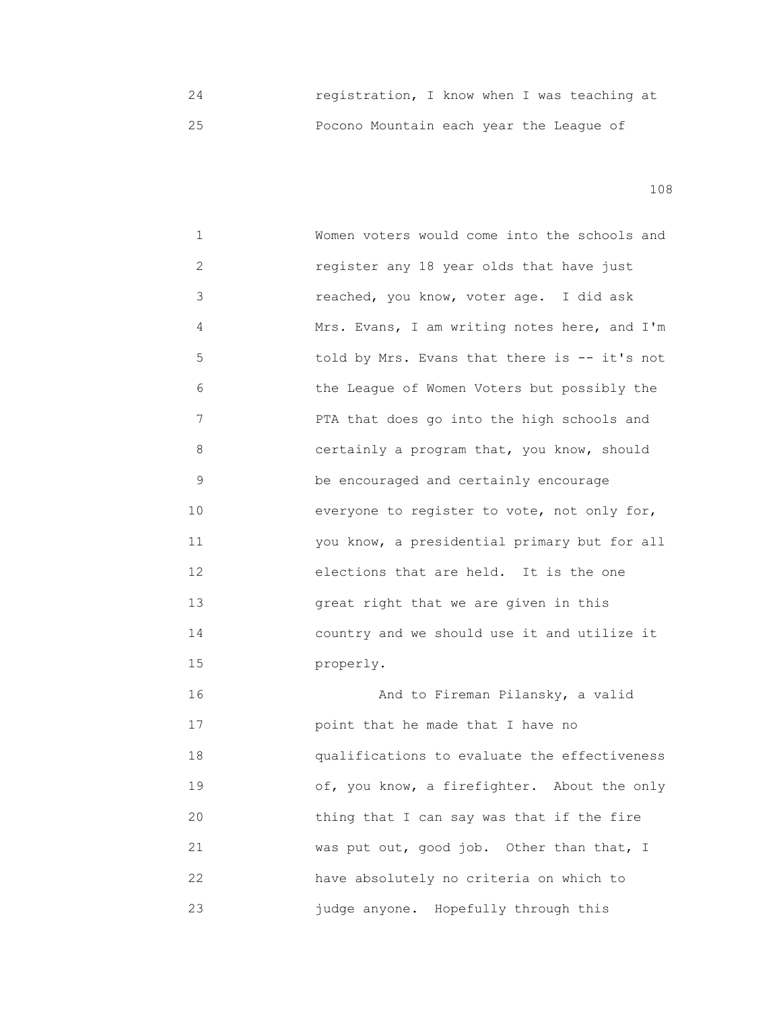24 registration, I know when I was teaching at 25 Pocono Mountain each year the League of

108

 1 Women voters would come into the schools and 2 register any 18 year olds that have just 3 reached, you know, voter age. I did ask 4 Mrs. Evans, I am writing notes here, and I'm 5 told by Mrs. Evans that there is -- it's not 6 the League of Women Voters but possibly the 7 PTA that does go into the high schools and 8 certainly a program that, you know, should 9 be encouraged and certainly encourage 10 everyone to register to vote, not only for, 11 you know, a presidential primary but for all 12 elections that are held. It is the one 13 great right that we are given in this 14 country and we should use it and utilize it 15 properly. 16 And to Fireman Pilansky, a valid 17 point that he made that I have no 18 qualifications to evaluate the effectiveness 19 **19** of, you know, a firefighter. About the only

 20 thing that I can say was that if the fire 21 was put out, good job. Other than that, I 22 have absolutely no criteria on which to 23 judge anyone. Hopefully through this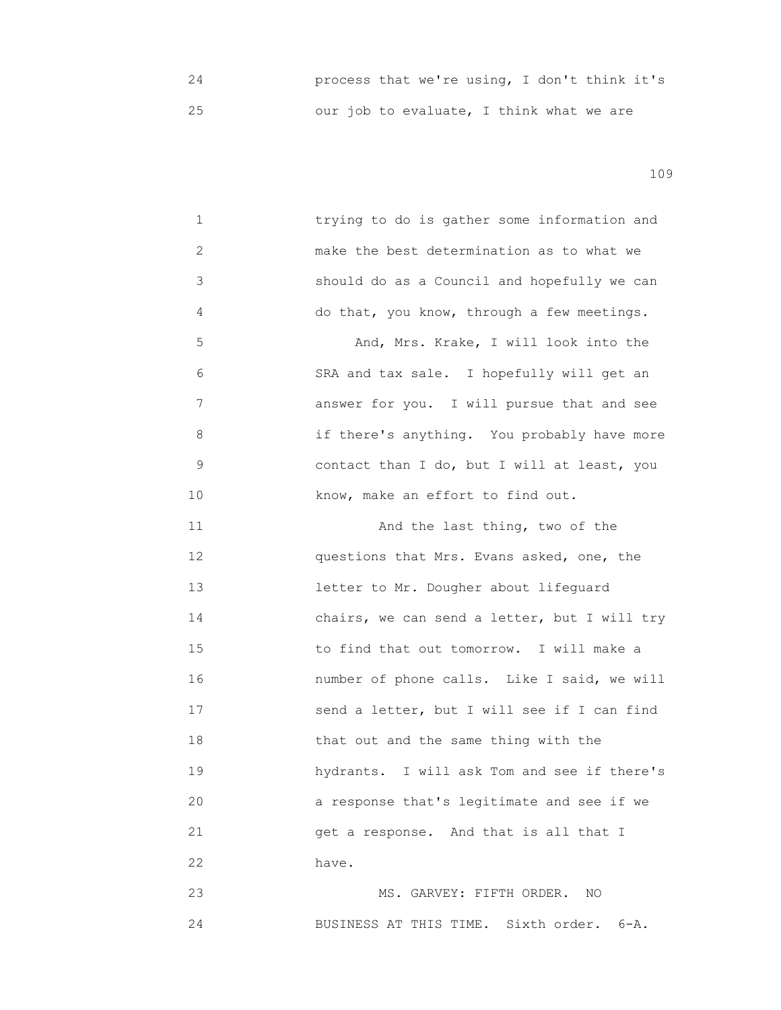24 process that we're using, I don't think it's 25 our job to evaluate, I think what we are

109

| 1  | trying to do is gather some information and  |
|----|----------------------------------------------|
| 2  | make the best determination as to what we    |
| 3  | should do as a Council and hopefully we can  |
| 4  | do that, you know, through a few meetings.   |
| 5  | And, Mrs. Krake, I will look into the        |
| 6  | SRA and tax sale. I hopefully will get an    |
| 7  | answer for you. I will pursue that and see   |
| 8  | if there's anything. You probably have more  |
| 9  | contact than I do, but I will at least, you  |
| 10 | know, make an effort to find out.            |
| 11 | And the last thing, two of the               |
| 12 | questions that Mrs. Evans asked, one, the    |
| 13 | letter to Mr. Dougher about lifequard        |
| 14 | chairs, we can send a letter, but I will try |
| 15 | to find that out tomorrow. I will make a     |
| 16 | number of phone calls. Like I said, we will  |
| 17 | send a letter, but I will see if I can find  |
| 18 | that out and the same thing with the         |
| 19 | hydrants. I will ask Tom and see if there's  |
| 20 | a response that's legitimate and see if we   |
| 21 | get a response. And that is all that I       |
| 22 | have.                                        |
| 23 | MS. GARVEY: FIFTH ORDER.<br>NO               |
|    |                                              |

24 BUSINESS AT THIS TIME. Sixth order. 6-A.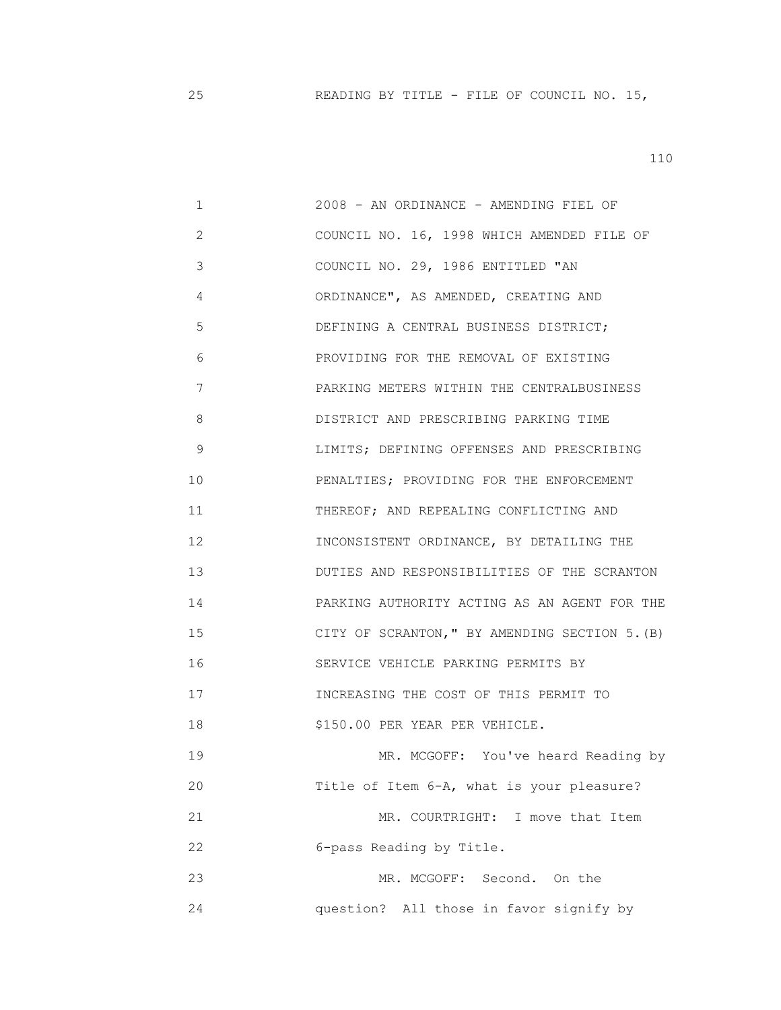25 READING BY TITLE - FILE OF COUNCIL NO. 15,

| 1            | 2008 - AN ORDINANCE - AMENDING FIEL OF         |
|--------------|------------------------------------------------|
| $\mathbf{2}$ | COUNCIL NO. 16, 1998 WHICH AMENDED FILE OF     |
| 3            | COUNCIL NO. 29, 1986 ENTITLED "AN              |
| 4            | ORDINANCE", AS AMENDED, CREATING AND           |
| 5            | DEFINING A CENTRAL BUSINESS DISTRICT;          |
| 6            | PROVIDING FOR THE REMOVAL OF EXISTING          |
| 7            | PARKING METERS WITHIN THE CENTRALBUSINESS      |
| 8            | DISTRICT AND PRESCRIBING PARKING TIME          |
| 9            | LIMITS; DEFINING OFFENSES AND PRESCRIBING      |
| 10           | PENALTIES; PROVIDING FOR THE ENFORCEMENT       |
| 11           | THEREOF; AND REPEALING CONFLICTING AND         |
| 12           | INCONSISTENT ORDINANCE, BY DETAILING THE       |
| 13           | DUTIES AND RESPONSIBILITIES OF THE SCRANTON    |
| 14           | PARKING AUTHORITY ACTING AS AN AGENT FOR THE   |
| 15           | CITY OF SCRANTON, " BY AMENDING SECTION 5. (B) |
| 16           | SERVICE VEHICLE PARKING PERMITS BY             |
| 17           | INCREASING THE COST OF THIS PERMIT TO          |
| 18           | \$150.00 PER YEAR PER VEHICLE.                 |
| 19           | MR. MCGOFF: You've heard Reading by            |
| 20           | Title of Item 6-A, what is your pleasure?      |
| 21           | MR. COURTRIGHT: I move that Item               |
| 22           | 6-pass Reading by Title.                       |
| 23           | MR. MCGOFF:<br>Second. On the                  |
| 24           | question? All those in favor signify by        |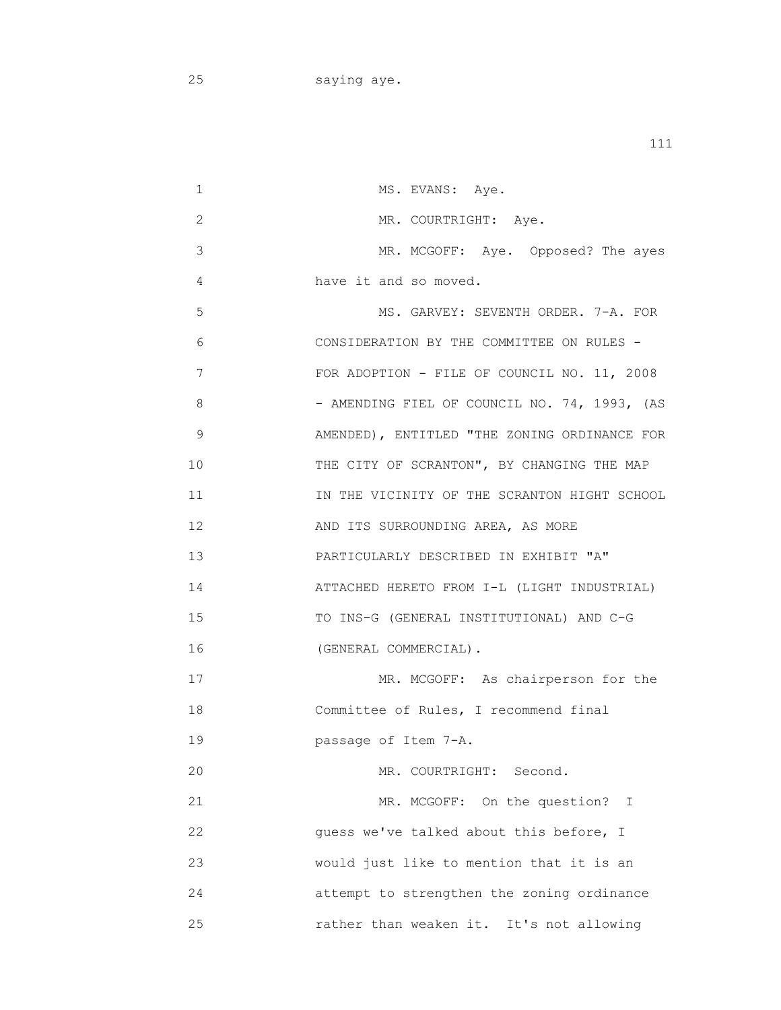25 saying aye.

1 MS. EVANS: Aye. 2 MR. COURTRIGHT: Aye. 3 MR. MCGOFF: Aye. Opposed? The ayes 4 have it and so moved. 5 MS. GARVEY: SEVENTH ORDER. 7-A. FOR 6 CONSIDERATION BY THE COMMITTEE ON RULES - 7 FOR ADOPTION - FILE OF COUNCIL NO. 11, 2008 8 - AMENDING FIEL OF COUNCIL NO. 74, 1993, (AS 9 AMENDED), ENTITLED "THE ZONING ORDINANCE FOR 10 THE CITY OF SCRANTON", BY CHANGING THE MAP 11 IN THE VICINITY OF THE SCRANTON HIGHT SCHOOL 12 **AND ITS SURROUNDING AREA, AS MORE**  13 PARTICULARLY DESCRIBED IN EXHIBIT "A" 14 ATTACHED HERETO FROM I-L (LIGHT INDUSTRIAL) 15 TO INS-G (GENERAL INSTITUTIONAL) AND C-G 16 (GENERAL COMMERCIAL). 17 MR. MCGOFF: As chairperson for the 18 Committee of Rules, I recommend final 19 passage of Item 7-A. 20 MR. COURTRIGHT: Second. 21 MR. MCGOFF: On the question? I 22 guess we've talked about this before, I 23 would just like to mention that it is an 24 attempt to strengthen the zoning ordinance 25 rather than weaken it. It's not allowing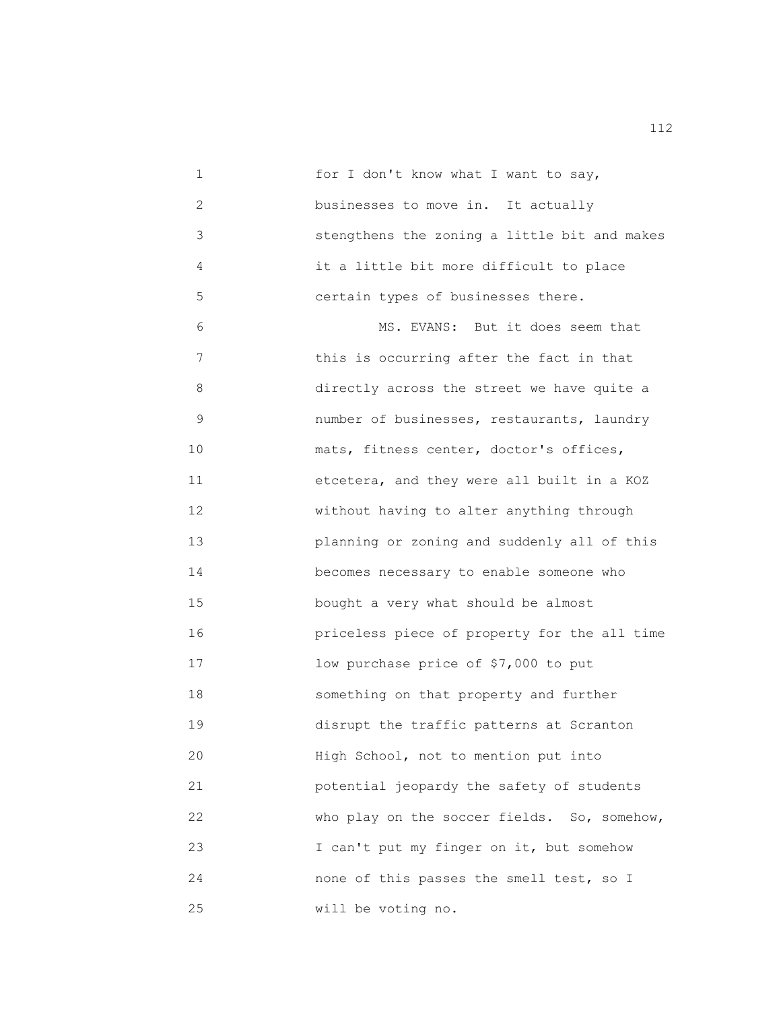1 for I don't know what I want to say, 2 **businesses to move in.** It actually 3 stengthens the zoning a little bit and makes 4 it a little bit more difficult to place 5 certain types of businesses there. 6 MS. EVANS: But it does seem that 7 **1 1** this is occurring after the fact in that 8 directly across the street we have quite a 9 number of businesses, restaurants, laundry 10 mats, fitness center, doctor's offices, 11 etcetera, and they were all built in a KOZ 12 *without having to alter anything through*  13 planning or zoning and suddenly all of this 14 becomes necessary to enable someone who 15 bought a very what should be almost 16 priceless piece of property for the all time 17 **17** Iow purchase price of \$7,000 to put 18 something on that property and further 19 disrupt the traffic patterns at Scranton 20 **High School, not to mention put into**  21 potential jeopardy the safety of students 22 who play on the soccer fields. So, somehow, 23 I can't put my finger on it, but somehow 24 none of this passes the smell test, so I 25 will be voting no.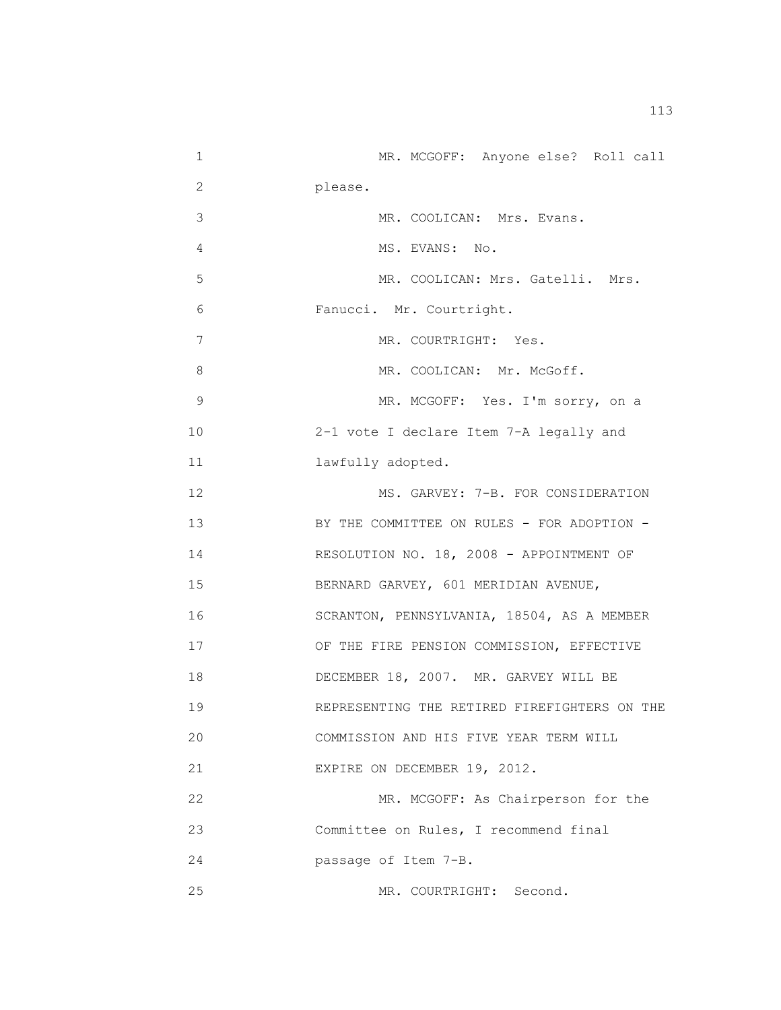1 MR. MCGOFF: Anyone else? Roll call 2 please. 3 MR. COOLICAN: Mrs. Evans. 4 MS. EVANS: No. 5 MR. COOLICAN: Mrs. Gatelli. Mrs. 6 Fanucci. Mr. Courtright. 7 MR. COURTRIGHT: Yes. 8 MR. COOLICAN: Mr. McGoff. 9 MR. MCGOFF: Yes. I'm sorry, on a 10 2-1 vote I declare Item 7-A legally and 11 lawfully adopted. 12 MS. GARVEY: 7-B. FOR CONSIDERATION 13 BY THE COMMITTEE ON RULES - FOR ADOPTION -14 RESOLUTION NO. 18, 2008 - APPOINTMENT OF 15 BERNARD GARVEY, 601 MERIDIAN AVENUE, 16 SCRANTON, PENNSYLVANIA, 18504, AS A MEMBER 17 OF THE FIRE PENSION COMMISSION, EFFECTIVE 18 DECEMBER 18, 2007. MR. GARVEY WILL BE 19 REPRESENTING THE RETIRED FIREFIGHTERS ON THE 20 COMMISSION AND HIS FIVE YEAR TERM WILL 21 EXPIRE ON DECEMBER 19, 2012. 22 MR. MCGOFF: As Chairperson for the 23 Committee on Rules, I recommend final 24 passage of Item 7-B. 25 MR. COURTRIGHT: Second.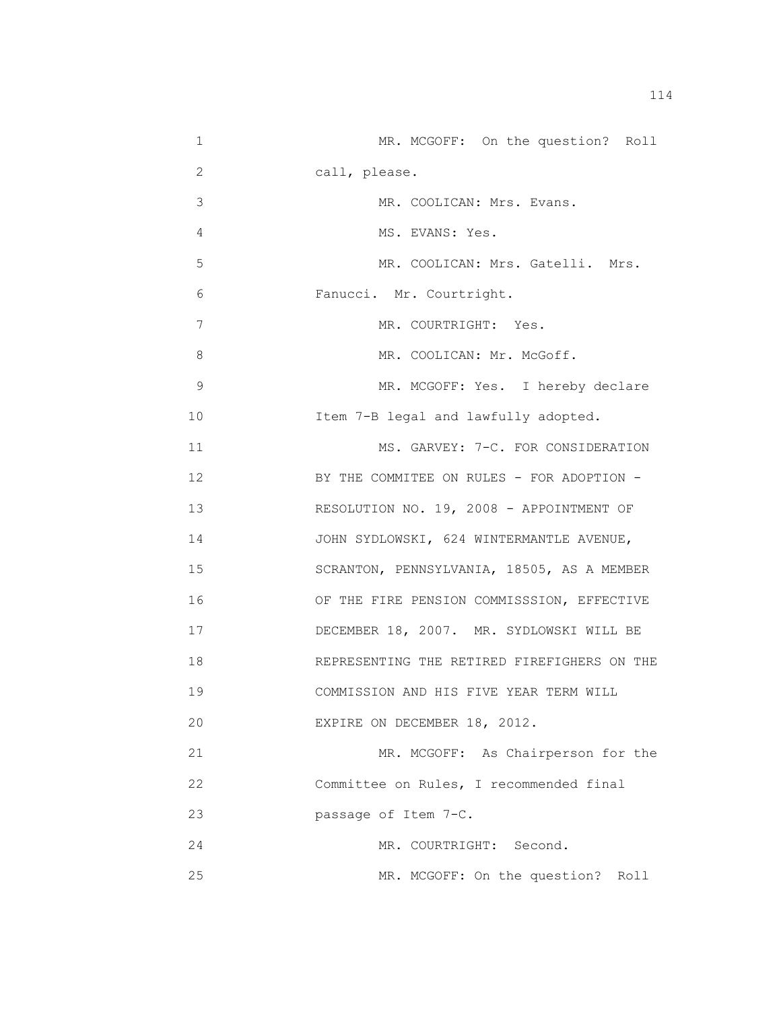| 1  | MR. MCGOFF: On the question? Roll           |
|----|---------------------------------------------|
| 2  | call, please.                               |
| 3  | MR. COOLICAN: Mrs. Evans.                   |
| 4  | MS. EVANS: Yes.                             |
| 5  | MR. COOLICAN: Mrs. Gatelli. Mrs.            |
| 6  | Fanucci. Mr. Courtright.                    |
| 7  | MR. COURTRIGHT: Yes.                        |
| 8  | MR. COOLICAN: Mr. McGoff.                   |
| 9  | MR. MCGOFF: Yes. I hereby declare           |
| 10 | Item 7-B legal and lawfully adopted.        |
| 11 | MS. GARVEY: 7-C. FOR CONSIDERATION          |
| 12 | BY THE COMMITEE ON RULES - FOR ADOPTION -   |
| 13 | RESOLUTION NO. 19, 2008 - APPOINTMENT OF    |
| 14 | JOHN SYDLOWSKI, 624 WINTERMANTLE AVENUE,    |
| 15 | SCRANTON, PENNSYLVANIA, 18505, AS A MEMBER  |
| 16 | OF THE FIRE PENSION COMMISSSION, EFFECTIVE  |
| 17 | DECEMBER 18, 2007. MR. SYDLOWSKI WILL BE    |
| 18 | REPRESENTING THE RETIRED FIREFIGHERS ON THE |
| 19 | COMMISSION AND HIS FIVE YEAR TERM WILL      |
| 20 | EXPIRE ON DECEMBER 18, 2012.                |
| 21 | MR. MCGOFF: As Chairperson for the          |
| 22 | Committee on Rules, I recommended final     |
| 23 | passage of Item 7-C.                        |
| 24 | MR. COURTRIGHT: Second.                     |
| 25 | MR. MCGOFF: On the question? Roll           |

114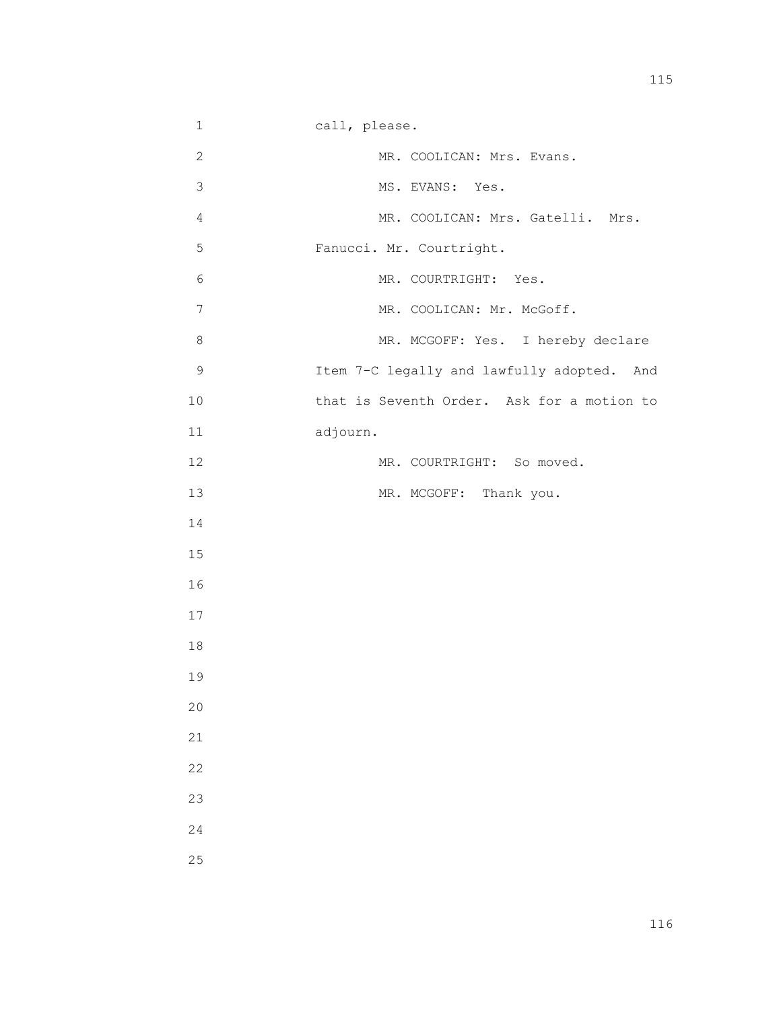2 MR. COOLICAN: Mrs. Evans. 3 MS. EVANS: Yes. 4 MR. COOLICAN: Mrs. Gatelli. Mrs. 5 Fanucci. Mr. Courtright. 6 MR. COURTRIGHT: Yes. 7 MR. COOLICAN: Mr. McGoff. 8 MR. MCGOFF: Yes. I hereby declare 9 Item 7-C legally and lawfully adopted. And 10 that is Seventh Order. Ask for a motion to 11 adjourn. 12 MR. COURTRIGHT: So moved. 13 MR. MCGOFF: Thank you. 14 15 16 17 18 19 20 21 22 23 24 25

1 call, please.